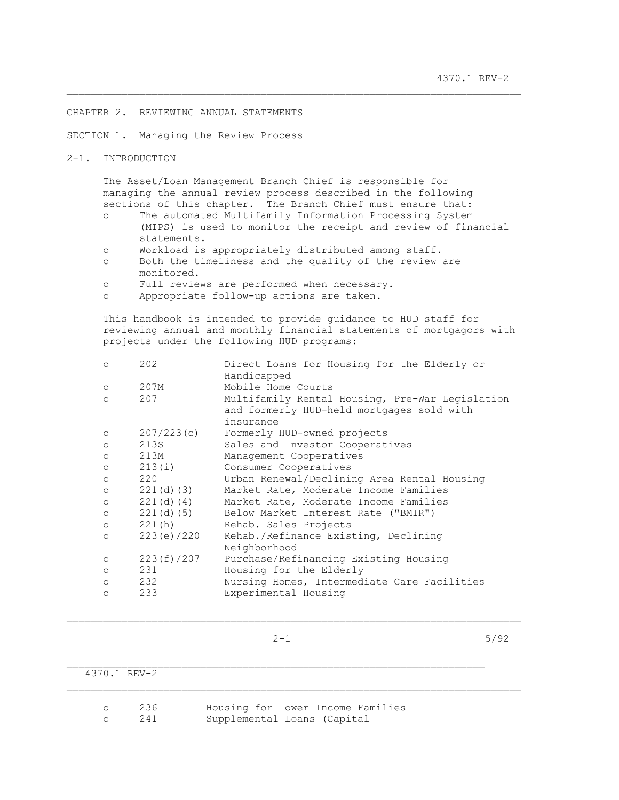### CHAPTER 2. REVIEWING ANNUAL STATEMENTS

SECTION 1. Managing the Review Process

2-1. INTRODUCTION

 The Asset/Loan Management Branch Chief is responsible for managing the annual review process described in the following sections of this chapter. The Branch Chief must ensure that:

\_\_\_\_\_\_\_\_\_\_\_\_\_\_\_\_\_\_\_\_\_\_\_\_\_\_\_\_\_\_\_\_\_\_\_\_\_\_\_\_\_\_\_\_\_\_\_\_\_\_\_\_\_\_\_\_\_\_\_\_\_\_\_\_\_\_\_\_\_\_\_\_\_\_\_

 o The automated Multifamily Information Processing System (MIPS) is used to monitor the receipt and review of financial statements.

- o Workload is appropriately distributed among staff.
- o Both the timeliness and the quality of the review are monitored.
- o Full reviews are performed when necessary.
- o Appropriate follow-up actions are taken.

 This handbook is intended to provide guidance to HUD staff for reviewing annual and monthly financial statements of mortgagors with projects under the following HUD programs:

| $\circ$ | 202           | Direct Loans for Housing for the Elderly or<br>Handicapped |
|---------|---------------|------------------------------------------------------------|
| $\circ$ | 207M          | Mobile Home Courts                                         |
| $\circ$ | 207           | Multifamily Rental Housing, Pre-War Legislation            |
|         |               | and formerly HUD-held mortgages sold with                  |
|         |               | insurance                                                  |
| $\circ$ | 207/223(c)    | Formerly HUD-owned projects                                |
| $\circ$ | 213S          | Sales and Investor Cooperatives                            |
| $\circ$ | 213M          | Management Cooperatives                                    |
| $\circ$ | 213(i)        | Consumer Cooperatives                                      |
| $\circ$ | 220           | Urban Renewal/Declining Area Rental Housing                |
| $\circ$ | $221(d)$ (3)  | Market Rate, Moderate Income Families                      |
| $\circ$ | 221(d) (4)    | Market Rate, Moderate Income Families                      |
| $\circ$ | $221(d)$ (5)  | Below Market Interest Rate ("BMIR")                        |
| $\circ$ | 221(h)        | Rehab. Sales Projects                                      |
| $\circ$ | 223 (e) / 220 | Rehab./Refinance Existing, Declining                       |
|         |               | Neighborhood                                               |
| $\circ$ | 223 (f) /207  | Purchase/Refinancing Existing Housing                      |
| $\circ$ | 231           | Housing for the Elderly                                    |
| $\circ$ | 232           | Nursing Homes, Intermediate Care Facilities                |
| $\circ$ | 233           | Experimental Housing                                       |
|         |               |                                                            |

 $2-1$  5/92

| 4370.1 REV-2 |            |                                                                  |
|--------------|------------|------------------------------------------------------------------|
|              | 236<br>241 | Housing for Lower Income Families<br>Supplemental Loans (Capital |

 $\mathcal{L}_\text{max}$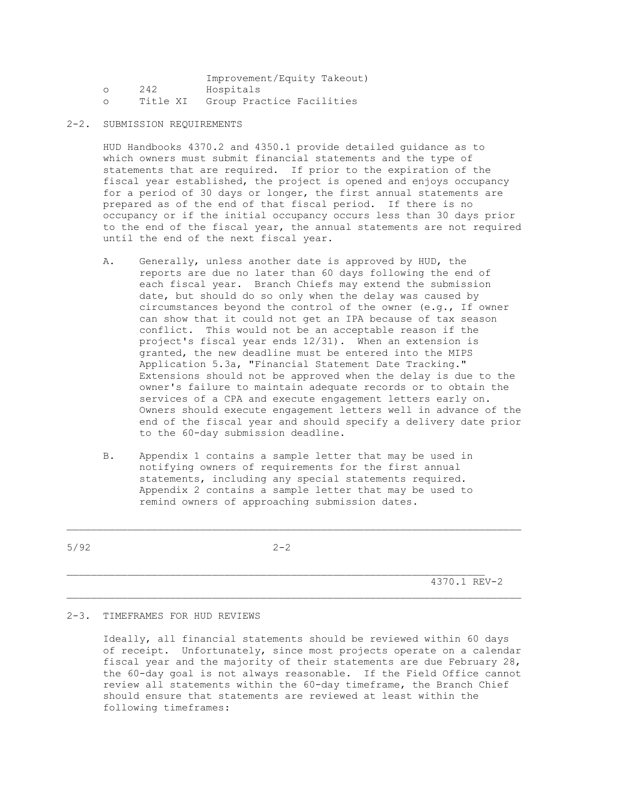|          | Improvement/Equity Takeout) |
|----------|-----------------------------|
| 242      | Hospitals                   |
| Title XI | Group Practice Facilities   |

2-2. SUBMISSION REQUIREMENTS

 HUD Handbooks 4370.2 and 4350.1 provide detailed guidance as to which owners must submit financial statements and the type of statements that are required. If prior to the expiration of the fiscal year established, the project is opened and enjoys occupancy for a period of 30 days or longer, the first annual statements are prepared as of the end of that fiscal period. If there is no occupancy or if the initial occupancy occurs less than 30 days prior to the end of the fiscal year, the annual statements are not required until the end of the next fiscal year.

- A. Generally, unless another date is approved by HUD, the reports are due no later than 60 days following the end of each fiscal year. Branch Chiefs may extend the submission date, but should do so only when the delay was caused by circumstances beyond the control of the owner (e.g., If owner can show that it could not get an IPA because of tax season conflict. This would not be an acceptable reason if the project's fiscal year ends 12/31). When an extension is granted, the new deadline must be entered into the MIPS Application 5.3a, "Financial Statement Date Tracking." Extensions should not be approved when the delay is due to the owner's failure to maintain adequate records or to obtain the services of a CPA and execute engagement letters early on. Owners should execute engagement letters well in advance of the end of the fiscal year and should specify a delivery date prior to the 60-day submission deadline.
- B. Appendix 1 contains a sample letter that may be used in notifying owners of requirements for the first annual statements, including any special statements required. Appendix 2 contains a sample letter that may be used to remind owners of approaching submission dates.

 $\mathcal{L}_\text{max}$ 

\_\_\_\_\_\_\_\_\_\_\_\_\_\_\_\_\_\_\_\_\_\_\_\_\_\_\_\_\_\_\_\_\_\_\_\_\_\_\_\_\_\_\_\_\_\_\_\_\_\_\_\_\_\_\_\_\_\_\_\_\_\_\_\_\_\_\_\_\_\_\_\_\_\_\_

 $5/92$  2-2

4370.1 REV-2

#### 2-3. TIMEFRAMES FOR HUD REVIEWS

 Ideally, all financial statements should be reviewed within 60 days of receipt. Unfortunately, since most projects operate on a calendar fiscal year and the majority of their statements are due February 28, the 60-day goal is not always reasonable. If the Field Office cannot review all statements within the 60-day timeframe, the Branch Chief should ensure that statements are reviewed at least within the following timeframes: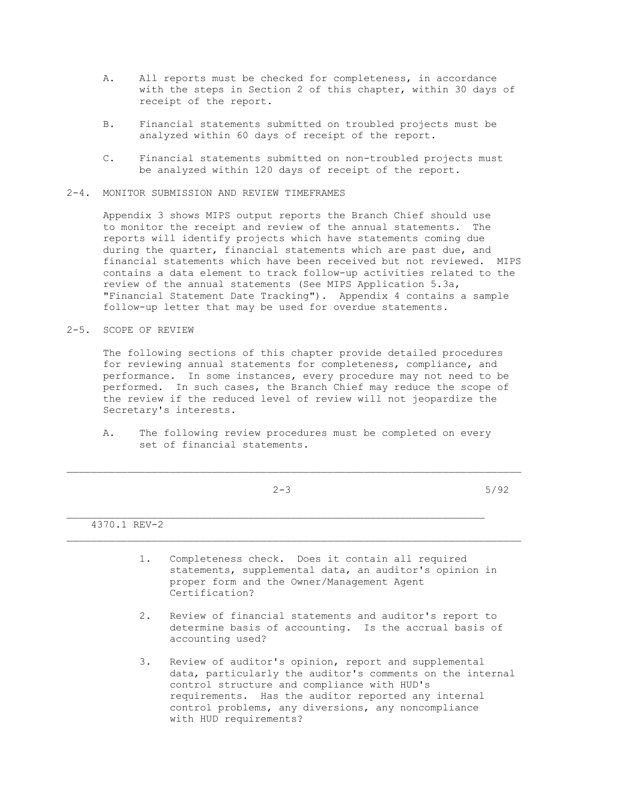- A. All reports must be checked for completeness, in accordance with the steps in Section 2 of this chapter, within 30 days of receipt of the report.
- B. Financial statements submitted on troubled projects must be analyzed within 60 days of receipt of the report.
- C. Financial statements submitted on non-troubled projects must be analyzed within 120 days of receipt of the report.
- 2-4. MONITOR SUBMISSION AND REVIEW TIMEFRAMES

 Appendix 3 shows MIPS output reports the Branch Chief should use to monitor the receipt and review of the annual statements. The reports will identify projects which have statements coming due during the quarter, financial statements which are past due, and financial statements which have been received but not reviewed. MIPS contains a data element to track follow-up activities related to the review of the annual statements (See MIPS Application 5.3a, "Financial Statement Date Tracking"). Appendix 4 contains a sample follow-up letter that may be used for overdue statements.

2-5. SCOPE OF REVIEW

 The following sections of this chapter provide detailed procedures for reviewing annual statements for completeness, compliance, and performance. In some instances, every procedure may not need to be performed. In such cases, the Branch Chief may reduce the scope of the review if the reduced level of review will not jeopardize the Secretary's interests.

 A. The following review procedures must be completed on every set of financial statements.

|              | $2 - 3$ | 5/92                 |
|--------------|---------|----------------------|
|              |         | ____________________ |
| 4370.1 REV-2 |         |                      |

- 1. Completeness check. Does it contain all required statements, supplemental data, an auditor's opinion in proper form and the Owner/Management Agent Certification?
- 2. Review of financial statements and auditor's report to determine basis of accounting. Is the accrual basis of accounting used?
- 3. Review of auditor's opinion, report and supplemental data, particularly the auditor's comments on the internal control structure and compliance with HUD's requirements. Has the auditor reported any internal control problems, any diversions, any noncompliance with HUD requirements?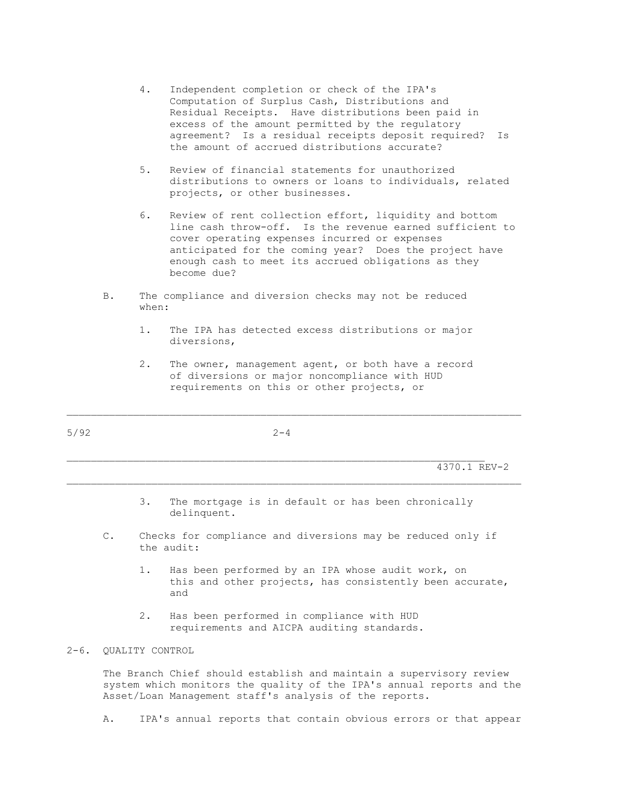- 4. Independent completion or check of the IPA's Computation of Surplus Cash, Distributions and Residual Receipts. Have distributions been paid in excess of the amount permitted by the regulatory agreement? Is a residual receipts deposit required? Is the amount of accrued distributions accurate?
- 5. Review of financial statements for unauthorized distributions to owners or loans to individuals, related projects, or other businesses.
- 6. Review of rent collection effort, liquidity and bottom line cash throw-off. Is the revenue earned sufficient to cover operating expenses incurred or expenses anticipated for the coming year? Does the project have enough cash to meet its accrued obligations as they become due?
- B. The compliance and diversion checks may not be reduced when:
	- 1. The IPA has detected excess distributions or major diversions,
	- 2. The owner, management agent, or both have a record of diversions or major noncompliance with HUD requirements on this or other projects, or

 $\mathcal{L}_\text{max}$ 

\_\_\_\_\_\_\_\_\_\_\_\_\_\_\_\_\_\_\_\_\_\_\_\_\_\_\_\_\_\_\_\_\_\_\_\_\_\_\_\_\_\_\_\_\_\_\_\_\_\_\_\_\_\_\_\_\_\_\_\_\_\_\_\_\_\_\_\_\_\_\_\_\_\_\_

 $5/92$  2-4

4370.1 REV-2

- 3. The mortgage is in default or has been chronically delinquent.
- C. Checks for compliance and diversions may be reduced only if the audit:
- 1. Has been performed by an IPA whose audit work, on this and other projects, has consistently been accurate, and
	- 2. Has been performed in compliance with HUD requirements and AICPA auditing standards.

## 2-6. QUALITY CONTROL

 The Branch Chief should establish and maintain a supervisory review system which monitors the quality of the IPA's annual reports and the Asset/Loan Management staff's analysis of the reports.

A. IPA's annual reports that contain obvious errors or that appear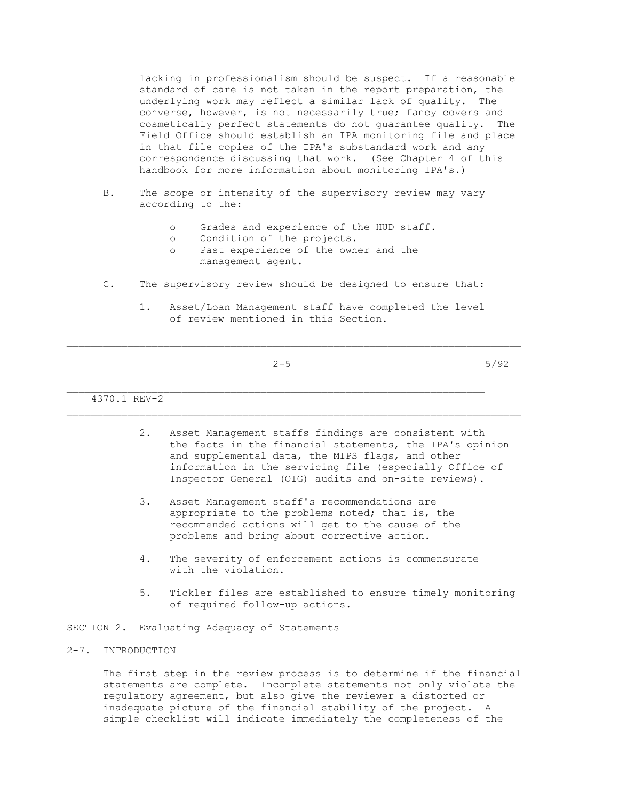lacking in professionalism should be suspect. If a reasonable standard of care is not taken in the report preparation, the underlying work may reflect a similar lack of quality. The converse, however, is not necessarily true; fancy covers and cosmetically perfect statements do not guarantee quality. The Field Office should establish an IPA monitoring file and place in that file copies of the IPA's substandard work and any correspondence discussing that work. (See Chapter 4 of this handbook for more information about monitoring IPA's.)

- B. The scope or intensity of the supervisory review may vary according to the:
	- o Grades and experience of the HUD staff.
	- o Condition of the projects.
	- o Past experience of the owner and the management agent.
- C. The supervisory review should be designed to ensure that:
	- 1. Asset/Loan Management staff have completed the level of review mentioned in this Section.

\_\_\_\_\_\_\_\_\_\_\_\_\_\_\_\_\_\_\_\_\_\_\_\_\_\_\_\_\_\_\_\_\_\_\_\_\_\_\_\_\_\_\_\_\_\_\_\_\_\_\_\_\_\_\_\_\_\_\_\_\_\_\_\_\_\_\_\_\_

 $\mathcal{L}_\text{max}$ 

 $2-5$  5/92

4370.1 REV-2

- 2. Asset Management staffs findings are consistent with the facts in the financial statements, the IPA's opinion and supplemental data, the MIPS flags, and other information in the servicing file (especially Office of Inspector General (OIG) audits and on-site reviews).
- 3. Asset Management staff's recommendations are appropriate to the problems noted; that is, the recommended actions will get to the cause of the problems and bring about corrective action.
- 4. The severity of enforcement actions is commensurate with the violation.
- 5. Tickler files are established to ensure timely monitoring of required follow-up actions.

SECTION 2. Evaluating Adequacy of Statements

#### 2-7. INTRODUCTION

 The first step in the review process is to determine if the financial statements are complete. Incomplete statements not only violate the regulatory agreement, but also give the reviewer a distorted or inadequate picture of the financial stability of the project. A simple checklist will indicate immediately the completeness of the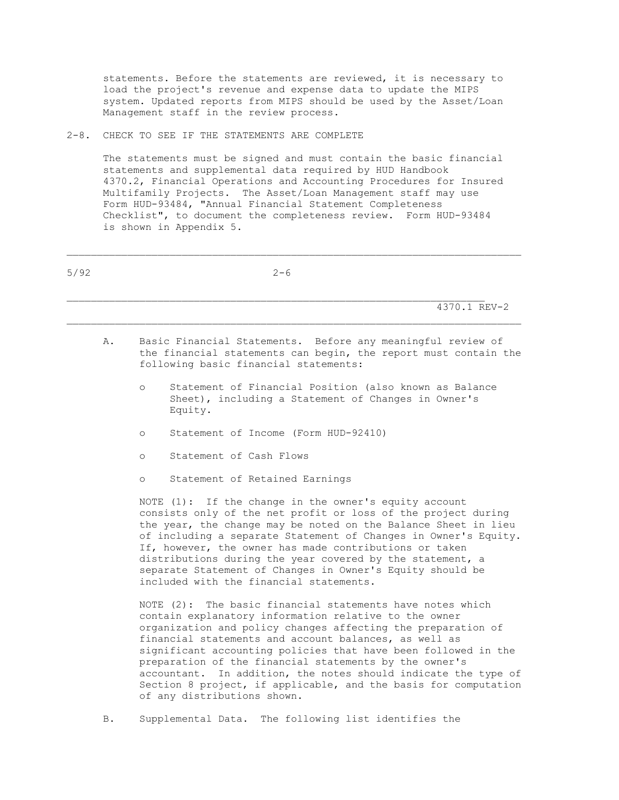statements. Before the statements are reviewed, it is necessary to load the project's revenue and expense data to update the MIPS system. Updated reports from MIPS should be used by the Asset/Loan Management staff in the review process.

2-8. CHECK TO SEE IF THE STATEMENTS ARE COMPLETE

 The statements must be signed and must contain the basic financial statements and supplemental data required by HUD Handbook 4370.2, Financial Operations and Accounting Procedures for Insured Multifamily Projects. The Asset/Loan Management staff may use Form HUD-93484, "Annual Financial Statement Completeness Checklist", to document the completeness review. Form HUD-93484 is shown in Appendix 5.

 $5/92$  2-6  $\mathcal{L}_\text{max}$  4370.1 REV-2 A. Basic Financial Statements. Before any meaningful review of the financial statements can begin, the report must contain the following basic financial statements: o Statement of Financial Position (also known as Balance Sheet), including a Statement of Changes in Owner's Equity. o Statement of Income (Form HUD-92410) o Statement of Cash Flows o Statement of Retained Earnings NOTE (1): If the change in the owner's equity account consists only of the net profit or loss of the project during the year, the change may be noted on the Balance Sheet in lieu of including a separate Statement of Changes in Owner's Equity. If, however, the owner has made contributions or taken distributions during the year covered by the statement, a separate Statement of Changes in Owner's Equity should be included with the financial statements. NOTE (2): The basic financial statements have notes which contain explanatory information relative to the owner organization and policy changes affecting the preparation of financial statements and account balances, as well as significant accounting policies that have been followed in the preparation of the financial statements by the owner's accountant. In addition, the notes should indicate the type of Section 8 project, if applicable, and the basis for computation of any distributions shown.

B. Supplemental Data. The following list identifies the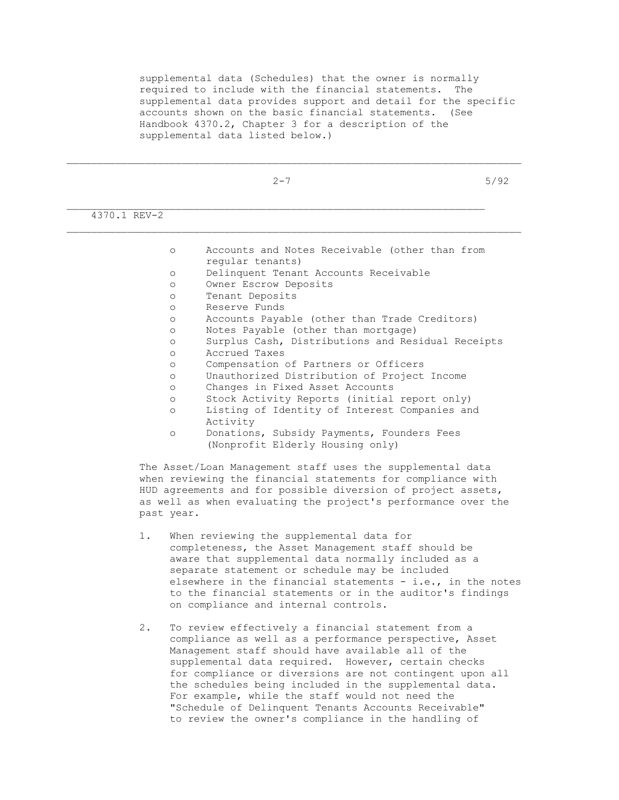supplemental data (Schedules) that the owner is normally required to include with the financial statements. The supplemental data provides support and detail for the specific accounts shown on the basic financial statements. (See Handbook 4370.2, Chapter 3 for a description of the supplemental data listed below.)

\_\_\_\_\_\_\_\_\_\_\_\_\_\_\_\_\_\_\_\_\_\_\_\_\_\_\_\_\_\_\_\_\_\_\_\_\_\_\_\_\_\_\_\_\_\_\_\_\_\_\_\_\_\_\_\_\_\_\_\_\_\_\_\_\_\_\_\_\_\_\_\_\_\_\_

|              | $2 - 7$                                                                                                                                                                                                                                                                                                                                                                   | 5/92 |
|--------------|---------------------------------------------------------------------------------------------------------------------------------------------------------------------------------------------------------------------------------------------------------------------------------------------------------------------------------------------------------------------------|------|
| 4370.1 REV-2 |                                                                                                                                                                                                                                                                                                                                                                           |      |
| $\circ$      | Accounts and Notes Receivable (other than from<br>regular tenants)                                                                                                                                                                                                                                                                                                        |      |
| $\circ$      | Delinquent Tenant Accounts Receivable                                                                                                                                                                                                                                                                                                                                     |      |
| $\circ$      | Owner Escrow Deposits                                                                                                                                                                                                                                                                                                                                                     |      |
| $\circ$      | Tenant Deposits                                                                                                                                                                                                                                                                                                                                                           |      |
| $\circ$      | Reserve Funds                                                                                                                                                                                                                                                                                                                                                             |      |
| $\Omega$     | Accounts Payable (other than Trade Creditors)                                                                                                                                                                                                                                                                                                                             |      |
| $\circ$      | Notes Payable (other than mortgage)                                                                                                                                                                                                                                                                                                                                       |      |
| $\circ$      | Surplus Cash, Distributions and Residual Receipts                                                                                                                                                                                                                                                                                                                         |      |
| $\circ$      | Accrued Taxes                                                                                                                                                                                                                                                                                                                                                             |      |
| $\circ$      | Compensation of Partners or Officers                                                                                                                                                                                                                                                                                                                                      |      |
| $\circ$      | Unauthorized Distribution of Project Income                                                                                                                                                                                                                                                                                                                               |      |
| $\Omega$     | Changes in Fixed Asset Accounts                                                                                                                                                                                                                                                                                                                                           |      |
| $\circ$      | Stock Activity Reports (initial report only)                                                                                                                                                                                                                                                                                                                              |      |
| $\Omega$     | Listing of Identity of Interest Companies and<br>Activity                                                                                                                                                                                                                                                                                                                 |      |
| $\circ$      | Donations, Subsidy Payments, Founders Fees<br>(Nonprofit Elderly Housing only)                                                                                                                                                                                                                                                                                            |      |
| past year.   | The Asset/Loan Management staff uses the supplemental data<br>when reviewing the financial statements for compliance with<br>HUD agreements and for possible diversion of project assets,<br>as well as when evaluating the project's performance over the                                                                                                                |      |
| 1.           | When reviewing the supplemental data for<br>completeness, the Asset Management staff should be<br>aware that supplemental data normally included as a<br>separate statement or schedule may be included<br>elsewhere in the financial statements - i.e., in the notes<br>to the financial statements or in the auditor's findings<br>on compliance and internal controls. |      |
| 2.           | To review effectively a financial statement from a<br>compliance as well as a performance perspective, Asset<br>Monograment $a+aff$ abould began arraitable all of the                                                                                                                                                                                                    |      |

 Management staff should have available all of the supplemental data required. However, certain checks for compliance or diversions are not contingent upon all the schedules being included in the supplemental data. For example, while the staff would not need the "Schedule of Delinquent Tenants Accounts Receivable" to review the owner's compliance in the handling of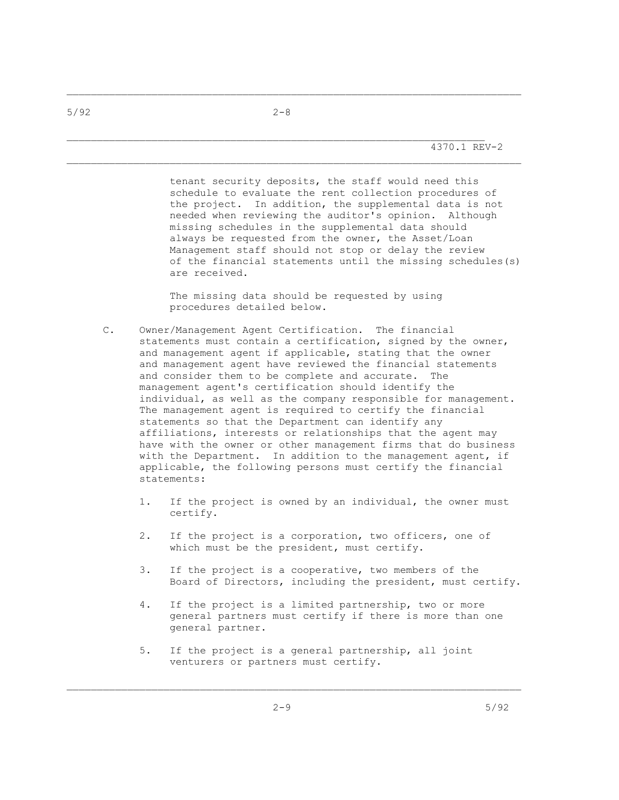4370.1 REV-2

 tenant security deposits, the staff would need this schedule to evaluate the rent collection procedures of the project. In addition, the supplemental data is not needed when reviewing the auditor's opinion. Although missing schedules in the supplemental data should always be requested from the owner, the Asset/Loan Management staff should not stop or delay the review of the financial statements until the missing schedules(s) are received.

 The missing data should be requested by using procedures detailed below.

- C. Owner/Management Agent Certification. The financial statements must contain a certification, signed by the owner, and management agent if applicable, stating that the owner and management agent have reviewed the financial statements and consider them to be complete and accurate. The management agent's certification should identify the individual, as well as the company responsible for management. The management agent is required to certify the financial statements so that the Department can identify any affiliations, interests or relationships that the agent may have with the owner or other management firms that do business with the Department. In addition to the management agent, if applicable, the following persons must certify the financial statements:
	- 1. If the project is owned by an individual, the owner must certify.
	- 2. If the project is a corporation, two officers, one of which must be the president, must certify.
	- 3. If the project is a cooperative, two members of the Board of Directors, including the president, must certify.
	- 4. If the project is a limited partnership, two or more general partners must certify if there is more than one general partner.
	- 5. If the project is a general partnership, all joint venturers or partners must certify.

\_\_\_\_\_\_\_\_\_\_\_\_\_\_\_\_\_\_\_\_\_\_\_\_\_\_\_\_\_\_\_\_\_\_\_\_\_\_\_\_\_\_\_\_\_\_\_\_\_\_\_\_\_\_\_\_\_\_\_\_\_\_\_\_\_\_\_\_\_\_\_\_\_\_\_

\_\_\_\_\_\_\_\_\_\_\_\_\_\_\_\_\_\_\_\_\_\_\_\_\_\_\_\_\_\_\_\_\_\_\_\_\_\_\_\_\_\_\_\_\_\_\_\_\_\_\_\_\_\_\_\_\_\_\_\_\_\_\_\_\_\_\_\_\_\_\_\_\_\_\_

 $5/92$  2-8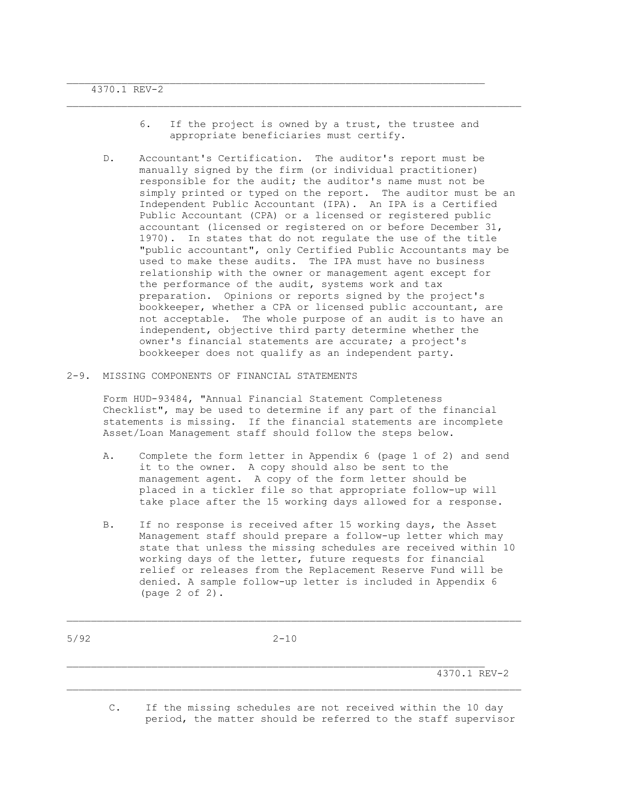6. If the project is owned by a trust, the trustee and appropriate beneficiaries must certify.

 $\mathcal{L}_\text{max}$ 

- D. Accountant's Certification. The auditor's report must be manually signed by the firm (or individual practitioner) responsible for the audit; the auditor's name must not be simply printed or typed on the report. The auditor must be an Independent Public Accountant (IPA). An IPA is a Certified Public Accountant (CPA) or a licensed or registered public accountant (licensed or registered on or before December 31, 1970). In states that do not regulate the use of the title "public accountant", only Certified Public Accountants may be used to make these audits. The IPA must have no business relationship with the owner or management agent except for the performance of the audit, systems work and tax preparation. Opinions or reports signed by the project's bookkeeper, whether a CPA or licensed public accountant, are not acceptable. The whole purpose of an audit is to have an independent, objective third party determine whether the owner's financial statements are accurate; a project's bookkeeper does not qualify as an independent party.
- 2-9. MISSING COMPONENTS OF FINANCIAL STATEMENTS

 Form HUD-93484, "Annual Financial Statement Completeness Checklist", may be used to determine if any part of the financial statements is missing. If the financial statements are incomplete Asset/Loan Management staff should follow the steps below.

- A. Complete the form letter in Appendix 6 (page 1 of 2) and send it to the owner. A copy should also be sent to the management agent. A copy of the form letter should be placed in a tickler file so that appropriate follow-up will take place after the 15 working days allowed for a response.
- B. If no response is received after 15 working days, the Asset Management staff should prepare a follow-up letter which may state that unless the missing schedules are received within 10 working days of the letter, future requests for financial relief or releases from the Replacement Reserve Fund will be denied. A sample follow-up letter is included in Appendix 6 (page 2 of 2).

 $\mathcal{L}_\text{max}$ 

4370.1 REV-2

 C. If the missing schedules are not received within the 10 day period, the matter should be referred to the staff supervisor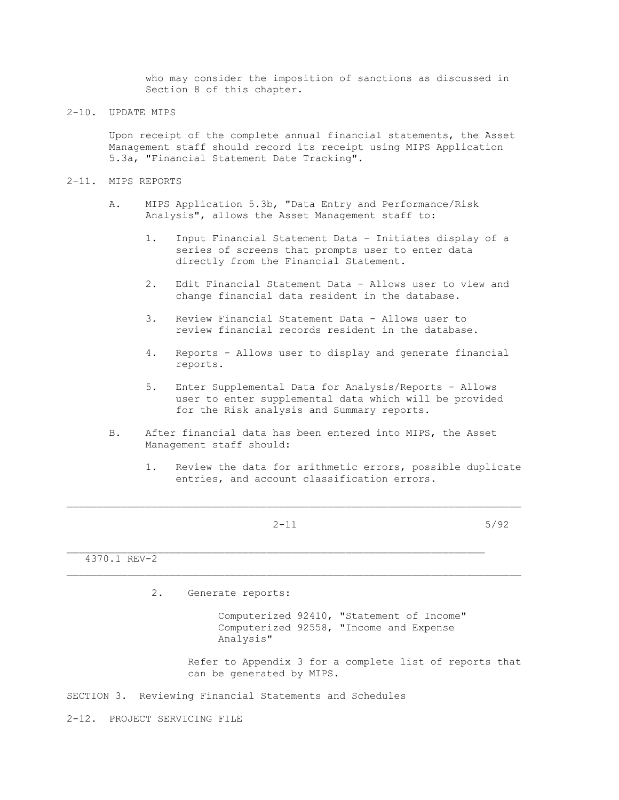who may consider the imposition of sanctions as discussed in Section 8 of this chapter.

2-10. UPDATE MIPS

 Upon receipt of the complete annual financial statements, the Asset Management staff should record its receipt using MIPS Application 5.3a, "Financial Statement Date Tracking".

- 2-11. MIPS REPORTS
	- A. MIPS Application 5.3b, "Data Entry and Performance/Risk Analysis", allows the Asset Management staff to:
		- 1. Input Financial Statement Data Initiates display of a series of screens that prompts user to enter data directly from the Financial Statement.
		- 2. Edit Financial Statement Data Allows user to view and change financial data resident in the database.
		- 3. Review Financial Statement Data Allows user to review financial records resident in the database.
		- 4. Reports Allows user to display and generate financial reports.
		- 5. Enter Supplemental Data for Analysis/Reports Allows user to enter supplemental data which will be provided for the Risk analysis and Summary reports.
	- B. After financial data has been entered into MIPS, the Asset Management staff should:
		- 1. Review the data for arithmetic errors, possible duplicate entries, and account classification errors.
			-

\_\_\_\_\_\_\_\_\_\_\_\_\_\_\_\_\_\_\_\_\_\_\_\_\_\_\_\_\_\_\_\_\_\_\_\_\_\_\_\_\_\_\_\_\_\_\_\_\_\_\_\_\_\_\_\_\_\_\_\_\_\_\_\_\_\_\_\_\_\_\_\_\_\_\_

 $2-11$  5/92

4370.1 REV-2

2. Generate reports:

 Computerized 92410, "Statement of Income" Computerized 92558, "Income and Expense Analysis"

 Refer to Appendix 3 for a complete list of reports that can be generated by MIPS.

SECTION 3. Reviewing Financial Statements and Schedules

2-12. PROJECT SERVICING FILE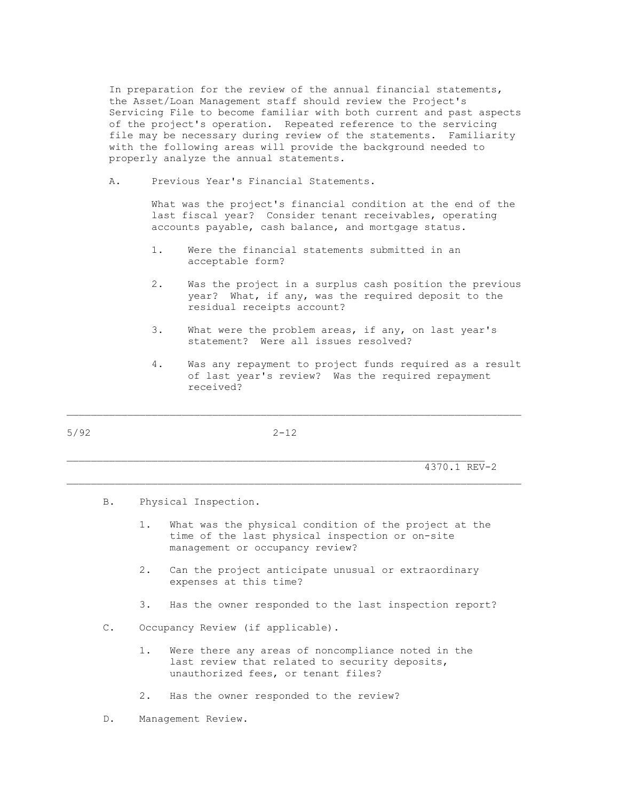In preparation for the review of the annual financial statements, the Asset/Loan Management staff should review the Project's Servicing File to become familiar with both current and past aspects of the project's operation. Repeated reference to the servicing file may be necessary during review of the statements. Familiarity with the following areas will provide the background needed to properly analyze the annual statements.

A. Previous Year's Financial Statements.

 What was the project's financial condition at the end of the last fiscal year? Consider tenant receivables, operating accounts payable, cash balance, and mortgage status.

- 1. Were the financial statements submitted in an acceptable form?
- 2. Was the project in a surplus cash position the previous year? What, if any, was the required deposit to the residual receipts account?
- 3. What were the problem areas, if any, on last year's statement? Were all issues resolved?
- 4. Was any repayment to project funds required as a result of last year's review? Was the required repayment received?

5/92 2-12

 $\mathcal{L}_\text{max}$ 

\_\_\_\_\_\_\_\_\_\_\_\_\_\_\_\_\_\_\_\_\_\_\_\_\_\_\_\_\_\_\_\_\_\_\_\_\_\_\_\_\_\_\_\_\_\_\_\_\_\_\_\_\_\_\_\_\_\_\_\_\_\_\_\_\_\_\_\_\_\_\_\_\_\_\_

4370.1 REV-2

- B. Physical Inspection.
	- 1. What was the physical condition of the project at the time of the last physical inspection or on-site management or occupancy review?
	- 2. Can the project anticipate unusual or extraordinary expenses at this time?
	- 3. Has the owner responded to the last inspection report?
- C. Occupancy Review (if applicable).
	- 1. Were there any areas of noncompliance noted in the last review that related to security deposits, unauthorized fees, or tenant files?
	- 2. Has the owner responded to the review?
- D. Management Review.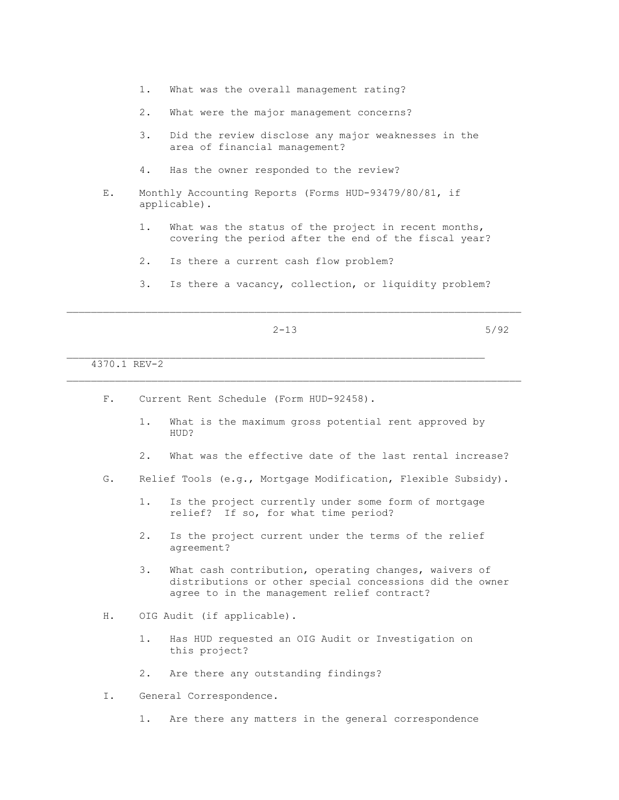- 1. What was the overall management rating?
- 2. What were the major management concerns?
- 3. Did the review disclose any major weaknesses in the area of financial management?
- 4. Has the owner responded to the review?
- E. Monthly Accounting Reports (Forms HUD-93479/80/81, if applicable).
	- 1. What was the status of the project in recent months, covering the period after the end of the fiscal year?
	- 2. Is there a current cash flow problem?

F. Current Rent Schedule (Form HUD-92458).

3. Is there a vacancy, collection, or liquidity problem?

$$
2-13 \hspace{3.2cm} 5/92
$$

 $\mathcal{L}_\text{max}$ 

\_\_\_\_\_\_\_\_\_\_\_\_\_\_\_\_\_\_\_\_\_\_\_\_\_\_\_\_\_\_\_\_\_\_\_\_\_\_\_\_\_\_\_\_\_\_\_\_\_\_\_\_\_\_\_\_\_\_\_\_\_\_\_\_\_\_\_\_\_\_\_\_\_\_\_

4370.1 REV-2

- 1. What is the maximum gross potential rent approved by HUD? 2. What was the effective date of the last rental increase? G. Relief Tools (e.g., Mortgage Modification, Flexible Subsidy). 1. Is the project currently under some form of mortgage relief? If so, for what time period? 2. Is the project current under the terms of the relief agreement? 3. What cash contribution, operating changes, waivers of distributions or other special concessions did the owner agree to in the management relief contract? H. OIG Audit (if applicable). 1. Has HUD requested an OIG Audit or Investigation on this project? 2. Are there any outstanding findings?
- I. General Correspondence.
	- 1. Are there any matters in the general correspondence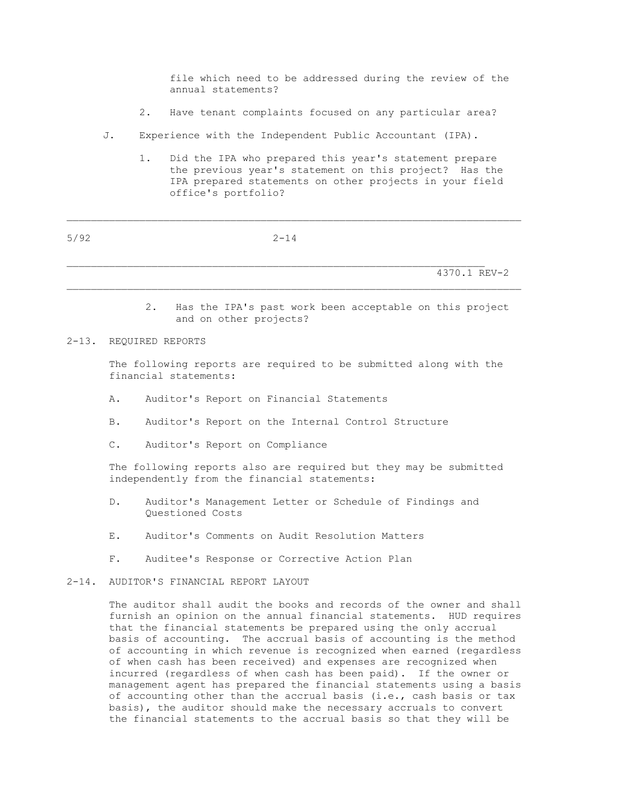file which need to be addressed during the review of the annual statements?

- 2. Have tenant complaints focused on any particular area?
- J. Experience with the Independent Public Accountant (IPA).
	- 1. Did the IPA who prepared this year's statement prepare the previous year's statement on this project? Has the IPA prepared statements on other projects in your field office's portfolio?

| 5/92 | $2 - 14$ |              |
|------|----------|--------------|
|      |          |              |
|      |          | 4370.1 REV-2 |

\_\_\_\_\_\_\_\_\_\_\_\_\_\_\_\_\_\_\_\_\_\_\_\_\_\_\_\_\_\_\_\_\_\_\_\_\_\_\_\_\_\_\_\_\_\_\_\_\_\_\_\_\_\_\_\_\_\_\_\_\_\_\_\_\_\_\_\_\_\_\_\_\_\_\_

 2. Has the IPA's past work been acceptable on this project and on other projects?

#### 2-13. REQUIRED REPORTS

 The following reports are required to be submitted along with the financial statements:

- A. Auditor's Report on Financial Statements
- B. Auditor's Report on the Internal Control Structure
- C. Auditor's Report on Compliance

 The following reports also are required but they may be submitted independently from the financial statements:

- D. Auditor's Management Letter or Schedule of Findings and Questioned Costs
- E. Auditor's Comments on Audit Resolution Matters
- F. Auditee's Response or Corrective Action Plan
- 2-14. AUDITOR'S FINANCIAL REPORT LAYOUT

 The auditor shall audit the books and records of the owner and shall furnish an opinion on the annual financial statements. HUD requires that the financial statements be prepared using the only accrual basis of accounting. The accrual basis of accounting is the method of accounting in which revenue is recognized when earned (regardless of when cash has been received) and expenses are recognized when incurred (regardless of when cash has been paid). If the owner or management agent has prepared the financial statements using a basis of accounting other than the accrual basis (i.e., cash basis or tax basis), the auditor should make the necessary accruals to convert the financial statements to the accrual basis so that they will be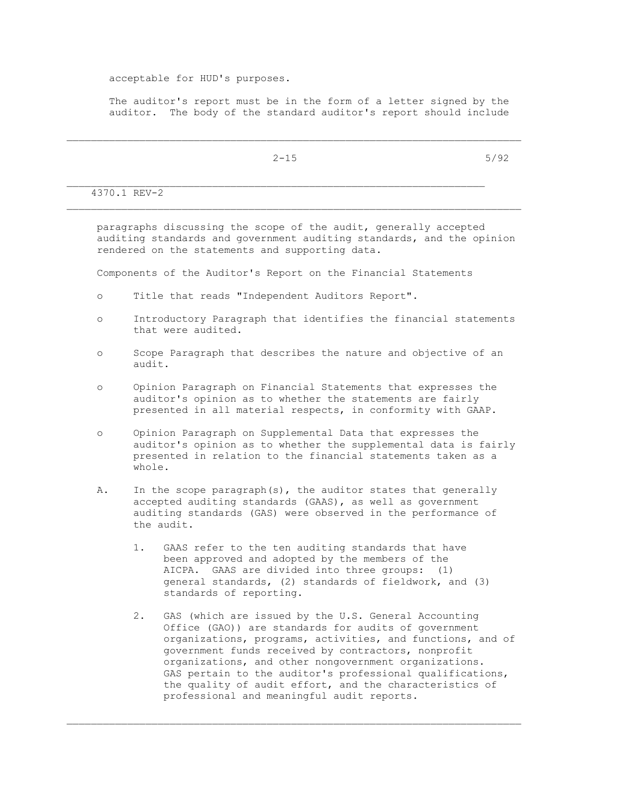acceptable for HUD's purposes.

 The auditor's report must be in the form of a letter signed by the auditor. The body of the standard auditor's report should include

 $2-15$  5/92

 $\mathcal{L}_\text{max}$ 4370.1 REV-2

 paragraphs discussing the scope of the audit, generally accepted auditing standards and government auditing standards, and the opinion rendered on the statements and supporting data.

Components of the Auditor's Report on the Financial Statements

- o Title that reads "Independent Auditors Report".
- o Introductory Paragraph that identifies the financial statements that were audited.
- o Scope Paragraph that describes the nature and objective of an audit.
- o Opinion Paragraph on Financial Statements that expresses the auditor's opinion as to whether the statements are fairly presented in all material respects, in conformity with GAAP.
- o Opinion Paragraph on Supplemental Data that expresses the auditor's opinion as to whether the supplemental data is fairly presented in relation to the financial statements taken as a whole.
- A. In the scope paragraph(s), the auditor states that generally accepted auditing standards (GAAS), as well as government auditing standards (GAS) were observed in the performance of the audit.
	- 1. GAAS refer to the ten auditing standards that have been approved and adopted by the members of the AICPA. GAAS are divided into three groups: (1) general standards, (2) standards of fieldwork, and (3) standards of reporting.
	- 2. GAS (which are issued by the U.S. General Accounting Office (GAO)) are standards for audits of government organizations, programs, activities, and functions, and of government funds received by contractors, nonprofit organizations, and other nongovernment organizations. GAS pertain to the auditor's professional qualifications, the quality of audit effort, and the characteristics of professional and meaningful audit reports.

\_\_\_\_\_\_\_\_\_\_\_\_\_\_\_\_\_\_\_\_\_\_\_\_\_\_\_\_\_\_\_\_\_\_\_\_\_\_\_\_\_\_\_\_\_\_\_\_\_\_\_\_\_\_\_\_\_\_\_\_\_\_\_\_\_\_\_\_\_\_\_\_\_\_\_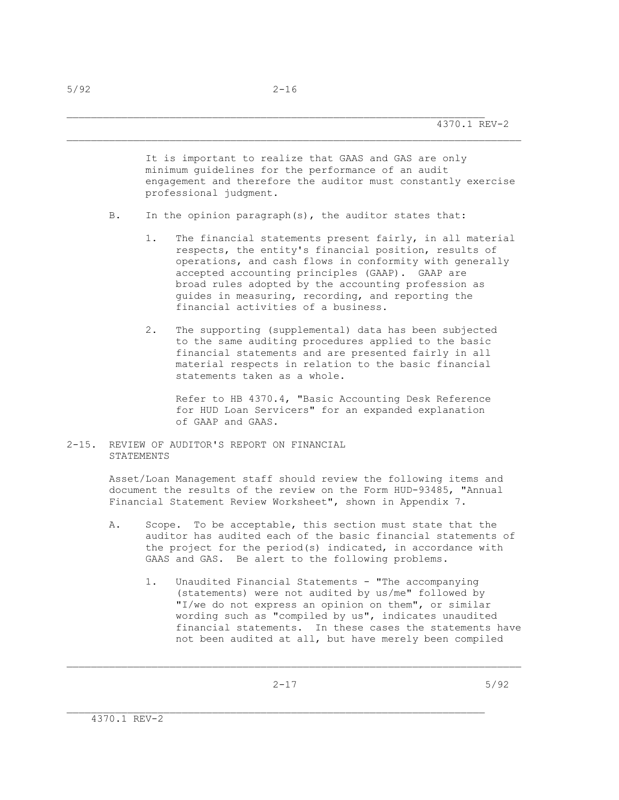It is important to realize that GAAS and GAS are only minimum guidelines for the performance of an audit engagement and therefore the auditor must constantly exercise professional judgment.

- B. In the opinion paragraph(s), the auditor states that:
	- 1. The financial statements present fairly, in all material respects, the entity's financial position, results of operations, and cash flows in conformity with generally accepted accounting principles (GAAP). GAAP are broad rules adopted by the accounting profession as guides in measuring, recording, and reporting the financial activities of a business.
	- 2. The supporting (supplemental) data has been subjected to the same auditing procedures applied to the basic financial statements and are presented fairly in all material respects in relation to the basic financial statements taken as a whole.

 Refer to HB 4370.4, "Basic Accounting Desk Reference for HUD Loan Servicers" for an expanded explanation of GAAP and GAAS.

2-15. REVIEW OF AUDITOR'S REPORT ON FINANCIAL STATEMENTS

> Asset/Loan Management staff should review the following items and document the results of the review on the Form HUD-93485, "Annual Financial Statement Review Worksheet", shown in Appendix 7.

- A. Scope. To be acceptable, this section must state that the auditor has audited each of the basic financial statements of the project for the period(s) indicated, in accordance with GAAS and GAS. Be alert to the following problems.
	- 1. Unaudited Financial Statements "The accompanying (statements) were not audited by us/me" followed by "I/we do not express an opinion on them", or similar wording such as "compiled by us", indicates unaudited financial statements. In these cases the statements have not been audited at all, but have merely been compiled

\_\_\_\_\_\_\_\_\_\_\_\_\_\_\_\_\_\_\_\_\_\_\_\_\_\_\_\_\_\_\_\_\_\_\_\_\_\_\_\_\_\_\_\_\_\_\_\_\_\_\_\_\_\_\_\_\_\_\_\_\_\_\_\_\_\_\_\_\_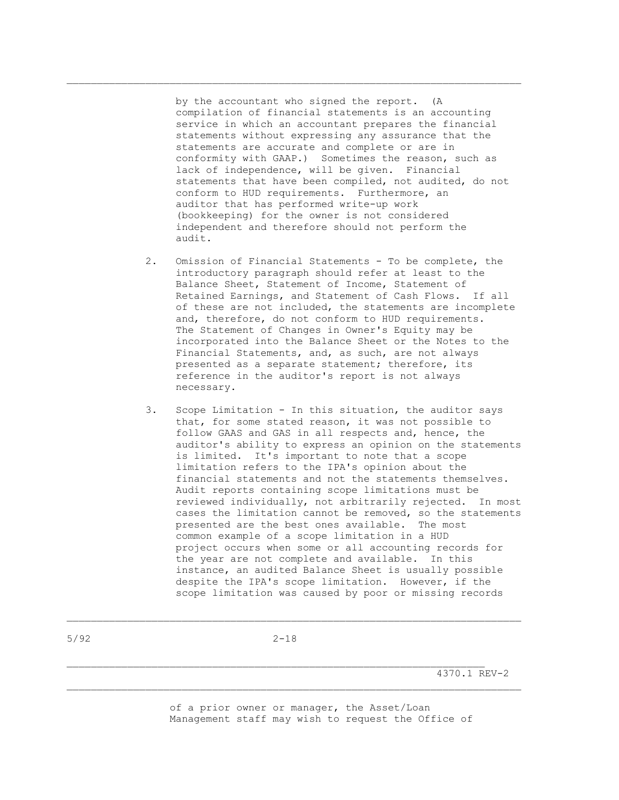by the accountant who signed the report. (A compilation of financial statements is an accounting service in which an accountant prepares the financial statements without expressing any assurance that the statements are accurate and complete or are in conformity with GAAP.) Sometimes the reason, such as lack of independence, will be given. Financial statements that have been compiled, not audited, do not conform to HUD requirements. Furthermore, an auditor that has performed write-up work (bookkeeping) for the owner is not considered independent and therefore should not perform the audit.

 $\mathcal{L}_\text{max}$ 

- 2. Omission of Financial Statements To be complete, the introductory paragraph should refer at least to the Balance Sheet, Statement of Income, Statement of Retained Earnings, and Statement of Cash Flows. If all of these are not included, the statements are incomplete and, therefore, do not conform to HUD requirements. The Statement of Changes in Owner's Equity may be incorporated into the Balance Sheet or the Notes to the Financial Statements, and, as such, are not always presented as a separate statement; therefore, its reference in the auditor's report is not always necessary.
- 3. Scope Limitation In this situation, the auditor says that, for some stated reason, it was not possible to follow GAAS and GAS in all respects and, hence, the auditor's ability to express an opinion on the statements is limited. It's important to note that a scope limitation refers to the IPA's opinion about the financial statements and not the statements themselves. Audit reports containing scope limitations must be reviewed individually, not arbitrarily rejected. In most cases the limitation cannot be removed, so the statements presented are the best ones available. The most common example of a scope limitation in a HUD project occurs when some or all accounting records for the year are not complete and available. In this instance, an audited Balance Sheet is usually possible despite the IPA's scope limitation. However, if the scope limitation was caused by poor or missing records

 $\mathcal{L}_\text{max}$ 

4370.1 REV-2

 of a prior owner or manager, the Asset/Loan Management staff may wish to request the Office of

5/92 2-18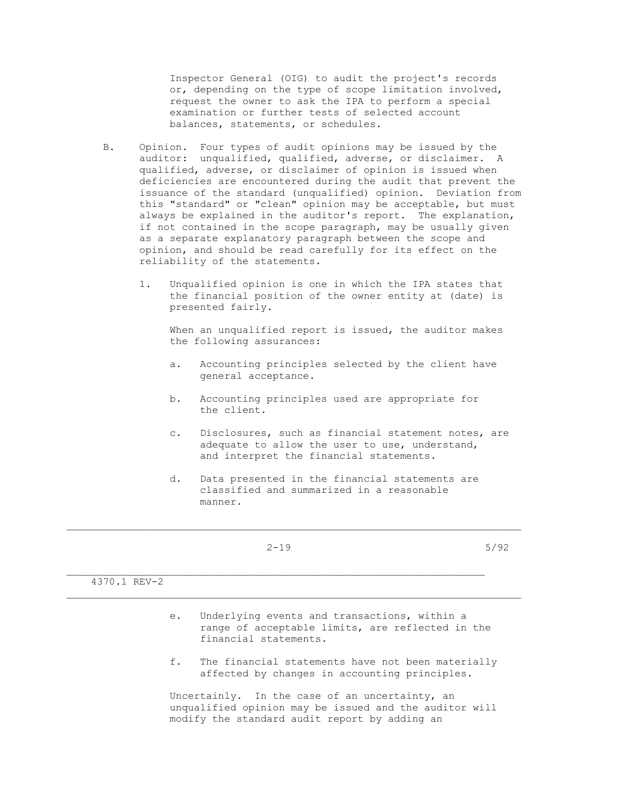Inspector General (OIG) to audit the project's records or, depending on the type of scope limitation involved, request the owner to ask the IPA to perform a special examination or further tests of selected account balances, statements, or schedules.

- B. Opinion. Four types of audit opinions may be issued by the auditor: unqualified, qualified, adverse, or disclaimer. A qualified, adverse, or disclaimer of opinion is issued when deficiencies are encountered during the audit that prevent the issuance of the standard (unqualified) opinion. Deviation from this "standard" or "clean" opinion may be acceptable, but must always be explained in the auditor's report. The explanation, if not contained in the scope paragraph, may be usually given as a separate explanatory paragraph between the scope and opinion, and should be read carefully for its effect on the reliability of the statements.
	- 1. Unqualified opinion is one in which the IPA states that the financial position of the owner entity at (date) is presented fairly.

When an unqualified report is issued, the auditor makes the following assurances:

- a. Accounting principles selected by the client have general acceptance.
- b. Accounting principles used are appropriate for the client.
- c. Disclosures, such as financial statement notes, are adequate to allow the user to use, understand, and interpret the financial statements.
- d. Data presented in the financial statements are classified and summarized in a reasonable manner.

 $2-19$  5/92

 $\mathcal{L}_\text{max}$ 

\_\_\_\_\_\_\_\_\_\_\_\_\_\_\_\_\_\_\_\_\_\_\_\_\_\_\_\_\_\_\_\_\_\_\_\_\_\_\_\_\_\_\_\_\_\_\_\_\_\_\_\_\_\_\_\_\_\_\_\_\_\_\_\_\_\_\_\_\_\_\_\_\_\_\_

4370.1 REV-2

- e. Underlying events and transactions, within a range of acceptable limits, are reflected in the financial statements.
- f. The financial statements have not been materially affected by changes in accounting principles.

 Uncertainly. In the case of an uncertainty, an unqualified opinion may be issued and the auditor will modify the standard audit report by adding an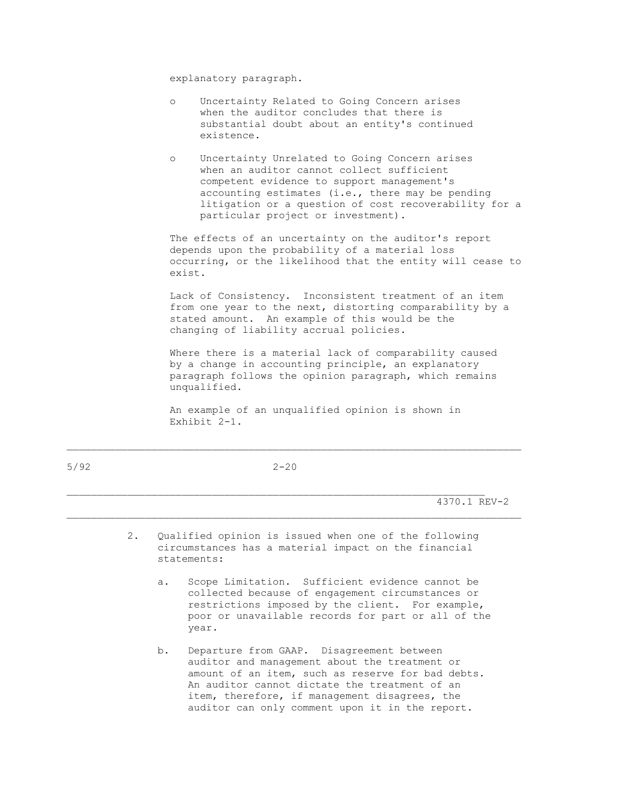explanatory paragraph.

- o Uncertainty Related to Going Concern arises when the auditor concludes that there is substantial doubt about an entity's continued existence.
- o Uncertainty Unrelated to Going Concern arises when an auditor cannot collect sufficient competent evidence to support management's accounting estimates (i.e., there may be pending litigation or a question of cost recoverability for a particular project or investment).

 The effects of an uncertainty on the auditor's report depends upon the probability of a material loss occurring, or the likelihood that the entity will cease to exist.

 Lack of Consistency. Inconsistent treatment of an item from one year to the next, distorting comparability by a stated amount. An example of this would be the changing of liability accrual policies.

 Where there is a material lack of comparability caused by a change in accounting principle, an explanatory paragraph follows the opinion paragraph, which remains unqualified.

 An example of an unqualified opinion is shown in Exhibit 2-1.

| 5/92 | $2 - 20$ |
|------|----------|
|      |          |

4370.1 REV-2

 2. Qualified opinion is issued when one of the following circumstances has a material impact on the financial statements:

 $\mathcal{L}_\text{max}$ 

\_\_\_\_\_\_\_\_\_\_\_\_\_\_\_\_\_\_\_\_\_\_\_\_\_\_\_\_\_\_\_\_\_\_\_\_\_\_\_\_\_\_\_\_\_\_\_\_\_\_\_\_\_\_\_\_\_\_\_\_\_\_\_\_\_\_\_\_\_

- a. Scope Limitation. Sufficient evidence cannot be collected because of engagement circumstances or restrictions imposed by the client. For example, poor or unavailable records for part or all of the year.
- b. Departure from GAAP. Disagreement between auditor and management about the treatment or amount of an item, such as reserve for bad debts. An auditor cannot dictate the treatment of an item, therefore, if management disagrees, the auditor can only comment upon it in the report.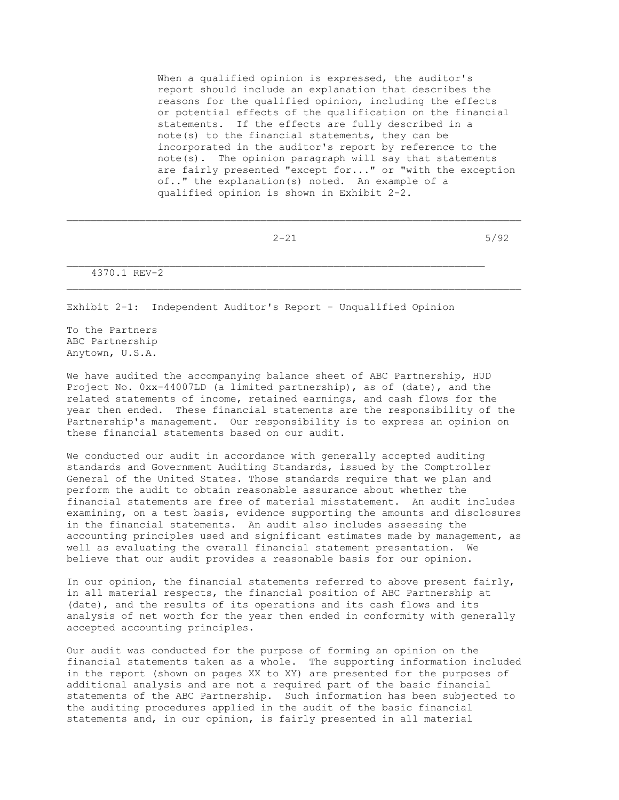When a qualified opinion is expressed, the auditor's report should include an explanation that describes the reasons for the qualified opinion, including the effects or potential effects of the qualification on the financial statements. If the effects are fully described in a note(s) to the financial statements, they can be incorporated in the auditor's report by reference to the note(s). The opinion paragraph will say that statements are fairly presented "except for..." or "with the exception of.." the explanation(s) noted. An example of a qualified opinion is shown in Exhibit 2-2.

\_\_\_\_\_\_\_\_\_\_\_\_\_\_\_\_\_\_\_\_\_\_\_\_\_\_\_\_\_\_\_\_\_\_\_\_\_\_\_\_\_\_\_\_\_\_\_\_\_\_\_\_\_\_\_\_\_\_\_\_\_\_\_\_\_\_\_\_\_\_\_\_\_\_\_

\_\_\_\_\_\_\_\_\_\_\_\_\_\_\_\_\_\_\_\_\_\_\_\_\_\_\_\_\_\_\_\_\_\_\_\_\_\_\_\_\_\_\_\_\_\_\_\_\_\_\_\_\_\_\_\_\_\_\_\_\_\_\_\_\_\_\_\_\_

 $2-21$  5/92

4370.1 REV-2

Exhibit 2-1: Independent Auditor's Report - Unqualified Opinion

To the Partners ABC Partnership Anytown, U.S.A.

We have audited the accompanying balance sheet of ABC Partnership, HUD Project No. 0xx-44007LD (a limited partnership), as of (date), and the related statements of income, retained earnings, and cash flows for the year then ended. These financial statements are the responsibility of the Partnership's management. Our responsibility is to express an opinion on these financial statements based on our audit.

We conducted our audit in accordance with generally accepted auditing standards and Government Auditing Standards, issued by the Comptroller General of the United States. Those standards require that we plan and perform the audit to obtain reasonable assurance about whether the financial statements are free of material misstatement. An audit includes examining, on a test basis, evidence supporting the amounts and disclosures in the financial statements. An audit also includes assessing the accounting principles used and significant estimates made by management, as well as evaluating the overall financial statement presentation. We believe that our audit provides a reasonable basis for our opinion.

In our opinion, the financial statements referred to above present fairly, in all material respects, the financial position of ABC Partnership at (date), and the results of its operations and its cash flows and its analysis of net worth for the year then ended in conformity with generally accepted accounting principles.

Our audit was conducted for the purpose of forming an opinion on the financial statements taken as a whole. The supporting information included in the report (shown on pages XX to XY) are presented for the purposes of additional analysis and are not a required part of the basic financial statements of the ABC Partnership. Such information has been subjected to the auditing procedures applied in the audit of the basic financial statements and, in our opinion, is fairly presented in all material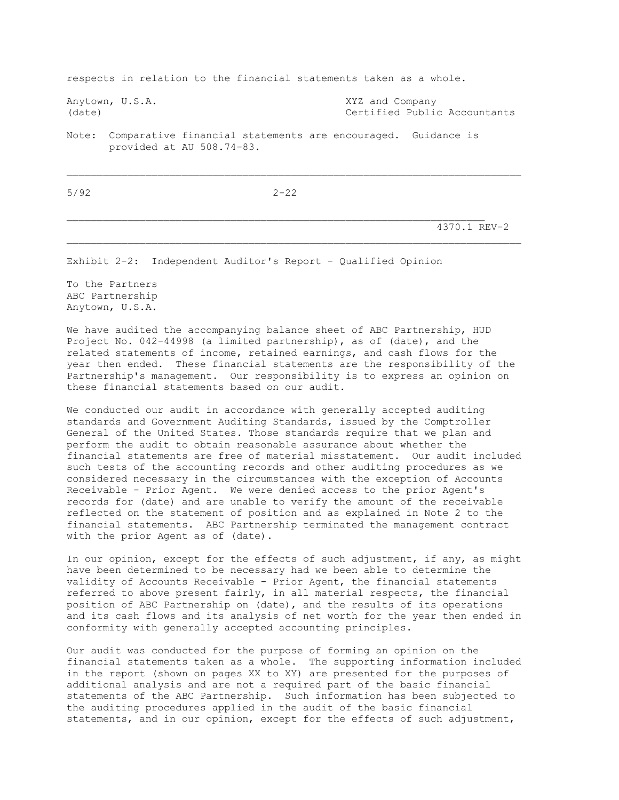respects in relation to the financial statements taken as a whole.

Anytown, U.S.A. XYZ and Company

(date) Certified Public Accountants

Note: Comparative financial statements are encouraged. Guidance is provided at AU 508.74-83.

5/92 2-22

\_\_\_\_\_\_\_\_\_\_\_\_\_\_\_\_\_\_\_\_\_\_\_\_\_\_\_\_\_\_\_\_\_\_\_\_\_\_\_\_\_\_\_\_\_\_\_\_\_\_\_\_\_\_\_\_\_\_\_\_\_\_\_\_\_\_\_\_\_\_\_\_\_\_\_

4370.1 REV-2

Exhibit 2-2: Independent Auditor's Report - Qualified Opinion

To the Partners ABC Partnership Anytown, U.S.A.

We have audited the accompanying balance sheet of ABC Partnership, HUD Project No. 042-44998 (a limited partnership), as of (date), and the related statements of income, retained earnings, and cash flows for the year then ended. These financial statements are the responsibility of the Partnership's management. Our responsibility is to express an opinion on these financial statements based on our audit.

We conducted our audit in accordance with generally accepted auditing standards and Government Auditing Standards, issued by the Comptroller General of the United States. Those standards require that we plan and perform the audit to obtain reasonable assurance about whether the financial statements are free of material misstatement. Our audit included such tests of the accounting records and other auditing procedures as we considered necessary in the circumstances with the exception of Accounts Receivable - Prior Agent. We were denied access to the prior Agent's records for (date) and are unable to verify the amount of the receivable reflected on the statement of position and as explained in Note 2 to the financial statements. ABC Partnership terminated the management contract with the prior Agent as of (date).

In our opinion, except for the effects of such adjustment, if any, as might have been determined to be necessary had we been able to determine the validity of Accounts Receivable - Prior Agent, the financial statements referred to above present fairly, in all material respects, the financial position of ABC Partnership on (date), and the results of its operations and its cash flows and its analysis of net worth for the year then ended in conformity with generally accepted accounting principles.

Our audit was conducted for the purpose of forming an opinion on the financial statements taken as a whole. The supporting information included in the report (shown on pages XX to XY) are presented for the purposes of additional analysis and are not a required part of the basic financial statements of the ABC Partnership. Such information has been subjected to the auditing procedures applied in the audit of the basic financial statements, and in our opinion, except for the effects of such adjustment,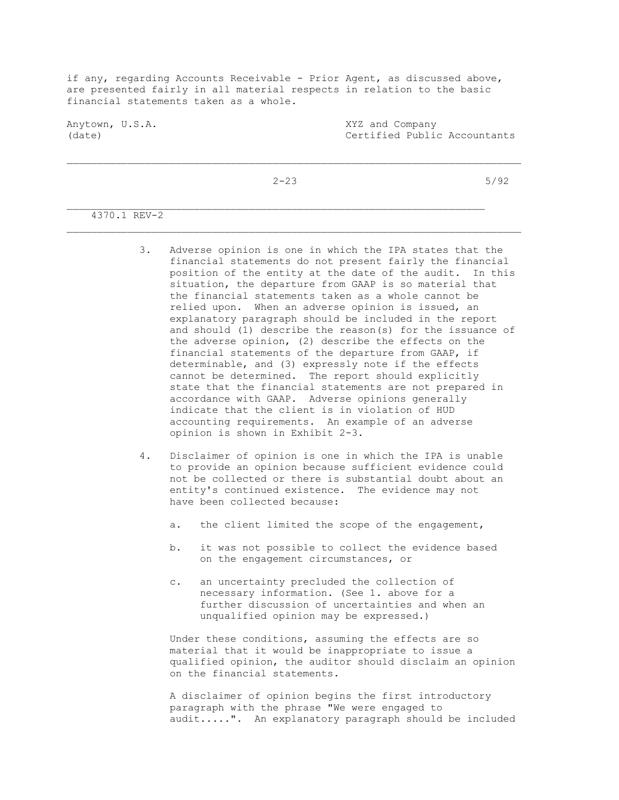if any, regarding Accounts Receivable - Prior Agent, as discussed above, are presented fairly in all material respects in relation to the basic financial statements taken as a whole.

Anytown, U.S.A. XYZ and Company (date) Certified Public Accountants

 $2-23$  5/92

\_\_\_\_\_\_\_\_\_\_\_\_\_\_\_\_\_\_\_\_\_\_\_\_\_\_\_\_\_\_\_\_\_\_\_\_\_\_\_\_\_\_\_\_\_\_\_\_\_\_\_\_\_\_\_\_\_\_\_\_\_\_\_\_\_\_\_\_\_\_\_\_\_\_\_

# 4370.1 REV-2

- 3. Adverse opinion is one in which the IPA states that the financial statements do not present fairly the financial position of the entity at the date of the audit. In this situation, the departure from GAAP is so material that the financial statements taken as a whole cannot be relied upon. When an adverse opinion is issued, an explanatory paragraph should be included in the report and should (1) describe the reason(s) for the issuance of the adverse opinion, (2) describe the effects on the financial statements of the departure from GAAP, if determinable, and (3) expressly note if the effects cannot be determined. The report should explicitly state that the financial statements are not prepared in accordance with GAAP. Adverse opinions generally indicate that the client is in violation of HUD accounting requirements. An example of an adverse opinion is shown in Exhibit 2-3.
- 4. Disclaimer of opinion is one in which the IPA is unable to provide an opinion because sufficient evidence could not be collected or there is substantial doubt about an entity's continued existence. The evidence may not have been collected because:
	- a. the client limited the scope of the engagement,
	- b. it was not possible to collect the evidence based on the engagement circumstances, or
	- c. an uncertainty precluded the collection of necessary information. (See 1. above for a further discussion of uncertainties and when an unqualified opinion may be expressed.)

 Under these conditions, assuming the effects are so material that it would be inappropriate to issue a qualified opinion, the auditor should disclaim an opinion on the financial statements.

 A disclaimer of opinion begins the first introductory paragraph with the phrase "We were engaged to audit.....". An explanatory paragraph should be included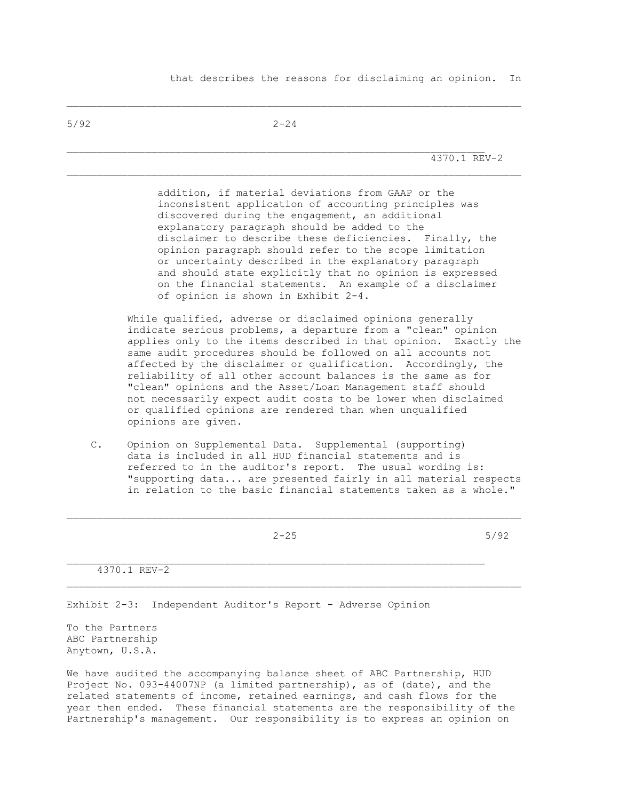5/92 2-24

\_\_\_\_\_\_\_\_\_\_\_\_\_\_\_\_\_\_\_\_\_\_\_\_\_\_\_\_\_\_\_\_\_\_\_\_\_\_\_\_\_\_\_\_\_\_\_\_\_\_\_\_\_\_\_\_\_\_\_\_\_\_\_\_\_\_\_\_\_\_\_\_\_\_\_

\_\_\_\_\_\_\_\_\_\_\_\_\_\_\_\_\_\_\_\_\_\_\_\_\_\_\_\_\_\_\_\_\_\_\_\_\_\_\_\_\_\_\_\_\_\_\_\_\_\_\_\_\_\_\_\_\_\_\_\_\_\_\_\_\_\_\_\_\_

4370.1 REV-2

 addition, if material deviations from GAAP or the inconsistent application of accounting principles was discovered during the engagement, an additional explanatory paragraph should be added to the disclaimer to describe these deficiencies. Finally, the opinion paragraph should refer to the scope limitation or uncertainty described in the explanatory paragraph and should state explicitly that no opinion is expressed on the financial statements. An example of a disclaimer of opinion is shown in Exhibit 2-4.

 While qualified, adverse or disclaimed opinions generally indicate serious problems, a departure from a "clean" opinion applies only to the items described in that opinion. Exactly the same audit procedures should be followed on all accounts not affected by the disclaimer or qualification. Accordingly, the reliability of all other account balances is the same as for "clean" opinions and the Asset/Loan Management staff should not necessarily expect audit costs to be lower when disclaimed or qualified opinions are rendered than when unqualified opinions are given.

 C. Opinion on Supplemental Data. Supplemental (supporting) data is included in all HUD financial statements and is referred to in the auditor's report. The usual wording is: "supporting data... are presented fairly in all material respects in relation to the basic financial statements taken as a whole."

 $\mathcal{L}_\text{max}$ 

 $2-25$  5/92

4370.1 REV-2

Exhibit 2-3: Independent Auditor's Report - Adverse Opinion

To the Partners ABC Partnership Anytown, U.S.A.

We have audited the accompanying balance sheet of ABC Partnership, HUD Project No. 093-44007NP (a limited partnership), as of (date), and the related statements of income, retained earnings, and cash flows for the year then ended. These financial statements are the responsibility of the Partnership's management. Our responsibility is to express an opinion on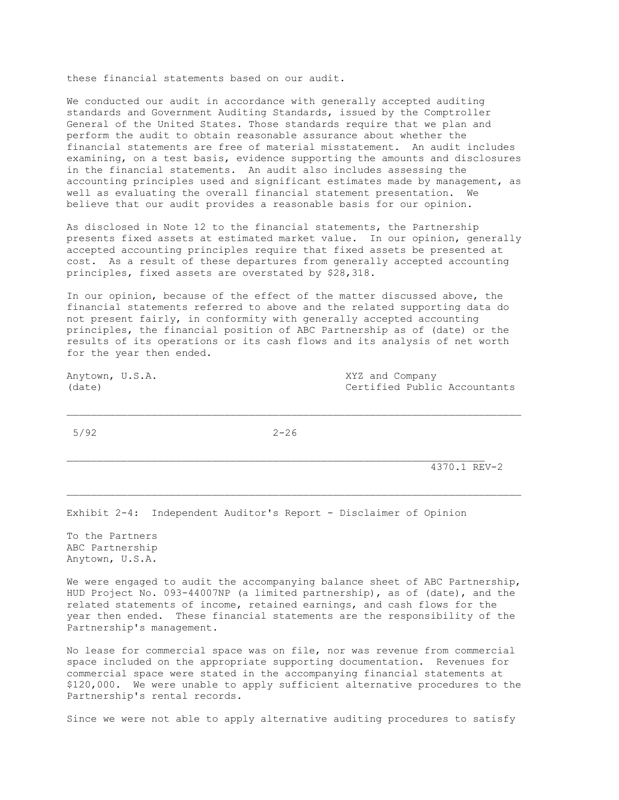these financial statements based on our audit.

We conducted our audit in accordance with generally accepted auditing standards and Government Auditing Standards, issued by the Comptroller General of the United States. Those standards require that we plan and perform the audit to obtain reasonable assurance about whether the financial statements are free of material misstatement. An audit includes examining, on a test basis, evidence supporting the amounts and disclosures in the financial statements. An audit also includes assessing the accounting principles used and significant estimates made by management, as well as evaluating the overall financial statement presentation. We believe that our audit provides a reasonable basis for our opinion.

As disclosed in Note 12 to the financial statements, the Partnership presents fixed assets at estimated market value. In our opinion, generally accepted accounting principles require that fixed assets be presented at cost. As a result of these departures from generally accepted accounting principles, fixed assets are overstated by \$28,318.

In our opinion, because of the effect of the matter discussed above, the financial statements referred to above and the related supporting data do not present fairly, in conformity with generally accepted accounting principles, the financial position of ABC Partnership as of (date) or the results of its operations or its cash flows and its analysis of net worth for the year then ended.

Anytown, U.S.A. XYZ and Company (date) (date) Certified Public Accountants

5/92 2-26

 $\mathcal{L}_\text{max}$ 

\_\_\_\_\_\_\_\_\_\_\_\_\_\_\_\_\_\_\_\_\_\_\_\_\_\_\_\_\_\_\_\_\_\_\_\_\_\_\_\_\_\_\_\_\_\_\_\_\_\_\_\_\_\_\_\_\_\_\_\_\_\_\_\_\_\_\_\_\_\_\_\_\_\_\_

4370.1 REV-2

Exhibit 2-4: Independent Auditor's Report - Disclaimer of Opinion

To the Partners ABC Partnership Anytown, U.S.A.

We were engaged to audit the accompanying balance sheet of ABC Partnership, HUD Project No. 093-44007NP (a limited partnership), as of (date), and the related statements of income, retained earnings, and cash flows for the year then ended. These financial statements are the responsibility of the Partnership's management.

No lease for commercial space was on file, nor was revenue from commercial space included on the appropriate supporting documentation. Revenues for commercial space were stated in the accompanying financial statements at \$120,000. We were unable to apply sufficient alternative procedures to the Partnership's rental records.

Since we were not able to apply alternative auditing procedures to satisfy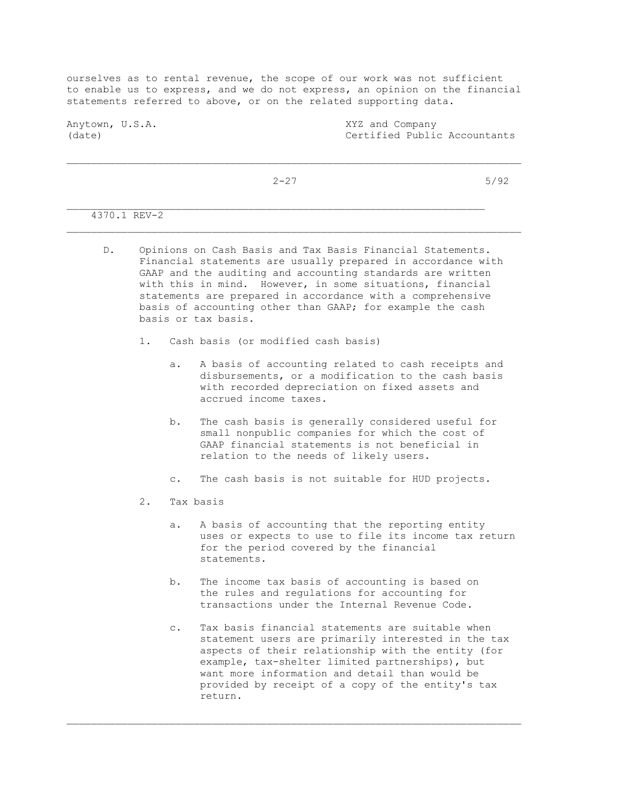ourselves as to rental revenue, the scope of our work was not sufficient to enable us to express, and we do not express, an opinion on the financial statements referred to above, or on the related supporting data.

Anytown, U.S.A. XYZ and Company (date) Certified Public Accountants

\_\_\_\_\_\_\_\_\_\_\_\_\_\_\_\_\_\_\_\_\_\_\_\_\_\_\_\_\_\_\_\_\_\_\_\_\_\_\_\_\_\_\_\_\_\_\_\_\_\_\_\_\_\_\_\_\_\_\_\_\_\_\_\_\_\_\_\_\_\_\_\_\_\_\_

 $2-27$  5/92

4370.1 REV-2

- D. Opinions on Cash Basis and Tax Basis Financial Statements. Financial statements are usually prepared in accordance with GAAP and the auditing and accounting standards are written with this in mind. However, in some situations, financial statements are prepared in accordance with a comprehensive basis of accounting other than GAAP; for example the cash basis or tax basis.
	- 1. Cash basis (or modified cash basis)
		- a. A basis of accounting related to cash receipts and disbursements, or a modification to the cash basis with recorded depreciation on fixed assets and accrued income taxes.
		- b. The cash basis is generally considered useful for small nonpublic companies for which the cost of GAAP financial statements is not beneficial in relation to the needs of likely users.
		- c. The cash basis is not suitable for HUD projects.
	- 2. Tax basis
		- a. A basis of accounting that the reporting entity uses or expects to use to file its income tax return for the period covered by the financial statements.
		- b. The income tax basis of accounting is based on the rules and regulations for accounting for transactions under the Internal Revenue Code.

\_\_\_\_\_\_\_\_\_\_\_\_\_\_\_\_\_\_\_\_\_\_\_\_\_\_\_\_\_\_\_\_\_\_\_\_\_\_\_\_\_\_\_\_\_\_\_\_\_\_\_\_\_\_\_\_\_\_\_\_\_\_\_\_\_\_\_\_\_\_\_\_\_\_\_

 c. Tax basis financial statements are suitable when statement users are primarily interested in the tax aspects of their relationship with the entity (for example, tax-shelter limited partnerships), but want more information and detail than would be provided by receipt of a copy of the entity's tax return.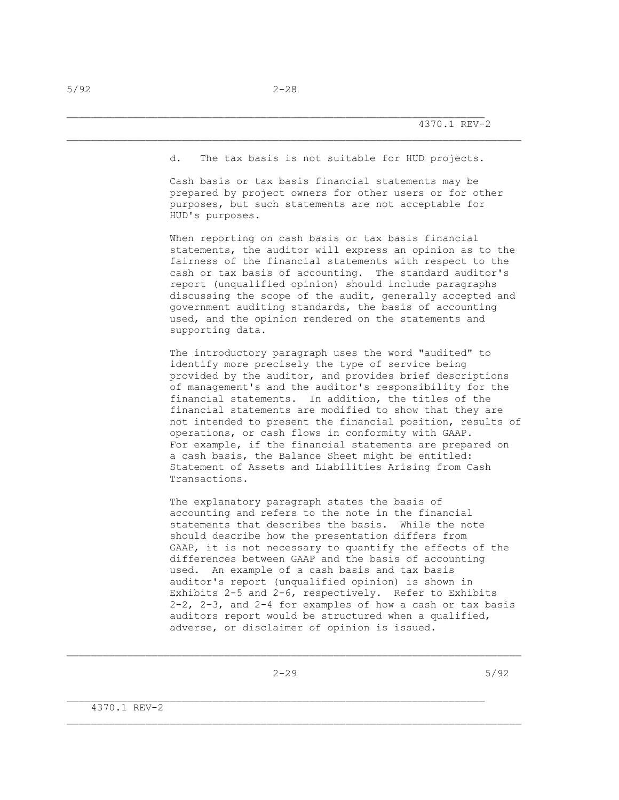d. The tax basis is not suitable for HUD projects.

 Cash basis or tax basis financial statements may be prepared by project owners for other users or for other purposes, but such statements are not acceptable for HUD's purposes.

 When reporting on cash basis or tax basis financial statements, the auditor will express an opinion as to the fairness of the financial statements with respect to the cash or tax basis of accounting. The standard auditor's report (unqualified opinion) should include paragraphs discussing the scope of the audit, generally accepted and government auditing standards, the basis of accounting used, and the opinion rendered on the statements and supporting data.

 The introductory paragraph uses the word "audited" to identify more precisely the type of service being provided by the auditor, and provides brief descriptions of management's and the auditor's responsibility for the financial statements. In addition, the titles of the financial statements are modified to show that they are not intended to present the financial position, results of operations, or cash flows in conformity with GAAP. For example, if the financial statements are prepared on a cash basis, the Balance Sheet might be entitled: Statement of Assets and Liabilities Arising from Cash Transactions.

 The explanatory paragraph states the basis of accounting and refers to the note in the financial statements that describes the basis. While the note should describe how the presentation differs from GAAP, it is not necessary to quantify the effects of the differences between GAAP and the basis of accounting used. An example of a cash basis and tax basis auditor's report (unqualified opinion) is shown in Exhibits 2-5 and 2-6, respectively. Refer to Exhibits 2-2, 2-3, and 2-4 for examples of how a cash or tax basis auditors report would be structured when a qualified, adverse, or disclaimer of opinion is issued.

\_\_\_\_\_\_\_\_\_\_\_\_\_\_\_\_\_\_\_\_\_\_\_\_\_\_\_\_\_\_\_\_\_\_\_\_\_\_\_\_\_\_\_\_\_\_\_\_\_\_\_\_\_\_\_\_\_\_\_\_\_\_\_\_\_\_\_\_\_\_\_\_\_\_\_

 $2-29$  5/92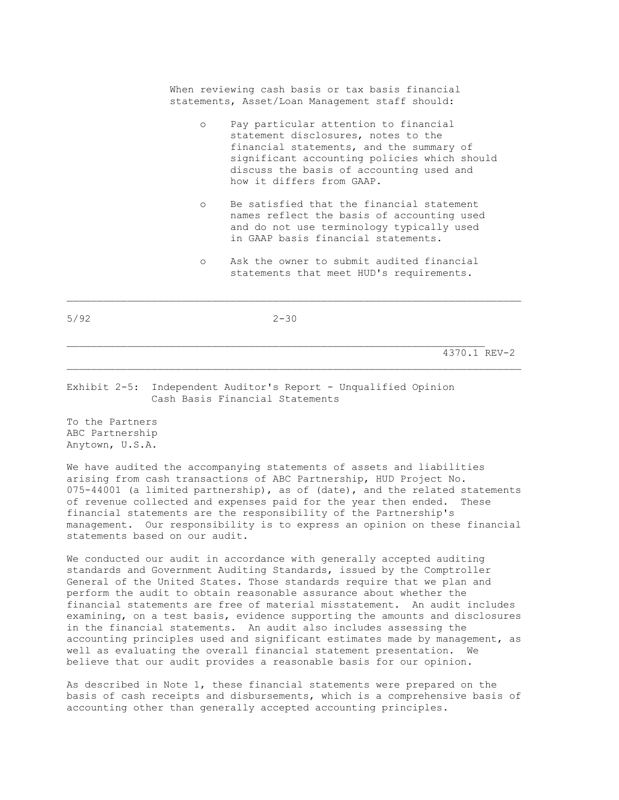When reviewing cash basis or tax basis financial statements, Asset/Loan Management staff should:

- o Pay particular attention to financial statement disclosures, notes to the financial statements, and the summary of significant accounting policies which should discuss the basis of accounting used and how it differs from GAAP.
- o Be satisfied that the financial statement names reflect the basis of accounting used and do not use terminology typically used in GAAP basis financial statements.
- o Ask the owner to submit audited financial statements that meet HUD's requirements.

5/92 2-30

 $\mathcal{L}_\text{max}$ 

4370.1 REV-2

#### Exhibit 2-5: Independent Auditor's Report - Unqualified Opinion Cash Basis Financial Statements

To the Partners ABC Partnership Anytown, U.S.A.

We have audited the accompanying statements of assets and liabilities arising from cash transactions of ABC Partnership, HUD Project No. 075-44001 (a limited partnership), as of (date), and the related statements of revenue collected and expenses paid for the year then ended. These financial statements are the responsibility of the Partnership's management. Our responsibility is to express an opinion on these financial statements based on our audit.

We conducted our audit in accordance with generally accepted auditing standards and Government Auditing Standards, issued by the Comptroller General of the United States. Those standards require that we plan and perform the audit to obtain reasonable assurance about whether the financial statements are free of material misstatement. An audit includes examining, on a test basis, evidence supporting the amounts and disclosures in the financial statements. An audit also includes assessing the accounting principles used and significant estimates made by management, as well as evaluating the overall financial statement presentation. We believe that our audit provides a reasonable basis for our opinion.

As described in Note 1, these financial statements were prepared on the basis of cash receipts and disbursements, which is a comprehensive basis of accounting other than generally accepted accounting principles.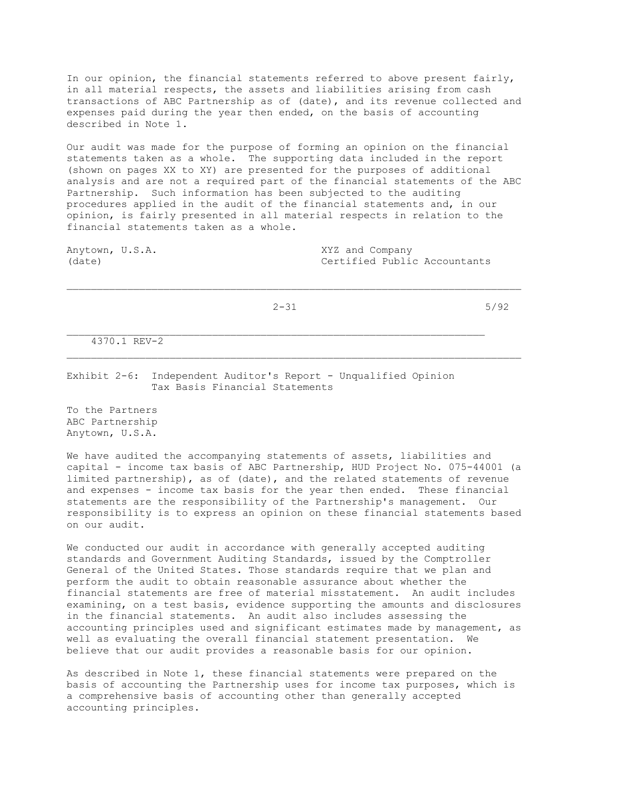In our opinion, the financial statements referred to above present fairly, in all material respects, the assets and liabilities arising from cash transactions of ABC Partnership as of (date), and its revenue collected and expenses paid during the year then ended, on the basis of accounting described in Note 1.

Our audit was made for the purpose of forming an opinion on the financial statements taken as a whole. The supporting data included in the report (shown on pages XX to XY) are presented for the purposes of additional analysis and are not a required part of the financial statements of the ABC Partnership. Such information has been subjected to the auditing procedures applied in the audit of the financial statements and, in our opinion, is fairly presented in all material respects in relation to the financial statements taken as a whole.

Anytown, U.S.A. XYZ and Company

(date) Certified Public Accountants

 $2-31$  5/92

\_\_\_\_\_\_\_\_\_\_\_\_\_\_\_\_\_\_\_\_\_\_\_\_\_\_\_\_\_\_\_\_\_\_\_\_\_\_\_\_\_\_\_\_\_\_\_\_\_\_\_\_\_\_\_\_\_\_\_\_\_\_\_\_\_\_\_\_\_\_\_\_\_\_\_

4370.1 REV-2

Exhibit 2-6: Independent Auditor's Report - Unqualified Opinion Tax Basis Financial Statements

To the Partners ABC Partnership Anytown, U.S.A.

We have audited the accompanying statements of assets, liabilities and capital - income tax basis of ABC Partnership, HUD Project No. 075-44001 (a limited partnership), as of (date), and the related statements of revenue and expenses - income tax basis for the year then ended. These financial statements are the responsibility of the Partnership's management. Our responsibility is to express an opinion on these financial statements based on our audit.

We conducted our audit in accordance with generally accepted auditing standards and Government Auditing Standards, issued by the Comptroller General of the United States. Those standards require that we plan and perform the audit to obtain reasonable assurance about whether the financial statements are free of material misstatement. An audit includes examining, on a test basis, evidence supporting the amounts and disclosures in the financial statements. An audit also includes assessing the accounting principles used and significant estimates made by management, as well as evaluating the overall financial statement presentation. We believe that our audit provides a reasonable basis for our opinion.

As described in Note 1, these financial statements were prepared on the basis of accounting the Partnership uses for income tax purposes, which is a comprehensive basis of accounting other than generally accepted accounting principles.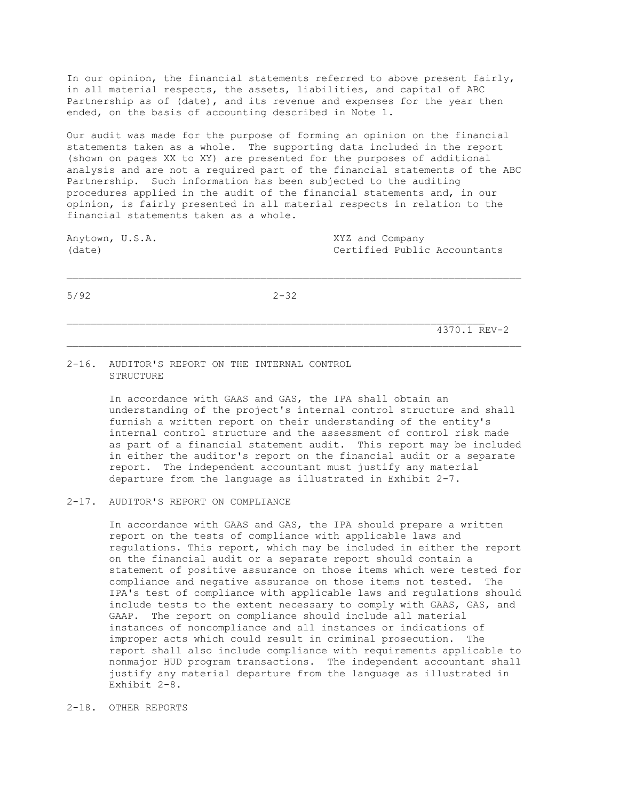In our opinion, the financial statements referred to above present fairly, in all material respects, the assets, liabilities, and capital of ABC Partnership as of (date), and its revenue and expenses for the year then ended, on the basis of accounting described in Note 1.

Our audit was made for the purpose of forming an opinion on the financial statements taken as a whole. The supporting data included in the report (shown on pages XX to XY) are presented for the purposes of additional analysis and are not a required part of the financial statements of the ABC Partnership. Such information has been subjected to the auditing procedures applied in the audit of the financial statements and, in our opinion, is fairly presented in all material respects in relation to the financial statements taken as a whole.

Anytown, U.S.A. XYZ and Company (date) Certified Public Accountants

5/92 2-32

\_\_\_\_\_\_\_\_\_\_\_\_\_\_\_\_\_\_\_\_\_\_\_\_\_\_\_\_\_\_\_\_\_\_\_\_\_\_\_\_\_\_\_\_\_\_\_\_\_\_\_\_\_\_\_\_\_\_\_\_\_\_\_\_\_\_\_\_\_\_\_\_\_\_\_

4370.1 REV-2

#### 2-16. AUDITOR'S REPORT ON THE INTERNAL CONTROL STRUCTURE

 In accordance with GAAS and GAS, the IPA shall obtain an understanding of the project's internal control structure and shall furnish a written report on their understanding of the entity's internal control structure and the assessment of control risk made as part of a financial statement audit. This report may be included in either the auditor's report on the financial audit or a separate report. The independent accountant must justify any material departure from the language as illustrated in Exhibit 2-7.

## 2-17. AUDITOR'S REPORT ON COMPLIANCE

 In accordance with GAAS and GAS, the IPA should prepare a written report on the tests of compliance with applicable laws and regulations. This report, which may be included in either the report on the financial audit or a separate report should contain a statement of positive assurance on those items which were tested for compliance and negative assurance on those items not tested. The IPA's test of compliance with applicable laws and regulations should include tests to the extent necessary to comply with GAAS, GAS, and GAAP. The report on compliance should include all material instances of noncompliance and all instances or indications of improper acts which could result in criminal prosecution. The report shall also include compliance with requirements applicable to nonmajor HUD program transactions. The independent accountant shall justify any material departure from the language as illustrated in Exhibit 2-8.

#### 2-18. OTHER REPORTS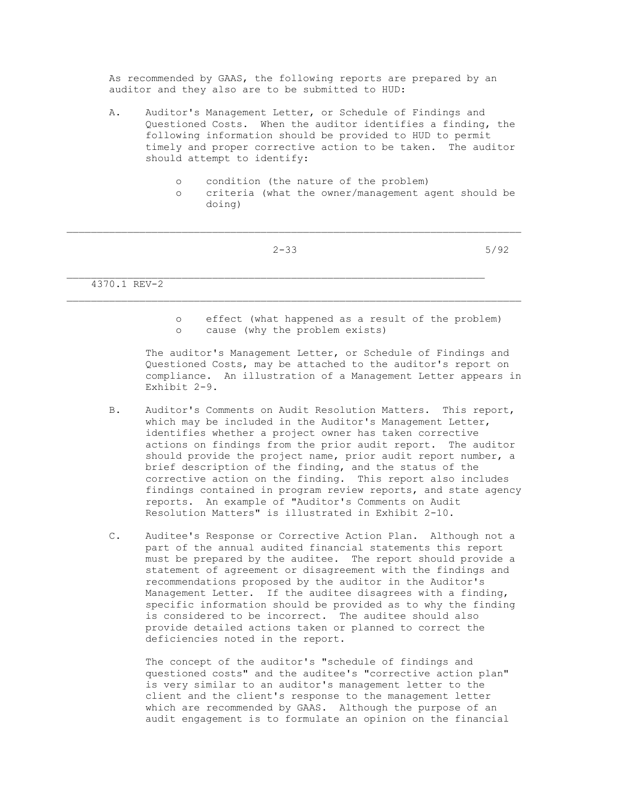As recommended by GAAS, the following reports are prepared by an auditor and they also are to be submitted to HUD:

- A. Auditor's Management Letter, or Schedule of Findings and Questioned Costs. When the auditor identifies a finding, the following information should be provided to HUD to permit timely and proper corrective action to be taken. The auditor should attempt to identify:
	- o condition (the nature of the problem)

\_\_\_\_\_\_\_\_\_\_\_\_\_\_\_\_\_\_\_\_\_\_\_\_\_\_\_\_\_\_\_\_\_\_\_\_\_\_\_\_\_\_\_\_\_\_\_\_\_\_\_\_\_\_\_\_\_\_\_\_\_\_\_\_\_\_\_\_\_

 $\mathcal{L}_\text{max}$ 

 o criteria (what the owner/management agent should be doing)

| 5/92<br>$2 - 33$<br>└<br>$ -$ |
|-------------------------------|
|-------------------------------|

4370.1 REV-2

 o effect (what happened as a result of the problem) o cause (why the problem exists)

 The auditor's Management Letter, or Schedule of Findings and Questioned Costs, may be attached to the auditor's report on compliance. An illustration of a Management Letter appears in Exhibit 2-9.

- B. Auditor's Comments on Audit Resolution Matters. This report, which may be included in the Auditor's Management Letter, identifies whether a project owner has taken corrective actions on findings from the prior audit report. The auditor should provide the project name, prior audit report number, a brief description of the finding, and the status of the corrective action on the finding. This report also includes findings contained in program review reports, and state agency reports. An example of "Auditor's Comments on Audit Resolution Matters" is illustrated in Exhibit 2-10.
- C. Auditee's Response or Corrective Action Plan. Although not a part of the annual audited financial statements this report must be prepared by the auditee. The report should provide a statement of agreement or disagreement with the findings and recommendations proposed by the auditor in the Auditor's Management Letter. If the auditee disagrees with a finding, specific information should be provided as to why the finding is considered to be incorrect. The auditee should also provide detailed actions taken or planned to correct the deficiencies noted in the report.

 The concept of the auditor's "schedule of findings and questioned costs" and the auditee's "corrective action plan" is very similar to an auditor's management letter to the client and the client's response to the management letter which are recommended by GAAS. Although the purpose of an audit engagement is to formulate an opinion on the financial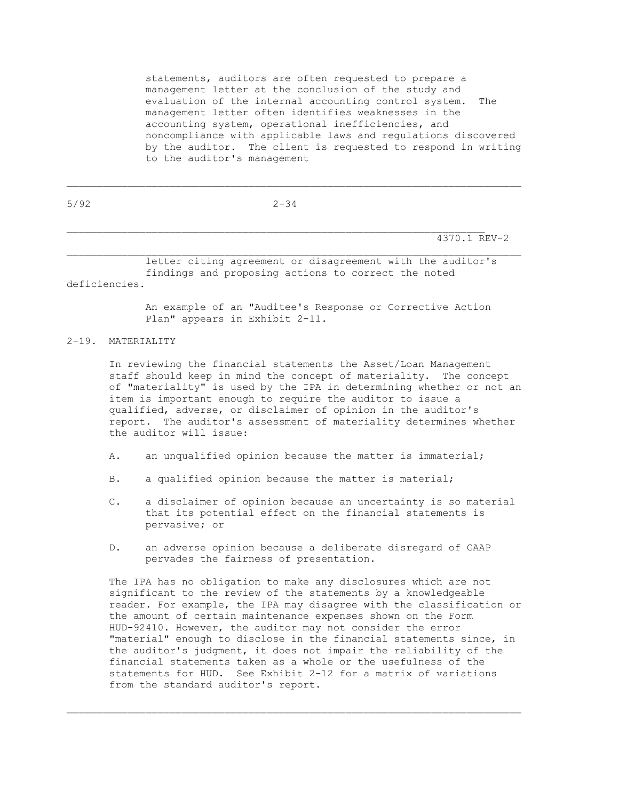statements, auditors are often requested to prepare a management letter at the conclusion of the study and evaluation of the internal accounting control system. The management letter often identifies weaknesses in the accounting system, operational inefficiencies, and noncompliance with applicable laws and regulations discovered by the auditor. The client is requested to respond in writing to the auditor's management

| 5/92          | $2 - 34$                                                                                                          |
|---------------|-------------------------------------------------------------------------------------------------------------------|
|               | 4370.1 REV-2                                                                                                      |
| deficiencies. | letter citing agreement or disagreement with the auditor's<br>findings and proposing actions to correct the noted |
|               | An example of an "Auditee's Response or Corrective Action                                                         |

 $\mathcal{L}_\text{max}$ 

esponse or Corrective Plan" appears in Exhibit 2-11.

## 2-19. MATERIALITY

 In reviewing the financial statements the Asset/Loan Management staff should keep in mind the concept of materiality. The concept of "materiality" is used by the IPA in determining whether or not an item is important enough to require the auditor to issue a qualified, adverse, or disclaimer of opinion in the auditor's report. The auditor's assessment of materiality determines whether the auditor will issue:

- A. an unqualified opinion because the matter is immaterial;
- B. a qualified opinion because the matter is material;
- C. a disclaimer of opinion because an uncertainty is so material that its potential effect on the financial statements is pervasive; or
- D. an adverse opinion because a deliberate disregard of GAAP pervades the fairness of presentation.

 The IPA has no obligation to make any disclosures which are not significant to the review of the statements by a knowledgeable reader. For example, the IPA may disagree with the classification or the amount of certain maintenance expenses shown on the Form HUD-92410. However, the auditor may not consider the error "material" enough to disclose in the financial statements since, in the auditor's judgment, it does not impair the reliability of the financial statements taken as a whole or the usefulness of the statements for HUD. See Exhibit 2-12 for a matrix of variations from the standard auditor's report.

\_\_\_\_\_\_\_\_\_\_\_\_\_\_\_\_\_\_\_\_\_\_\_\_\_\_\_\_\_\_\_\_\_\_\_\_\_\_\_\_\_\_\_\_\_\_\_\_\_\_\_\_\_\_\_\_\_\_\_\_\_\_\_\_\_\_\_\_\_\_\_\_\_\_\_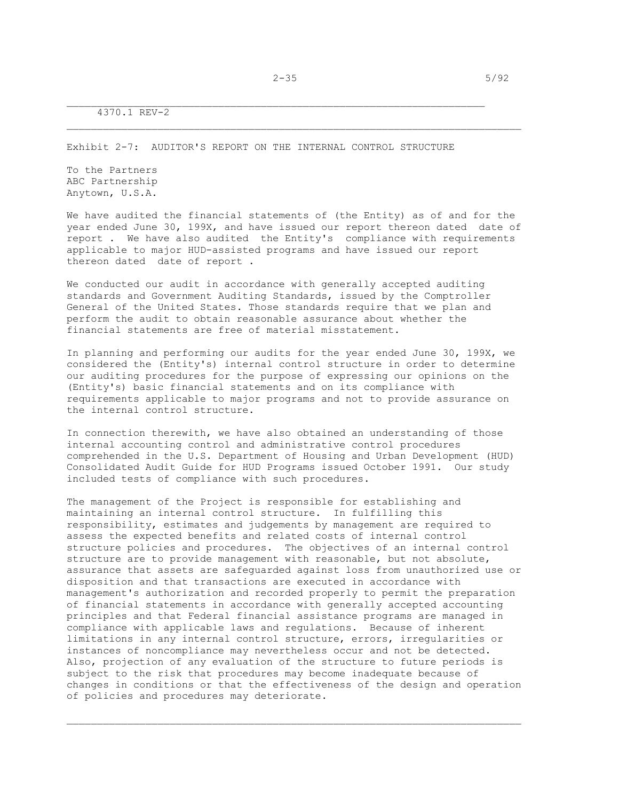Exhibit 2-7: AUDITOR'S REPORT ON THE INTERNAL CONTROL STRUCTURE

To the Partners ABC Partnership Anytown, U.S.A.

We have audited the financial statements of (the Entity) as of and for the year ended June 30, 199X, and have issued our report thereon dated date of report . We have also audited the Entity's compliance with requirements applicable to major HUD-assisted programs and have issued our report thereon dated date of report .

We conducted our audit in accordance with generally accepted auditing standards and Government Auditing Standards, issued by the Comptroller General of the United States. Those standards require that we plan and perform the audit to obtain reasonable assurance about whether the financial statements are free of material misstatement.

In planning and performing our audits for the year ended June 30, 199X, we considered the (Entity's) internal control structure in order to determine our auditing procedures for the purpose of expressing our opinions on the (Entity's) basic financial statements and on its compliance with requirements applicable to major programs and not to provide assurance on the internal control structure.

In connection therewith, we have also obtained an understanding of those internal accounting control and administrative control procedures comprehended in the U.S. Department of Housing and Urban Development (HUD) Consolidated Audit Guide for HUD Programs issued October 1991. Our study included tests of compliance with such procedures.

The management of the Project is responsible for establishing and maintaining an internal control structure. In fulfilling this responsibility, estimates and judgements by management are required to assess the expected benefits and related costs of internal control structure policies and procedures. The objectives of an internal control structure are to provide management with reasonable, but not absolute, assurance that assets are safeguarded against loss from unauthorized use or disposition and that transactions are executed in accordance with management's authorization and recorded properly to permit the preparation of financial statements in accordance with generally accepted accounting principles and that Federal financial assistance programs are managed in compliance with applicable laws and regulations. Because of inherent limitations in any internal control structure, errors, irregularities or instances of noncompliance may nevertheless occur and not be detected. Also, projection of any evaluation of the structure to future periods is subject to the risk that procedures may become inadequate because of changes in conditions or that the effectiveness of the design and operation of policies and procedures may deteriorate.

\_\_\_\_\_\_\_\_\_\_\_\_\_\_\_\_\_\_\_\_\_\_\_\_\_\_\_\_\_\_\_\_\_\_\_\_\_\_\_\_\_\_\_\_\_\_\_\_\_\_\_\_\_\_\_\_\_\_\_\_\_\_\_\_\_\_\_\_\_\_\_\_\_\_\_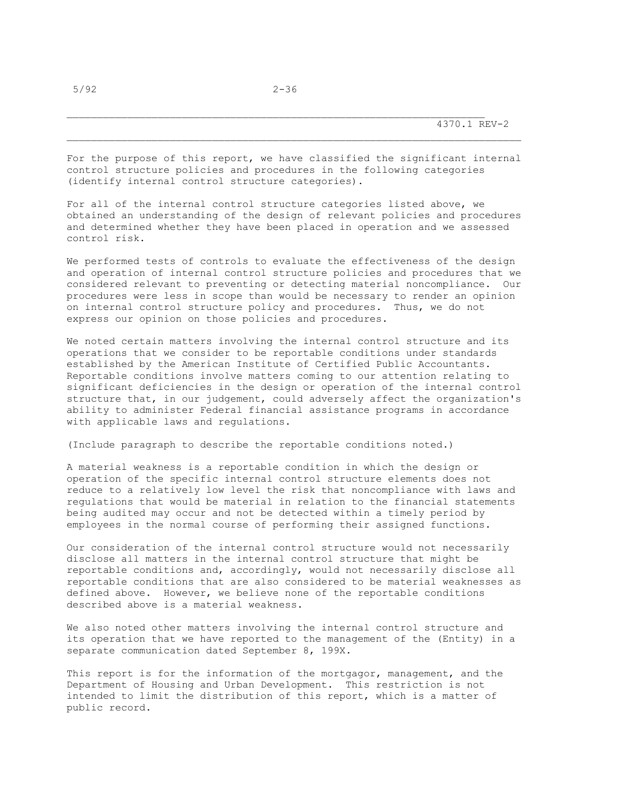For the purpose of this report, we have classified the significant internal control structure policies and procedures in the following categories (identify internal control structure categories).

For all of the internal control structure categories listed above, we obtained an understanding of the design of relevant policies and procedures and determined whether they have been placed in operation and we assessed control risk.

We performed tests of controls to evaluate the effectiveness of the design and operation of internal control structure policies and procedures that we considered relevant to preventing or detecting material noncompliance. Our procedures were less in scope than would be necessary to render an opinion on internal control structure policy and procedures. Thus, we do not express our opinion on those policies and procedures.

We noted certain matters involving the internal control structure and its operations that we consider to be reportable conditions under standards established by the American Institute of Certified Public Accountants. Reportable conditions involve matters coming to our attention relating to significant deficiencies in the design or operation of the internal control structure that, in our judgement, could adversely affect the organization's ability to administer Federal financial assistance programs in accordance with applicable laws and regulations.

(Include paragraph to describe the reportable conditions noted.)

A material weakness is a reportable condition in which the design or operation of the specific internal control structure elements does not reduce to a relatively low level the risk that noncompliance with laws and regulations that would be material in relation to the financial statements being audited may occur and not be detected within a timely period by employees in the normal course of performing their assigned functions.

Our consideration of the internal control structure would not necessarily disclose all matters in the internal control structure that might be reportable conditions and, accordingly, would not necessarily disclose all reportable conditions that are also considered to be material weaknesses as defined above. However, we believe none of the reportable conditions described above is a material weakness.

We also noted other matters involving the internal control structure and its operation that we have reported to the management of the (Entity) in a separate communication dated September 8, 199X.

This report is for the information of the mortgagor, management, and the Department of Housing and Urban Development. This restriction is not intended to limit the distribution of this report, which is a matter of public record.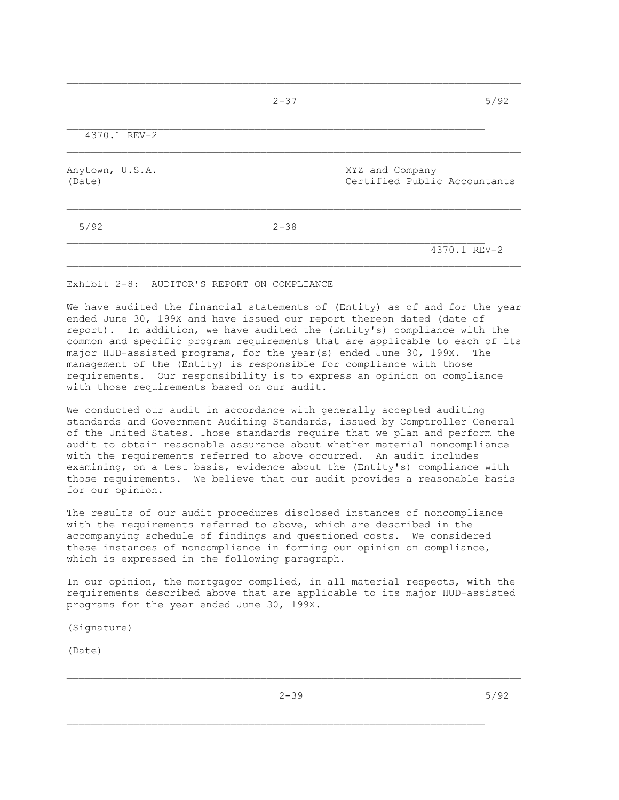|                           | $2 - 37$ | 5/92                                            |
|---------------------------|----------|-------------------------------------------------|
| 4370.1 REV-2              |          |                                                 |
| Anytown, U.S.A.<br>(Date) |          | XYZ and Company<br>Certified Public Accountants |
| 5/92                      | $2 - 38$ |                                                 |
|                           |          | 4370.1 REV-2                                    |

 $\mathcal{L}_\text{max}$ 

Exhibit 2-8: AUDITOR'S REPORT ON COMPLIANCE

We have audited the financial statements of (Entity) as of and for the year ended June 30, 199X and have issued our report thereon dated (date of report). In addition, we have audited the (Entity's) compliance with the common and specific program requirements that are applicable to each of its major HUD-assisted programs, for the year(s) ended June 30, 199X. The management of the (Entity) is responsible for compliance with those requirements. Our responsibility is to express an opinion on compliance with those requirements based on our audit.

We conducted our audit in accordance with generally accepted auditing standards and Government Auditing Standards, issued by Comptroller General of the United States. Those standards require that we plan and perform the audit to obtain reasonable assurance about whether material noncompliance with the requirements referred to above occurred. An audit includes examining, on a test basis, evidence about the (Entity's) compliance with those requirements. We believe that our audit provides a reasonable basis for our opinion.

The results of our audit procedures disclosed instances of noncompliance with the requirements referred to above, which are described in the accompanying schedule of findings and questioned costs. We considered these instances of noncompliance in forming our opinion on compliance, which is expressed in the following paragraph.

In our opinion, the mortgagor complied, in all material respects, with the requirements described above that are applicable to its major HUD-assisted programs for the year ended June 30, 199X.

(Signature)

(Date)

\_\_\_\_\_\_\_\_\_\_\_\_\_\_\_\_\_\_\_\_\_\_\_\_\_\_\_\_\_\_\_\_\_\_\_\_\_\_\_\_\_\_\_\_\_\_\_\_\_\_\_\_\_\_\_\_\_\_\_\_\_\_\_\_\_\_\_\_\_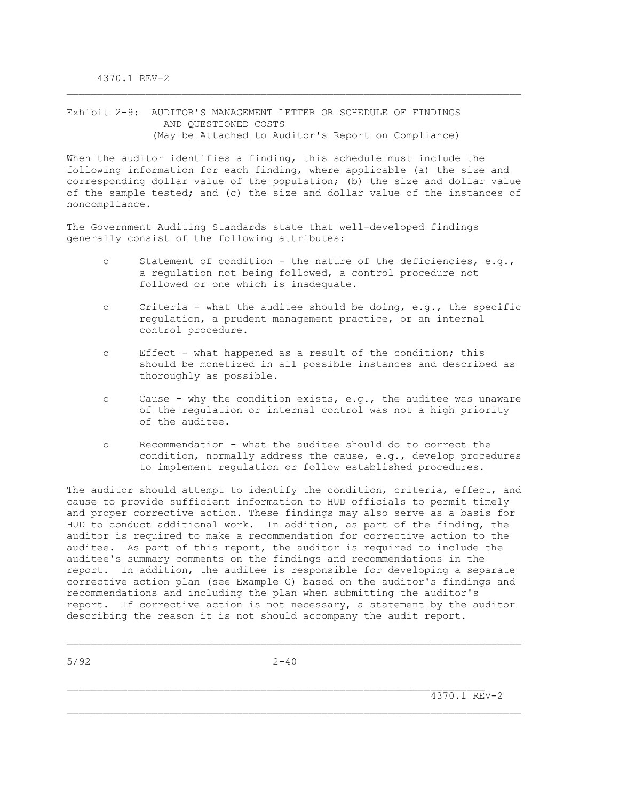Exhibit 2-9: AUDITOR'S MANAGEMENT LETTER OR SCHEDULE OF FINDINGS AND QUESTIONED COSTS (May be Attached to Auditor's Report on Compliance)

When the auditor identifies a finding, this schedule must include the following information for each finding, where applicable (a) the size and corresponding dollar value of the population; (b) the size and dollar value of the sample tested; and (c) the size and dollar value of the instances of noncompliance.

\_\_\_\_\_\_\_\_\_\_\_\_\_\_\_\_\_\_\_\_\_\_\_\_\_\_\_\_\_\_\_\_\_\_\_\_\_\_\_\_\_\_\_\_\_\_\_\_\_\_\_\_\_\_\_\_\_\_\_\_\_\_\_\_\_\_\_\_\_\_\_\_\_\_\_

The Government Auditing Standards state that well-developed findings generally consist of the following attributes:

- o Statement of condition the nature of the deficiencies, e.g., a regulation not being followed, a control procedure not followed or one which is inadequate.
- o Criteria what the auditee should be doing, e.g., the specific regulation, a prudent management practice, or an internal control procedure.
- o Effect what happened as a result of the condition; this should be monetized in all possible instances and described as thoroughly as possible.
- o Cause why the condition exists, e.g., the auditee was unaware of the regulation or internal control was not a high priority of the auditee.
- o Recommendation what the auditee should do to correct the condition, normally address the cause, e.g., develop procedures to implement regulation or follow established procedures.

The auditor should attempt to identify the condition, criteria, effect, and cause to provide sufficient information to HUD officials to permit timely and proper corrective action. These findings may also serve as a basis for HUD to conduct additional work. In addition, as part of the finding, the auditor is required to make a recommendation for corrective action to the auditee. As part of this report, the auditor is required to include the auditee's summary comments on the findings and recommendations in the report. In addition, the auditee is responsible for developing a separate corrective action plan (see Example G) based on the auditor's findings and recommendations and including the plan when submitting the auditor's report. If corrective action is not necessary, a statement by the auditor describing the reason it is not should accompany the audit report.

 $\mathcal{L}_\text{max}$ 

\_\_\_\_\_\_\_\_\_\_\_\_\_\_\_\_\_\_\_\_\_\_\_\_\_\_\_\_\_\_\_\_\_\_\_\_\_\_\_\_\_\_\_\_\_\_\_\_\_\_\_\_\_\_\_\_\_\_\_\_\_\_\_\_\_\_\_\_\_\_\_\_\_\_\_

4370.1 REV-2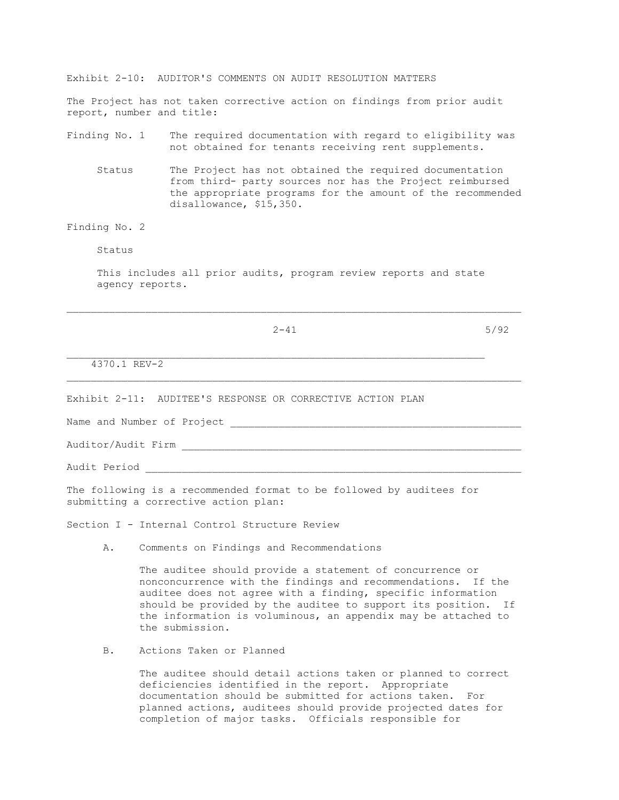Exhibit 2-10: AUDITOR'S COMMENTS ON AUDIT RESOLUTION MATTERS The Project has not taken corrective action on findings from prior audit report, number and title: Finding No. 1 The required documentation with regard to eligibility was not obtained for tenants receiving rent supplements. Status The Project has not obtained the required documentation from third- party sources nor has the Project reimbursed the appropriate programs for the amount of the recommended disallowance, \$15,350. Finding No. 2 Status This includes all prior audits, program review reports and state agency reports.  $\mathcal{L}_\text{max}$  $2-41$  5/92 4370.1 REV-2 \_\_\_\_\_\_\_\_\_\_\_\_\_\_\_\_\_\_\_\_\_\_\_\_\_\_\_\_\_\_\_\_\_\_\_\_\_\_\_\_\_\_\_\_\_\_\_\_\_\_\_\_\_\_\_\_\_\_\_\_\_\_\_\_\_\_\_\_\_\_\_\_\_\_\_ Exhibit 2-11: AUDITEE'S RESPONSE OR CORRECTIVE ACTION PLAN Name and Number of Project Auditor/Audit Firm \_\_\_\_\_\_\_\_\_\_\_\_\_\_\_\_\_\_\_\_\_\_\_\_\_\_\_\_\_\_\_\_\_\_\_\_\_\_\_\_\_\_\_\_\_\_\_\_\_\_\_\_\_\_\_\_ Audit Period The following is a recommended format to be followed by auditees for submitting a corrective action plan: Section I - Internal Control Structure Review

A. Comments on Findings and Recommendations

 The auditee should provide a statement of concurrence or nonconcurrence with the findings and recommendations. If the auditee does not agree with a finding, specific information should be provided by the auditee to support its position. If the information is voluminous, an appendix may be attached to the submission.

B. Actions Taken or Planned

 The auditee should detail actions taken or planned to correct deficiencies identified in the report. Appropriate documentation should be submitted for actions taken. For planned actions, auditees should provide projected dates for completion of major tasks. Officials responsible for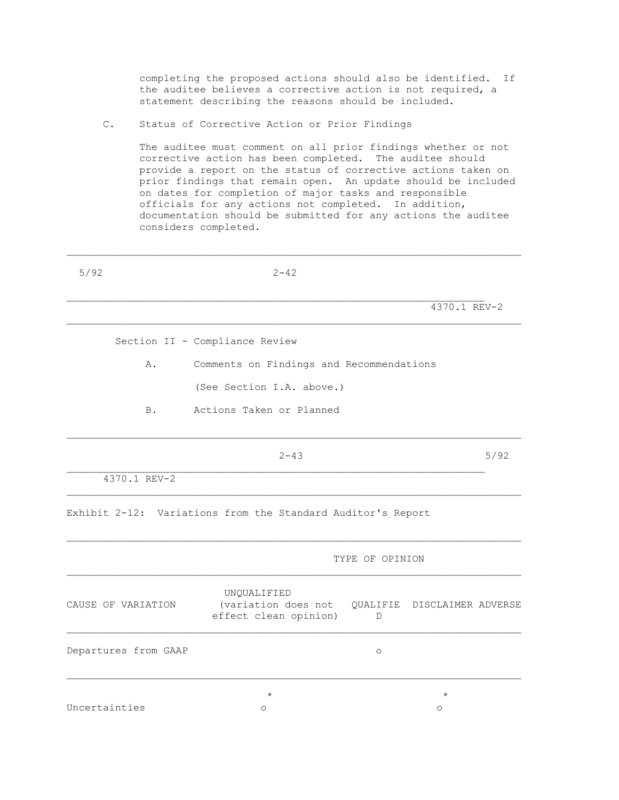completing the proposed actions should also be identified. If the auditee believes a corrective action is not required, a statement describing the reasons should be included.

C. Status of Corrective Action or Prior Findings

 The auditee must comment on all prior findings whether or not corrective action has been completed. The auditee should provide a report on the status of corrective actions taken on prior findings that remain open. An update should be included on dates for completion of major tasks and responsible officials for any actions not completed. In addition, documentation should be submitted for any actions the auditee considers completed.

| 5/92                 | $2 - 42$                                                    |                          |                    |      |
|----------------------|-------------------------------------------------------------|--------------------------|--------------------|------|
|                      |                                                             |                          | 4370.1 REV-2       |      |
|                      | Section II - Compliance Review                              |                          |                    |      |
| Α.                   | Comments on Findings and Recommendations                    |                          |                    |      |
|                      | (See Section I.A. above.)                                   |                          |                    |      |
| B.                   | Actions Taken or Planned                                    |                          |                    |      |
|                      | $2 - 43$                                                    |                          |                    | 5/92 |
| 4370.1 REV-2         |                                                             |                          |                    |      |
|                      | Exhibit 2-12: Variations from the Standard Auditor's Report |                          |                    |      |
|                      |                                                             | TYPE OF OPINION          |                    |      |
| CAUSE OF VARIATION   | UNQUALIFIED<br>(variation does not<br>effect clean opinion) | QUALIFIE<br>$\mathbb{D}$ | DISCLAIMER ADVERSE |      |
| Departures from GAAP |                                                             | $\circ$                  |                    |      |
|                      | $^\star$                                                    |                          | $\star$            |      |
| Uncertainties        | O                                                           |                          | $\circ$            |      |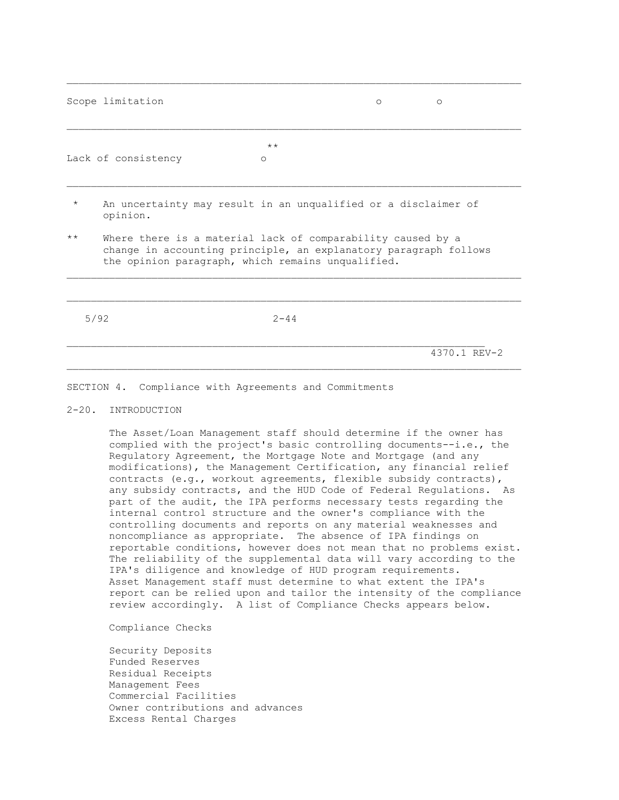|         | Scope limitation                                                                                                                                                                     |          | ∩ | $\circ$      |
|---------|--------------------------------------------------------------------------------------------------------------------------------------------------------------------------------------|----------|---|--------------|
|         |                                                                                                                                                                                      | $***$    |   |              |
|         | Lack of consistency                                                                                                                                                                  | $\circ$  |   |              |
| $\star$ | An uncertainty may result in an unqualified or a disclaimer of<br>opinion.                                                                                                           |          |   |              |
| $***$   | Where there is a material lack of comparability caused by a<br>change in accounting principle, an explanatory paragraph follows<br>the opinion paragraph, which remains unqualified. |          |   |              |
|         |                                                                                                                                                                                      |          |   |              |
|         | 5/92                                                                                                                                                                                 | $2 - 44$ |   |              |
|         |                                                                                                                                                                                      |          |   | 4370.1 REV-2 |

 $\mathcal{L}_\text{max}$ 

### SECTION 4. Compliance with Agreements and Commitments

### 2-20. INTRODUCTION

 The Asset/Loan Management staff should determine if the owner has complied with the project's basic controlling documents--i.e., the Regulatory Agreement, the Mortgage Note and Mortgage (and any modifications), the Management Certification, any financial relief contracts (e.g., workout agreements, flexible subsidy contracts), any subsidy contracts, and the HUD Code of Federal Regulations. As part of the audit, the IPA performs necessary tests regarding the internal control structure and the owner's compliance with the controlling documents and reports on any material weaknesses and noncompliance as appropriate. The absence of IPA findings on reportable conditions, however does not mean that no problems exist. The reliability of the supplemental data will vary according to the IPA's diligence and knowledge of HUD program requirements. Asset Management staff must determine to what extent the IPA's report can be relied upon and tailor the intensity of the compliance review accordingly. A list of Compliance Checks appears below.

Compliance Checks

 Security Deposits Funded Reserves Residual Receipts Management Fees Commercial Facilities Owner contributions and advances Excess Rental Charges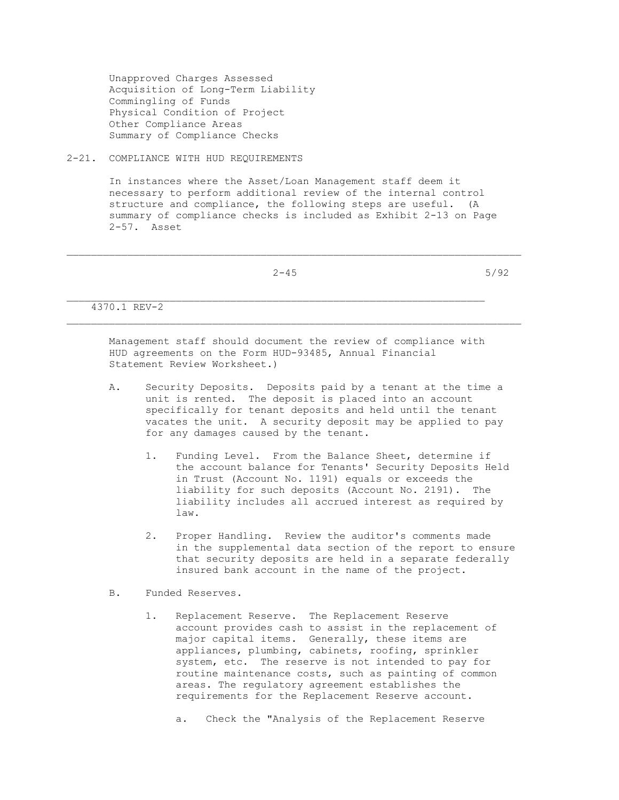Unapproved Charges Assessed Acquisition of Long-Term Liability Commingling of Funds Physical Condition of Project Other Compliance Areas Summary of Compliance Checks

2-21. COMPLIANCE WITH HUD REQUIREMENTS

 In instances where the Asset/Loan Management staff deem it necessary to perform additional review of the internal control structure and compliance, the following steps are useful. (A summary of compliance checks is included as Exhibit 2-13 on Page 2-57. Asset

|              | $2 - 45$ | 5/92 |
|--------------|----------|------|
|              |          |      |
| 4370.1 REV-2 |          |      |

 Management staff should document the review of compliance with HUD agreements on the Form HUD-93485, Annual Financial Statement Review Worksheet.)

- A. Security Deposits. Deposits paid by a tenant at the time a unit is rented. The deposit is placed into an account specifically for tenant deposits and held until the tenant vacates the unit. A security deposit may be applied to pay for any damages caused by the tenant.
	- 1. Funding Level. From the Balance Sheet, determine if the account balance for Tenants' Security Deposits Held in Trust (Account No. 1191) equals or exceeds the liability for such deposits (Account No. 2191). The liability includes all accrued interest as required by law.
	- 2. Proper Handling. Review the auditor's comments made in the supplemental data section of the report to ensure that security deposits are held in a separate federally insured bank account in the name of the project.
- B. Funded Reserves.
	- 1. Replacement Reserve. The Replacement Reserve account provides cash to assist in the replacement of major capital items. Generally, these items are appliances, plumbing, cabinets, roofing, sprinkler system, etc. The reserve is not intended to pay for routine maintenance costs, such as painting of common areas. The regulatory agreement establishes the requirements for the Replacement Reserve account.
		- a. Check the "Analysis of the Replacement Reserve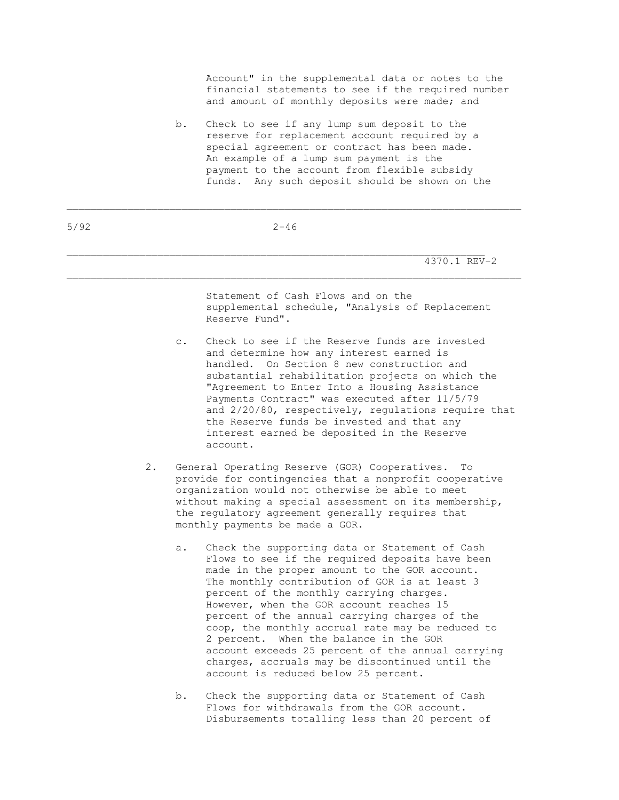Account" in the supplemental data or notes to the financial statements to see if the required number and amount of monthly deposits were made; and

 b. Check to see if any lump sum deposit to the reserve for replacement account required by a special agreement or contract has been made. An example of a lump sum payment is the payment to the account from flexible subsidy funds. Any such deposit should be shown on the

5/92 2-46

\_\_\_\_\_\_\_\_\_\_\_\_\_\_\_\_\_\_\_\_\_\_\_\_\_\_\_\_\_\_\_\_\_\_\_\_\_\_\_\_\_\_\_\_\_\_\_\_\_\_\_\_\_\_\_\_\_\_\_\_\_\_\_\_\_\_\_\_\_\_\_\_\_\_\_

4370.1 REV-2

 Statement of Cash Flows and on the supplemental schedule, "Analysis of Replacement Reserve Fund".

- c. Check to see if the Reserve funds are invested and determine how any interest earned is handled. On Section 8 new construction and substantial rehabilitation projects on which the "Agreement to Enter Into a Housing Assistance Payments Contract" was executed after 11/5/79 and 2/20/80, respectively, regulations require that the Reserve funds be invested and that any interest earned be deposited in the Reserve account.
- 2. General Operating Reserve (GOR) Cooperatives. To provide for contingencies that a nonprofit cooperative organization would not otherwise be able to meet without making a special assessment on its membership, the regulatory agreement generally requires that monthly payments be made a GOR.
	- a. Check the supporting data or Statement of Cash Flows to see if the required deposits have been made in the proper amount to the GOR account. The monthly contribution of GOR is at least 3 percent of the monthly carrying charges. However, when the GOR account reaches 15 percent of the annual carrying charges of the coop, the monthly accrual rate may be reduced to 2 percent. When the balance in the GOR account exceeds 25 percent of the annual carrying charges, accruals may be discontinued until the account is reduced below 25 percent.
	- b. Check the supporting data or Statement of Cash Flows for withdrawals from the GOR account. Disbursements totalling less than 20 percent of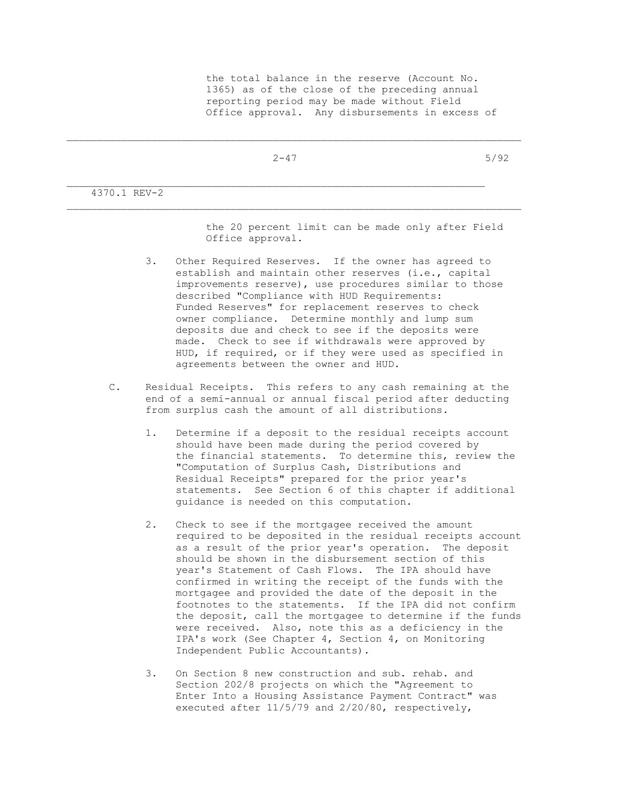$2-47$  5/92

 $\mathcal{L}_\text{max}$ 

4370.1 REV-2

 the 20 percent limit can be made only after Field Office approval.

- 3. Other Required Reserves. If the owner has agreed to establish and maintain other reserves (i.e., capital improvements reserve), use procedures similar to those described "Compliance with HUD Requirements: Funded Reserves" for replacement reserves to check owner compliance. Determine monthly and lump sum deposits due and check to see if the deposits were made. Check to see if withdrawals were approved by HUD, if required, or if they were used as specified in agreements between the owner and HUD.
- C. Residual Receipts. This refers to any cash remaining at the end of a semi-annual or annual fiscal period after deducting from surplus cash the amount of all distributions.
	- 1. Determine if a deposit to the residual receipts account should have been made during the period covered by the financial statements. To determine this, review the "Computation of Surplus Cash, Distributions and Residual Receipts" prepared for the prior year's statements. See Section 6 of this chapter if additional guidance is needed on this computation.
	- 2. Check to see if the mortgagee received the amount required to be deposited in the residual receipts account as a result of the prior year's operation. The deposit should be shown in the disbursement section of this year's Statement of Cash Flows. The IPA should have confirmed in writing the receipt of the funds with the mortgagee and provided the date of the deposit in the footnotes to the statements. If the IPA did not confirm the deposit, call the mortgagee to determine if the funds were received. Also, note this as a deficiency in the IPA's work (See Chapter 4, Section 4, on Monitoring Independent Public Accountants).
	- 3. On Section 8 new construction and sub. rehab. and Section 202/8 projects on which the "Agreement to Enter Into a Housing Assistance Payment Contract" was executed after 11/5/79 and 2/20/80, respectively,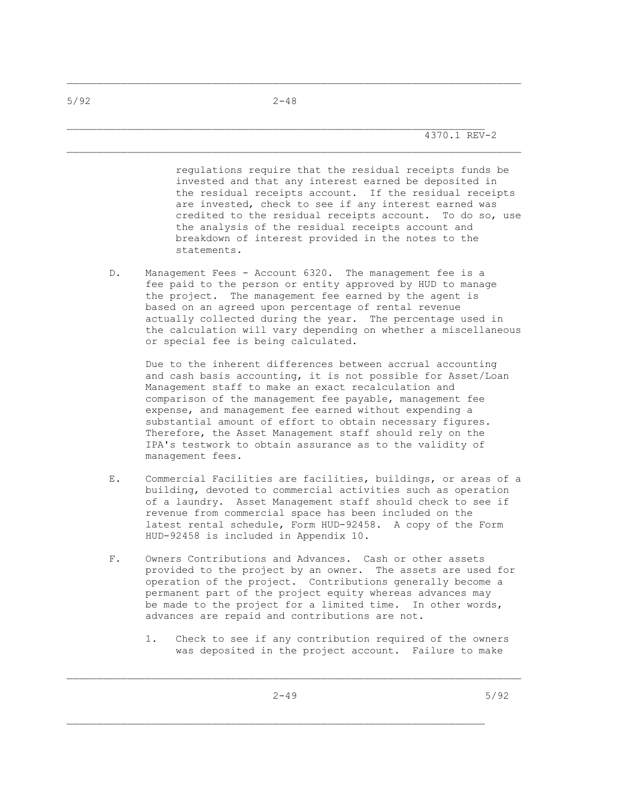$\mathcal{L}_\text{max}$ 

\_\_\_\_\_\_\_\_\_\_\_\_\_\_\_\_\_\_\_\_\_\_\_\_\_\_\_\_\_\_\_\_\_\_\_\_\_\_\_\_\_\_\_\_\_\_\_\_\_\_\_\_\_\_\_\_\_\_\_\_\_\_\_\_\_\_\_\_\_\_\_\_\_\_\_

 regulations require that the residual receipts funds be invested and that any interest earned be deposited in the residual receipts account. If the residual receipts are invested, check to see if any interest earned was credited to the residual receipts account. To do so, use the analysis of the residual receipts account and breakdown of interest provided in the notes to the statements.

D. Management Fees - Account 6320. The management fee is a fee paid to the person or entity approved by HUD to manage the project. The management fee earned by the agent is based on an agreed upon percentage of rental revenue actually collected during the year. The percentage used in the calculation will vary depending on whether a miscellaneous or special fee is being calculated.

 Due to the inherent differences between accrual accounting and cash basis accounting, it is not possible for Asset/Loan Management staff to make an exact recalculation and comparison of the management fee payable, management fee expense, and management fee earned without expending a substantial amount of effort to obtain necessary figures. Therefore, the Asset Management staff should rely on the IPA's testwork to obtain assurance as to the validity of management fees.

- E. Commercial Facilities are facilities, buildings, or areas of a building, devoted to commercial activities such as operation of a laundry. Asset Management staff should check to see if revenue from commercial space has been included on the latest rental schedule, Form HUD-92458. A copy of the Form HUD-92458 is included in Appendix 10.
- F. Owners Contributions and Advances. Cash or other assets provided to the project by an owner. The assets are used for operation of the project. Contributions generally become a permanent part of the project equity whereas advances may be made to the project for a limited time. In other words, advances are repaid and contributions are not.
	- 1. Check to see if any contribution required of the owners was deposited in the project account. Failure to make

\_\_\_\_\_\_\_\_\_\_\_\_\_\_\_\_\_\_\_\_\_\_\_\_\_\_\_\_\_\_\_\_\_\_\_\_\_\_\_\_\_\_\_\_\_\_\_\_\_\_\_\_\_\_\_\_\_\_\_\_\_\_\_\_\_\_\_\_\_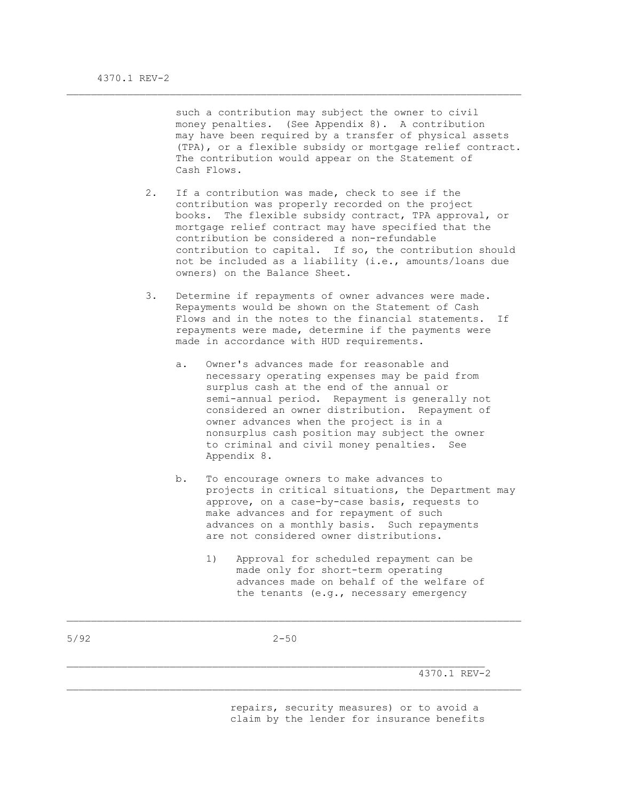such a contribution may subject the owner to civil money penalties. (See Appendix 8). A contribution may have been required by a transfer of physical assets (TPA), or a flexible subsidy or mortgage relief contract. The contribution would appear on the Statement of Cash Flows.

 2. If a contribution was made, check to see if the contribution was properly recorded on the project books. The flexible subsidy contract, TPA approval, or mortgage relief contract may have specified that the contribution be considered a non-refundable contribution to capital. If so, the contribution should not be included as a liability (i.e., amounts/loans due owners) on the Balance Sheet.

\_\_\_\_\_\_\_\_\_\_\_\_\_\_\_\_\_\_\_\_\_\_\_\_\_\_\_\_\_\_\_\_\_\_\_\_\_\_\_\_\_\_\_\_\_\_\_\_\_\_\_\_\_\_\_\_\_\_\_\_\_\_\_\_\_\_\_\_\_\_\_\_\_\_\_

- 3. Determine if repayments of owner advances were made. Repayments would be shown on the Statement of Cash Flows and in the notes to the financial statements. If repayments were made, determine if the payments were made in accordance with HUD requirements.
	- a. Owner's advances made for reasonable and necessary operating expenses may be paid from surplus cash at the end of the annual or semi-annual period. Repayment is generally not considered an owner distribution. Repayment of owner advances when the project is in a nonsurplus cash position may subject the owner to criminal and civil money penalties. See Appendix 8.
	- b. To encourage owners to make advances to projects in critical situations, the Department may approve, on a case-by-case basis, requests to make advances and for repayment of such advances on a monthly basis. Such repayments are not considered owner distributions.
		- 1) Approval for scheduled repayment can be made only for short-term operating advances made on behalf of the welfare of the tenants (e.g., necessary emergency

 $\mathcal{L}_\text{max}$ 

4370.1 REV-2

 repairs, security measures) or to avoid a claim by the lender for insurance benefits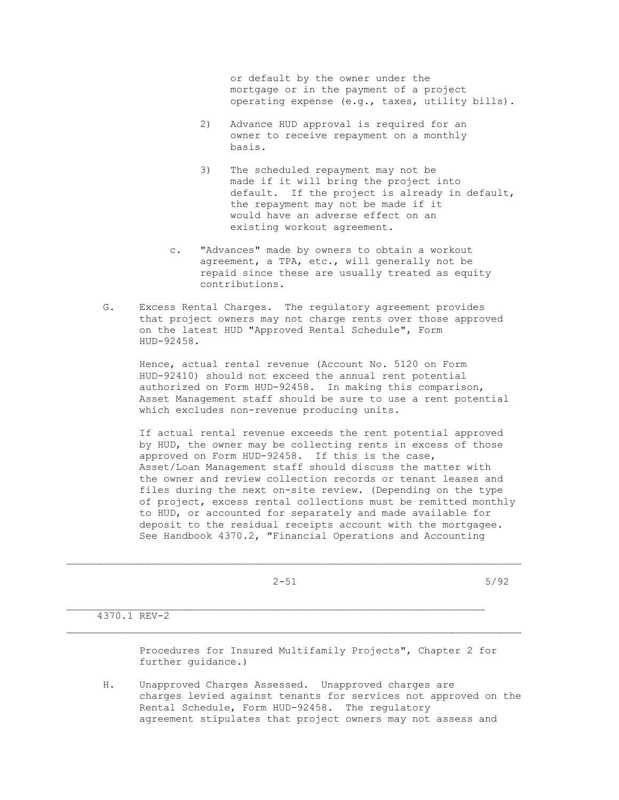or default by the owner under the mortgage or in the payment of a project operating expense (e.g., taxes, utility bills).

- 2) Advance HUD approval is required for an owner to receive repayment on a monthly basis.
- 3) The scheduled repayment may not be made if it will bring the project into default. If the project is already in default, the repayment may not be made if it would have an adverse effect on an existing workout agreement.
- c. "Advances" made by owners to obtain a workout agreement, a TPA, etc., will generally not be repaid since these are usually treated as equity contributions.
- G. Excess Rental Charges. The regulatory agreement provides that project owners may not charge rents over those approved on the latest HUD "Approved Rental Schedule", Form HUD-92458.

 Hence, actual rental revenue (Account No. 5120 on Form HUD-92410) should not exceed the annual rent potential authorized on Form HUD-92458. In making this comparison, Asset Management staff should be sure to use a rent potential which excludes non-revenue producing units.

 If actual rental revenue exceeds the rent potential approved by HUD, the owner may be collecting rents in excess of those approved on Form HUD-92458. If this is the case, Asset/Loan Management staff should discuss the matter with the owner and review collection records or tenant leases and files during the next on-site review. (Depending on the type of project, excess rental collections must be remitted monthly to HUD, or accounted for separately and made available for deposit to the residual receipts account with the mortgagee. See Handbook 4370.2, "Financial Operations and Accounting

 $2-51$  5/92

 $\mathcal{L}_\text{max}$ 

\_\_\_\_\_\_\_\_\_\_\_\_\_\_\_\_\_\_\_\_\_\_\_\_\_\_\_\_\_\_\_\_\_\_\_\_\_\_\_\_\_\_\_\_\_\_\_\_\_\_\_\_\_\_\_\_\_\_\_\_\_\_\_\_\_\_\_\_\_

4370.1 REV-2

 Procedures for Insured Multifamily Projects", Chapter 2 for further guidance.)

 H. Unapproved Charges Assessed. Unapproved charges are charges levied against tenants for services not approved on the Rental Schedule, Form HUD-92458. The regulatory agreement stipulates that project owners may not assess and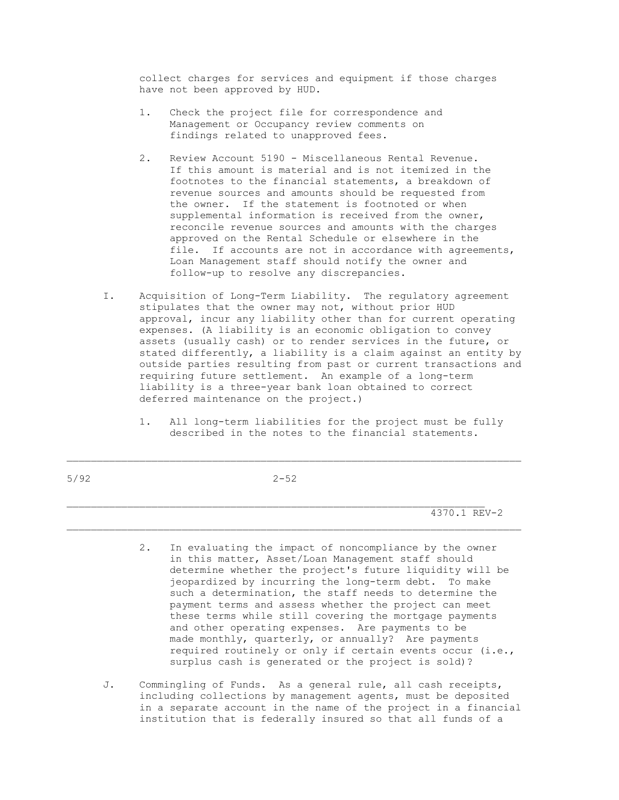collect charges for services and equipment if those charges have not been approved by HUD.

- 1. Check the project file for correspondence and Management or Occupancy review comments on findings related to unapproved fees.
- 2. Review Account 5190 Miscellaneous Rental Revenue. If this amount is material and is not itemized in the footnotes to the financial statements, a breakdown of revenue sources and amounts should be requested from the owner. If the statement is footnoted or when supplemental information is received from the owner, reconcile revenue sources and amounts with the charges approved on the Rental Schedule or elsewhere in the file. If accounts are not in accordance with agreements, Loan Management staff should notify the owner and follow-up to resolve any discrepancies.
- I. Acquisition of Long-Term Liability. The regulatory agreement stipulates that the owner may not, without prior HUD approval, incur any liability other than for current operating expenses. (A liability is an economic obligation to convey assets (usually cash) or to render services in the future, or stated differently, a liability is a claim against an entity by outside parties resulting from past or current transactions and requiring future settlement. An example of a long-term liability is a three-year bank loan obtained to correct deferred maintenance on the project.)
	- 1. All long-term liabilities for the project must be fully described in the notes to the financial statements.

5/92 2-52

 $\mathcal{L}_\text{max}$ 

\_\_\_\_\_\_\_\_\_\_\_\_\_\_\_\_\_\_\_\_\_\_\_\_\_\_\_\_\_\_\_\_\_\_\_\_\_\_\_\_\_\_\_\_\_\_\_\_\_\_\_\_\_\_\_\_\_\_\_\_\_\_\_\_\_\_\_\_\_

4370.1 REV-2

- 2. In evaluating the impact of noncompliance by the owner in this matter, Asset/Loan Management staff should determine whether the project's future liquidity will be jeopardized by incurring the long-term debt. To make such a determination, the staff needs to determine the payment terms and assess whether the project can meet these terms while still covering the mortgage payments and other operating expenses. Are payments to be made monthly, quarterly, or annually? Are payments required routinely or only if certain events occur (i.e., surplus cash is generated or the project is sold)?
- J. Commingling of Funds. As a general rule, all cash receipts, including collections by management agents, must be deposited in a separate account in the name of the project in a financial institution that is federally insured so that all funds of a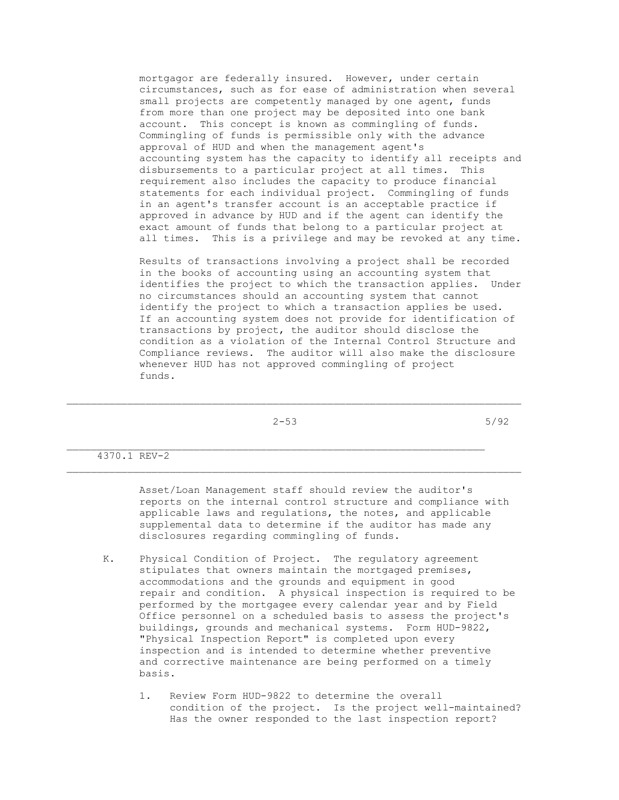mortgagor are federally insured. However, under certain circumstances, such as for ease of administration when several small projects are competently managed by one agent, funds from more than one project may be deposited into one bank account. This concept is known as commingling of funds. Commingling of funds is permissible only with the advance approval of HUD and when the management agent's accounting system has the capacity to identify all receipts and disbursements to a particular project at all times. This requirement also includes the capacity to produce financial statements for each individual project. Commingling of funds in an agent's transfer account is an acceptable practice if approved in advance by HUD and if the agent can identify the exact amount of funds that belong to a particular project at all times. This is a privilege and may be revoked at any time.

 Results of transactions involving a project shall be recorded in the books of accounting using an accounting system that identifies the project to which the transaction applies. Under no circumstances should an accounting system that cannot identify the project to which a transaction applies be used. If an accounting system does not provide for identification of transactions by project, the auditor should disclose the condition as a violation of the Internal Control Structure and Compliance reviews. The auditor will also make the disclosure whenever HUD has not approved commingling of project funds.

 $2-53$  5/92

\_\_\_\_\_\_\_\_\_\_\_\_\_\_\_\_\_\_\_\_\_\_\_\_\_\_\_\_\_\_\_\_\_\_\_\_\_\_\_\_\_\_\_\_\_\_\_\_\_\_\_\_\_\_\_\_\_\_\_\_\_\_\_\_\_\_\_\_\_\_\_\_\_\_\_

4370.1 REV-2

 Asset/Loan Management staff should review the auditor's reports on the internal control structure and compliance with applicable laws and regulations, the notes, and applicable supplemental data to determine if the auditor has made any disclosures regarding commingling of funds.

- K. Physical Condition of Project. The regulatory agreement stipulates that owners maintain the mortgaged premises, accommodations and the grounds and equipment in good repair and condition. A physical inspection is required to be performed by the mortgagee every calendar year and by Field Office personnel on a scheduled basis to assess the project's buildings, grounds and mechanical systems. Form HUD-9822, "Physical Inspection Report" is completed upon every inspection and is intended to determine whether preventive and corrective maintenance are being performed on a timely basis.
	- 1. Review Form HUD-9822 to determine the overall condition of the project. Is the project well-maintained? Has the owner responded to the last inspection report?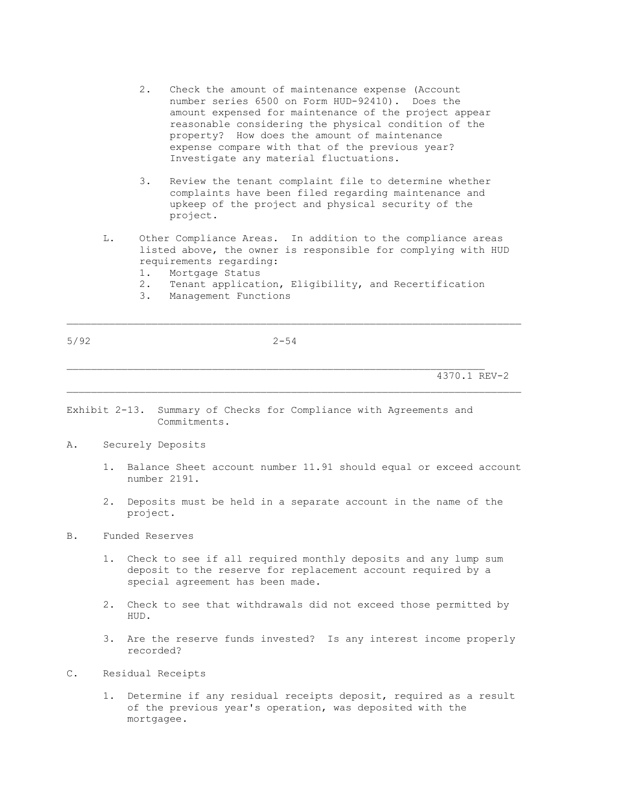- 2. Check the amount of maintenance expense (Account number series 6500 on Form HUD-92410). Does the amount expensed for maintenance of the project appear reasonable considering the physical condition of the property? How does the amount of maintenance expense compare with that of the previous year? Investigate any material fluctuations.
- 3. Review the tenant complaint file to determine whether complaints have been filed regarding maintenance and upkeep of the project and physical security of the project.
- L. Other Compliance Areas. In addition to the compliance areas listed above, the owner is responsible for complying with HUD requirements regarding:
	- 1. Mortgage Status
	- 2. Tenant application, Eligibility, and Recertification
	- 3. Management Functions

4370.1 REV-2

Exhibit 2-13. Summary of Checks for Compliance with Agreements and Commitments.

- A. Securely Deposits
	- 1. Balance Sheet account number 11.91 should equal or exceed account number 2191.
	- 2. Deposits must be held in a separate account in the name of the project.

\_\_\_\_\_\_\_\_\_\_\_\_\_\_\_\_\_\_\_\_\_\_\_\_\_\_\_\_\_\_\_\_\_\_\_\_\_\_\_\_\_\_\_\_\_\_\_\_\_\_\_\_\_\_\_\_\_\_\_\_\_\_\_\_\_\_\_\_\_\_\_\_\_\_\_

### B. Funded Reserves

- 1. Check to see if all required monthly deposits and any lump sum deposit to the reserve for replacement account required by a special agreement has been made.
- 2. Check to see that withdrawals did not exceed those permitted by HUD.
- 3. Are the reserve funds invested? Is any interest income properly recorded?
- C. Residual Receipts
	- 1. Determine if any residual receipts deposit, required as a result of the previous year's operation, was deposited with the mortgagee.

5/92 2-54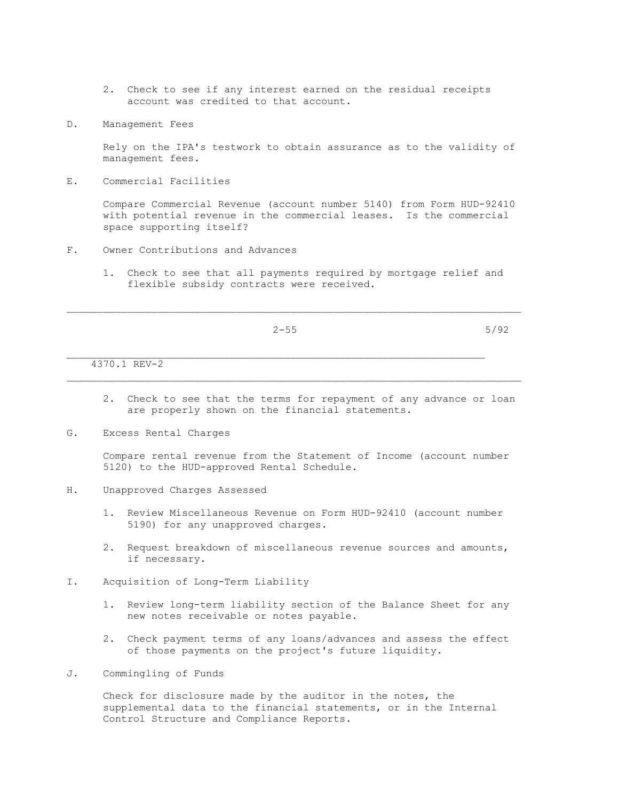- 2. Check to see if any interest earned on the residual receipts account was credited to that account.
- D. Management Fees

 Rely on the IPA's testwork to obtain assurance as to the validity of management fees.

E. Commercial Facilities

 Compare Commercial Revenue (account number 5140) from Form HUD-92410 with potential revenue in the commercial leases. Is the commercial space supporting itself?

- F. Owner Contributions and Advances
	- 1. Check to see that all payments required by mortgage relief and flexible subsidy contracts were received.

 $\mathcal{L}_\text{max}$ 

\_\_\_\_\_\_\_\_\_\_\_\_\_\_\_\_\_\_\_\_\_\_\_\_\_\_\_\_\_\_\_\_\_\_\_\_\_\_\_\_\_\_\_\_\_\_\_\_\_\_\_\_\_\_\_\_\_\_\_\_\_\_\_\_\_\_\_\_\_\_\_\_\_\_\_

 $2-55$  5/92

4370.1 REV-2

- 2. Check to see that the terms for repayment of any advance or loan are properly shown on the financial statements.
- G. Excess Rental Charges

 Compare rental revenue from the Statement of Income (account number 5120) to the HUD-approved Rental Schedule.

- H. Unapproved Charges Assessed
	- 1. Review Miscellaneous Revenue on Form HUD-92410 (account number 5190) for any unapproved charges.
	- 2. Request breakdown of miscellaneous revenue sources and amounts, if necessary.
- I. Acquisition of Long-Term Liability
	- 1. Review long-term liability section of the Balance Sheet for any new notes receivable or notes payable.
	- 2. Check payment terms of any loans/advances and assess the effect of those payments on the project's future liquidity.
- J. Commingling of Funds

 Check for disclosure made by the auditor in the notes, the supplemental data to the financial statements, or in the Internal Control Structure and Compliance Reports.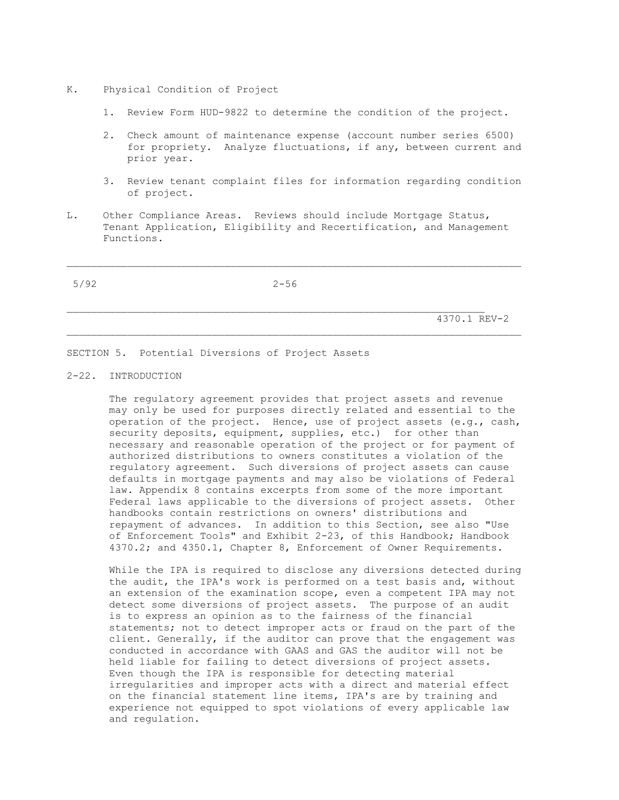- K. Physical Condition of Project
	- 1. Review Form HUD-9822 to determine the condition of the project.
	- 2. Check amount of maintenance expense (account number series 6500) for propriety. Analyze fluctuations, if any, between current and prior year.
	- 3. Review tenant complaint files for information regarding condition of project.
- L. Other Compliance Areas. Reviews should include Mortgage Status, Tenant Application, Eligibility and Recertification, and Management Functions.

5/92 2-56

 $\mathcal{L}_\text{max}$ 

\_\_\_\_\_\_\_\_\_\_\_\_\_\_\_\_\_\_\_\_\_\_\_\_\_\_\_\_\_\_\_\_\_\_\_\_\_\_\_\_\_\_\_\_\_\_\_\_\_\_\_\_\_\_\_\_\_\_\_\_\_\_\_\_\_\_\_\_\_\_\_\_\_\_\_

4370.1 REV-2

SECTION 5. Potential Diversions of Project Assets

#### 2-22. INTRODUCTION

 The regulatory agreement provides that project assets and revenue may only be used for purposes directly related and essential to the operation of the project. Hence, use of project assets (e.g., cash, security deposits, equipment, supplies, etc.) for other than necessary and reasonable operation of the project or for payment of authorized distributions to owners constitutes a violation of the regulatory agreement. Such diversions of project assets can cause defaults in mortgage payments and may also be violations of Federal law. Appendix 8 contains excerpts from some of the more important Federal laws applicable to the diversions of project assets. Other handbooks contain restrictions on owners' distributions and repayment of advances. In addition to this Section, see also "Use of Enforcement Tools" and Exhibit 2-23, of this Handbook; Handbook 4370.2; and 4350.1, Chapter 8, Enforcement of Owner Requirements.

 While the IPA is required to disclose any diversions detected during the audit, the IPA's work is performed on a test basis and, without an extension of the examination scope, even a competent IPA may not detect some diversions of project assets. The purpose of an audit is to express an opinion as to the fairness of the financial statements; not to detect improper acts or fraud on the part of the client. Generally, if the auditor can prove that the engagement was conducted in accordance with GAAS and GAS the auditor will not be held liable for failing to detect diversions of project assets. Even though the IPA is responsible for detecting material irregularities and improper acts with a direct and material effect on the financial statement line items, IPA's are by training and experience not equipped to spot violations of every applicable law and regulation.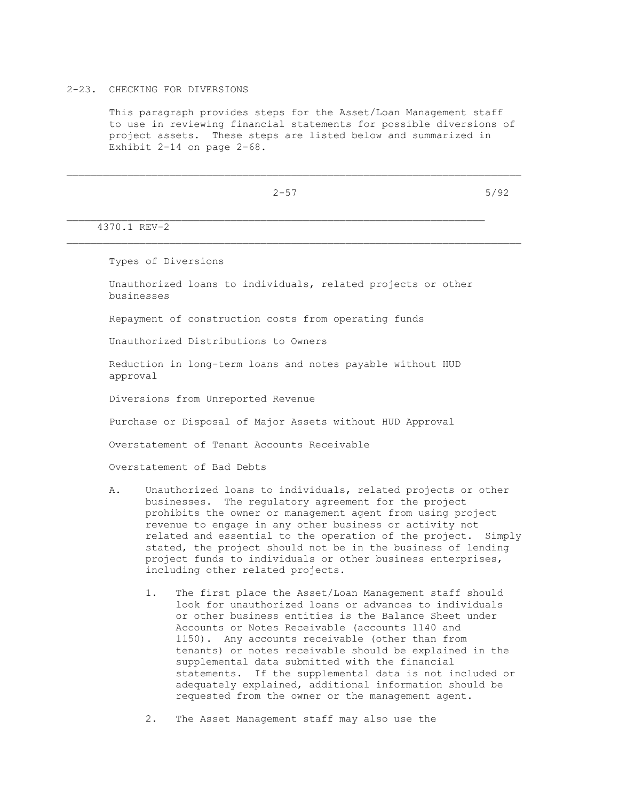### 2-23. CHECKING FOR DIVERSIONS

 This paragraph provides steps for the Asset/Loan Management staff to use in reviewing financial statements for possible diversions of project assets. These steps are listed below and summarized in Exhibit 2-14 on page 2-68.

\_\_\_\_\_\_\_\_\_\_\_\_\_\_\_\_\_\_\_\_\_\_\_\_\_\_\_\_\_\_\_\_\_\_\_\_\_\_\_\_\_\_\_\_\_\_\_\_\_\_\_\_\_\_\_\_\_\_\_\_\_\_\_\_\_\_\_\_\_\_\_\_\_\_\_

 $2-57$  5/92

4370.1 REV-2

Types of Diversions

 Unauthorized loans to individuals, related projects or other businesses

Repayment of construction costs from operating funds

Unauthorized Distributions to Owners

 Reduction in long-term loans and notes payable without HUD approval

Diversions from Unreported Revenue

Purchase or Disposal of Major Assets without HUD Approval

Overstatement of Tenant Accounts Receivable

Overstatement of Bad Debts

- A. Unauthorized loans to individuals, related projects or other businesses. The regulatory agreement for the project prohibits the owner or management agent from using project revenue to engage in any other business or activity not related and essential to the operation of the project. Simply stated, the project should not be in the business of lending project funds to individuals or other business enterprises, including other related projects.
	- 1. The first place the Asset/Loan Management staff should look for unauthorized loans or advances to individuals or other business entities is the Balance Sheet under Accounts or Notes Receivable (accounts 1140 and 1150). Any accounts receivable (other than from tenants) or notes receivable should be explained in the supplemental data submitted with the financial statements. If the supplemental data is not included or adequately explained, additional information should be requested from the owner or the management agent.

2. The Asset Management staff may also use the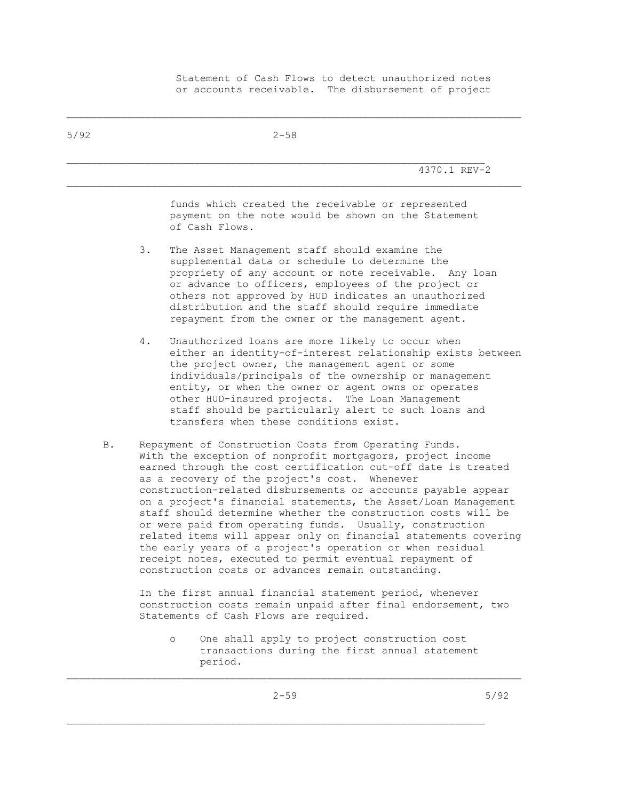Statement of Cash Flows to detect unauthorized notes or accounts receivable. The disbursement of project

| 5/92 | $2 - 58$                                                                                                                                                                                                                                                                                                                                                                                                                                                                                                                                                                                                                                                                                                                                                  |
|------|-----------------------------------------------------------------------------------------------------------------------------------------------------------------------------------------------------------------------------------------------------------------------------------------------------------------------------------------------------------------------------------------------------------------------------------------------------------------------------------------------------------------------------------------------------------------------------------------------------------------------------------------------------------------------------------------------------------------------------------------------------------|
|      | 4370.1 REV-2                                                                                                                                                                                                                                                                                                                                                                                                                                                                                                                                                                                                                                                                                                                                              |
|      | funds which created the receivable or represented<br>payment on the note would be shown on the Statement<br>of Cash Flows.                                                                                                                                                                                                                                                                                                                                                                                                                                                                                                                                                                                                                                |
|      | 3.<br>The Asset Management staff should examine the<br>supplemental data or schedule to determine the<br>propriety of any account or note receivable. Any loan<br>or advance to officers, employees of the project or<br>others not approved by HUD indicates an unauthorized<br>distribution and the staff should require immediate<br>repayment from the owner or the management agent.                                                                                                                                                                                                                                                                                                                                                                 |
|      | Unauthorized loans are more likely to occur when<br>4.<br>either an identity-of-interest relationship exists between<br>the project owner, the management agent or some<br>individuals/principals of the ownership or management<br>entity, or when the owner or agent owns or operates<br>other HUD-insured projects. The Loan Management<br>staff should be particularly alert to such loans and<br>transfers when these conditions exist.                                                                                                                                                                                                                                                                                                              |
| B.   | Repayment of Construction Costs from Operating Funds.<br>With the exception of nonprofit mortgagors, project income<br>earned through the cost certification cut-off date is treated<br>as a recovery of the project's cost.<br>Whenever<br>construction-related disbursements or accounts payable appear<br>on a project's financial statements, the Asset/Loan Management<br>staff should determine whether the construction costs will be<br>or were paid from operating funds. Usually, construction<br>related items will appear only on financial statements covering<br>the early years of a project's operation or when residual<br>receipt notes, executed to permit eventual repayment of<br>construction costs or advances remain outstanding. |
|      | In the first annual financial statement period, whenever<br>construction costs remain unpaid after final endorsement, two<br>Statements of Cash Flows are required.                                                                                                                                                                                                                                                                                                                                                                                                                                                                                                                                                                                       |
|      | One shall apply to project construction cost<br>$\circ$<br>transactions during the first annual statement<br>period.                                                                                                                                                                                                                                                                                                                                                                                                                                                                                                                                                                                                                                      |

\_\_\_\_\_\_\_\_\_\_\_\_\_\_\_\_\_\_\_\_\_\_\_\_\_\_\_\_\_\_\_\_\_\_\_\_\_\_\_\_\_\_\_\_\_\_\_\_\_\_\_\_\_\_\_\_\_\_\_\_\_\_\_\_\_\_\_\_\_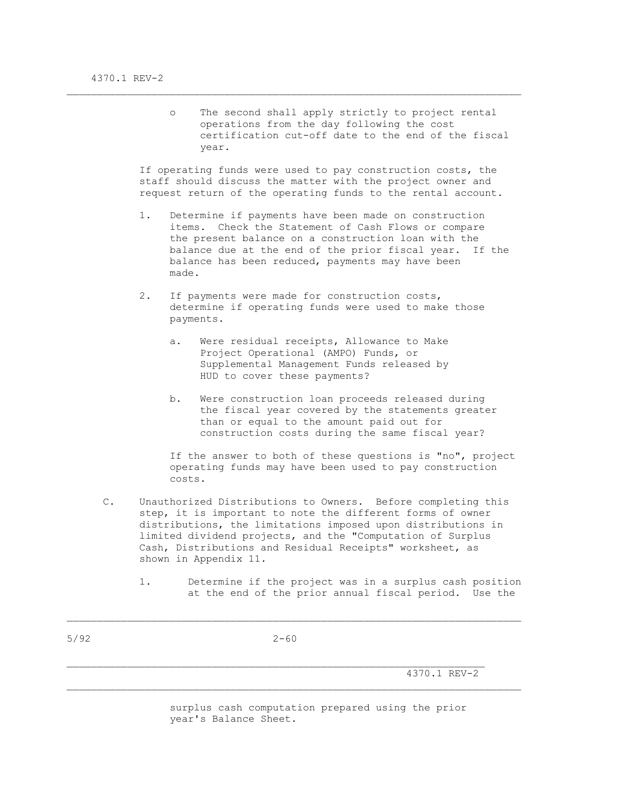o The second shall apply strictly to project rental operations from the day following the cost certification cut-off date to the end of the fiscal year.

 If operating funds were used to pay construction costs, the staff should discuss the matter with the project owner and request return of the operating funds to the rental account.

\_\_\_\_\_\_\_\_\_\_\_\_\_\_\_\_\_\_\_\_\_\_\_\_\_\_\_\_\_\_\_\_\_\_\_\_\_\_\_\_\_\_\_\_\_\_\_\_\_\_\_\_\_\_\_\_\_\_\_\_\_\_\_\_\_\_\_\_\_\_\_\_\_\_\_

- 1. Determine if payments have been made on construction items. Check the Statement of Cash Flows or compare the present balance on a construction loan with the balance due at the end of the prior fiscal year. If the balance has been reduced, payments may have been made.
- 2. If payments were made for construction costs, determine if operating funds were used to make those payments.
	- a. Were residual receipts, Allowance to Make Project Operational (AMPO) Funds, or Supplemental Management Funds released by HUD to cover these payments?
	- b. Were construction loan proceeds released during the fiscal year covered by the statements greater than or equal to the amount paid out for construction costs during the same fiscal year?

 If the answer to both of these questions is "no", project operating funds may have been used to pay construction costs.

 C. Unauthorized Distributions to Owners. Before completing this step, it is important to note the different forms of owner distributions, the limitations imposed upon distributions in limited dividend projects, and the "Computation of Surplus Cash, Distributions and Residual Receipts" worksheet, as shown in Appendix 11.

 $\mathcal{L}_\text{max}$ 

 1. Determine if the project was in a surplus cash position at the end of the prior annual fiscal period. Use the

4370.1 REV-2

 surplus cash computation prepared using the prior year's Balance Sheet.

5/92 2-60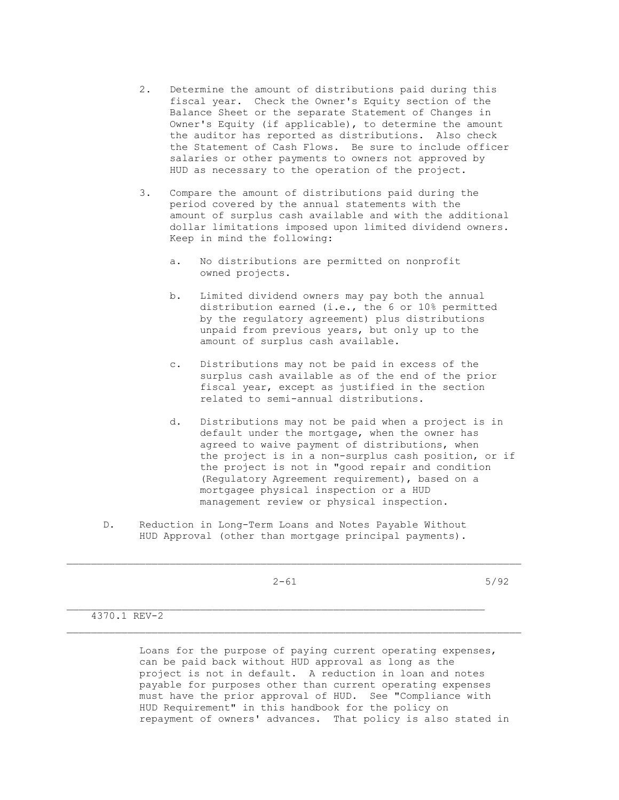- 2. Determine the amount of distributions paid during this fiscal year. Check the Owner's Equity section of the Balance Sheet or the separate Statement of Changes in Owner's Equity (if applicable), to determine the amount the auditor has reported as distributions. Also check the Statement of Cash Flows. Be sure to include officer salaries or other payments to owners not approved by HUD as necessary to the operation of the project.
- 3. Compare the amount of distributions paid during the period covered by the annual statements with the amount of surplus cash available and with the additional dollar limitations imposed upon limited dividend owners. Keep in mind the following:
	- a. No distributions are permitted on nonprofit owned projects.
	- b. Limited dividend owners may pay both the annual distribution earned (i.e., the 6 or 10% permitted by the regulatory agreement) plus distributions unpaid from previous years, but only up to the amount of surplus cash available.
	- c. Distributions may not be paid in excess of the surplus cash available as of the end of the prior fiscal year, except as justified in the section related to semi-annual distributions.
	- d. Distributions may not be paid when a project is in default under the mortgage, when the owner has agreed to waive payment of distributions, when the project is in a non-surplus cash position, or if the project is not in "good repair and condition (Regulatory Agreement requirement), based on a mortgagee physical inspection or a HUD management review or physical inspection.
- D. Reduction in Long-Term Loans and Notes Payable Without HUD Approval (other than mortgage principal payments).

 $2-61$  5/92

 $\mathcal{L}_\text{max}$ 

\_\_\_\_\_\_\_\_\_\_\_\_\_\_\_\_\_\_\_\_\_\_\_\_\_\_\_\_\_\_\_\_\_\_\_\_\_\_\_\_\_\_\_\_\_\_\_\_\_\_\_\_\_\_\_\_\_\_\_\_\_\_\_\_\_\_\_\_\_

## 4370.1 REV-2

 Loans for the purpose of paying current operating expenses, can be paid back without HUD approval as long as the project is not in default. A reduction in loan and notes payable for purposes other than current operating expenses must have the prior approval of HUD. See "Compliance with HUD Requirement" in this handbook for the policy on repayment of owners' advances. That policy is also stated in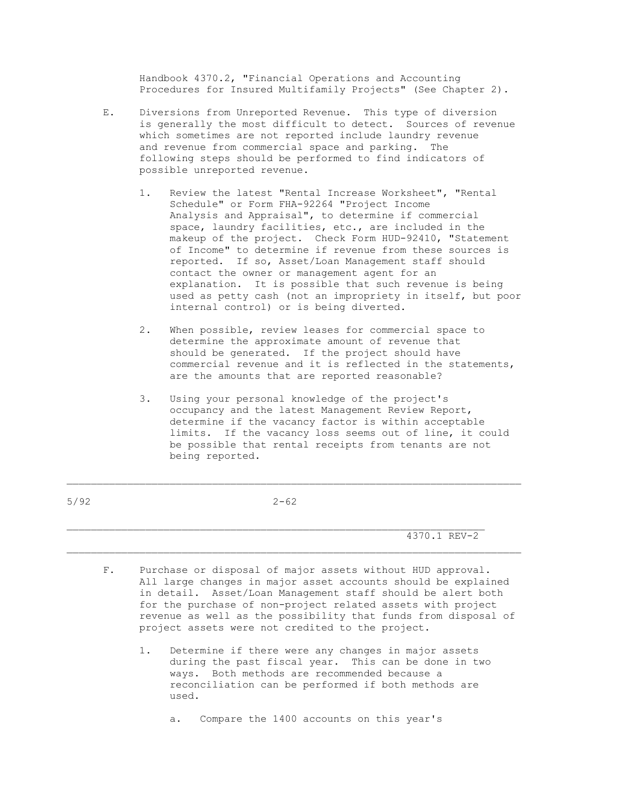Handbook 4370.2, "Financial Operations and Accounting Procedures for Insured Multifamily Projects" (See Chapter 2).

- E. Diversions from Unreported Revenue. This type of diversion is generally the most difficult to detect. Sources of revenue which sometimes are not reported include laundry revenue and revenue from commercial space and parking. The following steps should be performed to find indicators of possible unreported revenue.
	- 1. Review the latest "Rental Increase Worksheet", "Rental Schedule" or Form FHA-92264 "Project Income Analysis and Appraisal", to determine if commercial space, laundry facilities, etc., are included in the makeup of the project. Check Form HUD-92410, "Statement of Income" to determine if revenue from these sources is reported. If so, Asset/Loan Management staff should contact the owner or management agent for an explanation. It is possible that such revenue is being used as petty cash (not an impropriety in itself, but poor internal control) or is being diverted.
	- 2. When possible, review leases for commercial space to determine the approximate amount of revenue that should be generated. If the project should have commercial revenue and it is reflected in the statements, are the amounts that are reported reasonable?
	- 3. Using your personal knowledge of the project's occupancy and the latest Management Review Report, determine if the vacancy factor is within acceptable limits. If the vacancy loss seems out of line, it could be possible that rental receipts from tenants are not being reported.

5/92 2-62

 $\mathcal{L}_\text{max}$ 

\_\_\_\_\_\_\_\_\_\_\_\_\_\_\_\_\_\_\_\_\_\_\_\_\_\_\_\_\_\_\_\_\_\_\_\_\_\_\_\_\_\_\_\_\_\_\_\_\_\_\_\_\_\_\_\_\_\_\_\_\_\_\_\_\_\_\_\_\_\_\_\_\_\_\_

4370.1 REV-2

- F. Purchase or disposal of major assets without HUD approval. All large changes in major asset accounts should be explained in detail. Asset/Loan Management staff should be alert both for the purchase of non-project related assets with project revenue as well as the possibility that funds from disposal of project assets were not credited to the project.
	- 1. Determine if there were any changes in major assets during the past fiscal year. This can be done in two ways. Both methods are recommended because a reconciliation can be performed if both methods are used.

a. Compare the 1400 accounts on this year's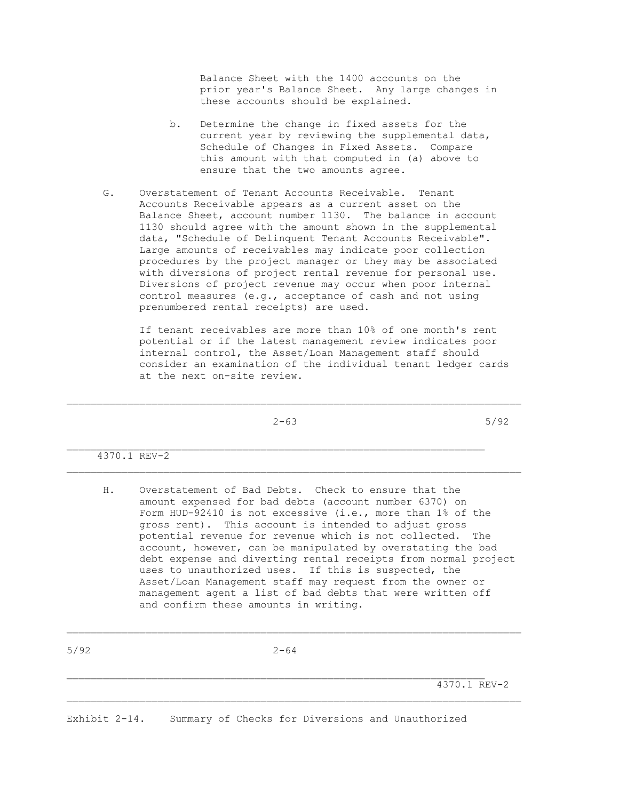Balance Sheet with the 1400 accounts on the prior year's Balance Sheet. Any large changes in these accounts should be explained.

- b. Determine the change in fixed assets for the current year by reviewing the supplemental data, Schedule of Changes in Fixed Assets. Compare this amount with that computed in (a) above to ensure that the two amounts agree.
- G. Overstatement of Tenant Accounts Receivable. Tenant Accounts Receivable appears as a current asset on the Balance Sheet, account number 1130. The balance in account 1130 should agree with the amount shown in the supplemental data, "Schedule of Delinquent Tenant Accounts Receivable". Large amounts of receivables may indicate poor collection procedures by the project manager or they may be associated with diversions of project rental revenue for personal use. Diversions of project revenue may occur when poor internal control measures (e.g., acceptance of cash and not using prenumbered rental receipts) are used.

 If tenant receivables are more than 10% of one month's rent potential or if the latest management review indicates poor internal control, the Asset/Loan Management staff should consider an examination of the individual tenant ledger cards at the next on-site review.

 $2-63$  5/92

\_\_\_\_\_\_\_\_\_\_\_\_\_\_\_\_\_\_\_\_\_\_\_\_\_\_\_\_\_\_\_\_\_\_\_\_\_\_\_\_\_\_\_\_\_\_\_\_\_\_\_\_\_\_\_\_\_\_\_\_\_\_\_\_\_\_\_\_\_\_\_\_\_\_\_

4370.1 REV-2

 H. Overstatement of Bad Debts. Check to ensure that the amount expensed for bad debts (account number 6370) on Form HUD-92410 is not excessive (i.e., more than 1% of the gross rent). This account is intended to adjust gross potential revenue for revenue which is not collected. The account, however, can be manipulated by overstating the bad debt expense and diverting rental receipts from normal project uses to unauthorized uses. If this is suspected, the Asset/Loan Management staff may request from the owner or management agent a list of bad debts that were written off and confirm these amounts in writing.

 $\mathcal{L}_\text{max}$ 

4370.1 REV-2

Exhibit 2-14. Summary of Checks for Diversions and Unauthorized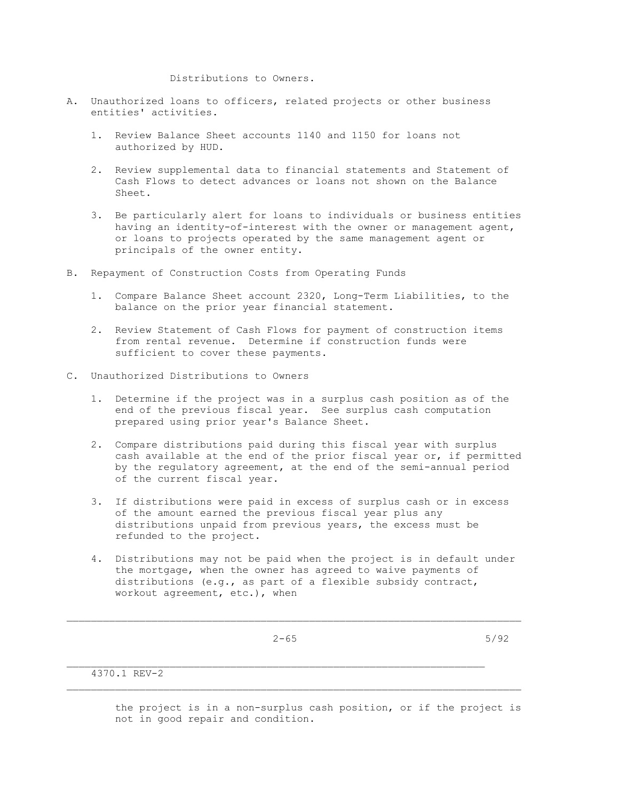Distributions to Owners.

- A. Unauthorized loans to officers, related projects or other business entities' activities.
	- 1. Review Balance Sheet accounts 1140 and 1150 for loans not authorized by HUD.
	- 2. Review supplemental data to financial statements and Statement of Cash Flows to detect advances or loans not shown on the Balance Sheet.
	- 3. Be particularly alert for loans to individuals or business entities having an identity-of-interest with the owner or management agent, or loans to projects operated by the same management agent or principals of the owner entity.
- B. Repayment of Construction Costs from Operating Funds
	- 1. Compare Balance Sheet account 2320, Long-Term Liabilities, to the balance on the prior year financial statement.
	- 2. Review Statement of Cash Flows for payment of construction items from rental revenue. Determine if construction funds were sufficient to cover these payments.
- C. Unauthorized Distributions to Owners
	- 1. Determine if the project was in a surplus cash position as of the end of the previous fiscal year. See surplus cash computation prepared using prior year's Balance Sheet.
	- 2. Compare distributions paid during this fiscal year with surplus cash available at the end of the prior fiscal year or, if permitted by the regulatory agreement, at the end of the semi-annual period of the current fiscal year.
	- 3. If distributions were paid in excess of surplus cash or in excess of the amount earned the previous fiscal year plus any distributions unpaid from previous years, the excess must be refunded to the project.
	- 4. Distributions may not be paid when the project is in default under the mortgage, when the owner has agreed to waive payments of distributions (e.g., as part of a flexible subsidy contract, workout agreement, etc.), when

 $\mathcal{L}_\text{max}$ 

 $2-65$  5/92

4370.1 REV-2

 the project is in a non-surplus cash position, or if the project is not in good repair and condition.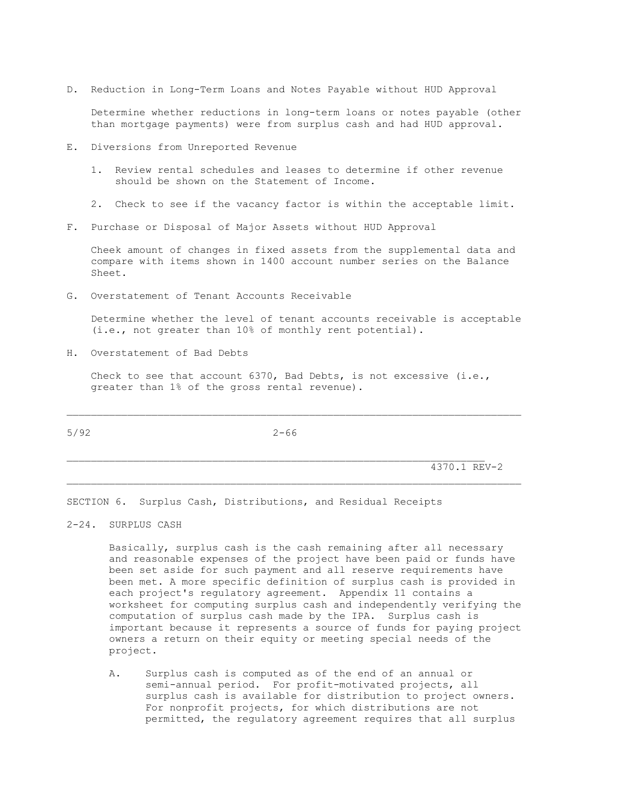D. Reduction in Long-Term Loans and Notes Payable without HUD Approval

 Determine whether reductions in long-term loans or notes payable (other than mortgage payments) were from surplus cash and had HUD approval.

- E. Diversions from Unreported Revenue
	- 1. Review rental schedules and leases to determine if other revenue should be shown on the Statement of Income.
	- 2. Check to see if the vacancy factor is within the acceptable limit.
- F. Purchase or Disposal of Major Assets without HUD Approval

 Cheek amount of changes in fixed assets from the supplemental data and compare with items shown in 1400 account number series on the Balance Sheet.

G. Overstatement of Tenant Accounts Receivable

 Determine whether the level of tenant accounts receivable is acceptable (i.e., not greater than 10% of monthly rent potential).

H. Overstatement of Bad Debts

Check to see that account  $6370$ , Bad Debts, is not excessive (i.e., greater than 1% of the gross rental revenue).

 $\mathcal{L}_\text{max}$ 

\_\_\_\_\_\_\_\_\_\_\_\_\_\_\_\_\_\_\_\_\_\_\_\_\_\_\_\_\_\_\_\_\_\_\_\_\_\_\_\_\_\_\_\_\_\_\_\_\_\_\_\_\_\_\_\_\_\_\_\_\_\_\_\_\_\_\_\_\_\_\_\_\_\_\_

5/92 2-66

4370.1 REV-2

SECTION 6. Surplus Cash, Distributions, and Residual Receipts

2-24. SURPLUS CASH

 Basically, surplus cash is the cash remaining after all necessary and reasonable expenses of the project have been paid or funds have been set aside for such payment and all reserve requirements have been met. A more specific definition of surplus cash is provided in each project's regulatory agreement. Appendix 11 contains a worksheet for computing surplus cash and independently verifying the computation of surplus cash made by the IPA. Surplus cash is important because it represents a source of funds for paying project owners a return on their equity or meeting special needs of the project.

 A. Surplus cash is computed as of the end of an annual or semi-annual period. For profit-motivated projects, all surplus cash is available for distribution to project owners. For nonprofit projects, for which distributions are not permitted, the regulatory agreement requires that all surplus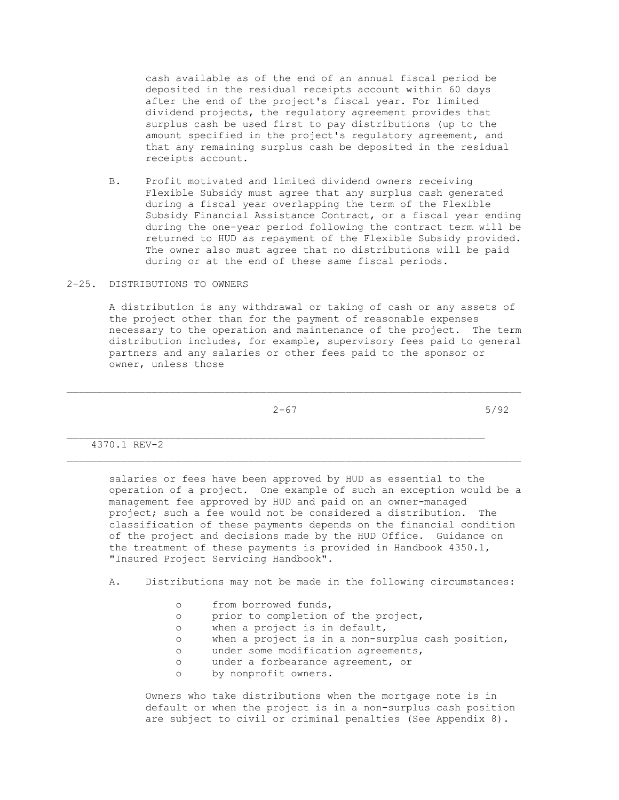cash available as of the end of an annual fiscal period be deposited in the residual receipts account within 60 days after the end of the project's fiscal year. For limited dividend projects, the regulatory agreement provides that surplus cash be used first to pay distributions (up to the amount specified in the project's regulatory agreement, and that any remaining surplus cash be deposited in the residual receipts account.

 B. Profit motivated and limited dividend owners receiving Flexible Subsidy must agree that any surplus cash generated during a fiscal year overlapping the term of the Flexible Subsidy Financial Assistance Contract, or a fiscal year ending during the one-year period following the contract term will be returned to HUD as repayment of the Flexible Subsidy provided. The owner also must agree that no distributions will be paid during or at the end of these same fiscal periods.

### 2-25. DISTRIBUTIONS TO OWNERS

 A distribution is any withdrawal or taking of cash or any assets of the project other than for the payment of reasonable expenses necessary to the operation and maintenance of the project. The term distribution includes, for example, supervisory fees paid to general partners and any salaries or other fees paid to the sponsor or owner, unless those

 $2-67$  5/92

\_\_\_\_\_\_\_\_\_\_\_\_\_\_\_\_\_\_\_\_\_\_\_\_\_\_\_\_\_\_\_\_\_\_\_\_\_\_\_\_\_\_\_\_\_\_\_\_\_\_\_\_\_\_\_\_\_\_\_\_\_\_\_\_\_\_\_\_\_\_\_\_\_\_\_

4370.1 REV-2

 salaries or fees have been approved by HUD as essential to the operation of a project. One example of such an exception would be a management fee approved by HUD and paid on an owner-managed project; such a fee would not be considered a distribution. The classification of these payments depends on the financial condition of the project and decisions made by the HUD Office. Guidance on the treatment of these payments is provided in Handbook 4350.1, "Insured Project Servicing Handbook".

A. Distributions may not be made in the following circumstances:

- o from borrowed funds,
- o prior to completion of the project,
- o when a project is in default,
- o when a project is in a non-surplus cash position,
- o under some modification agreements,
- o under a forbearance agreement, or
- o by nonprofit owners.

 Owners who take distributions when the mortgage note is in default or when the project is in a non-surplus cash position are subject to civil or criminal penalties (See Appendix 8).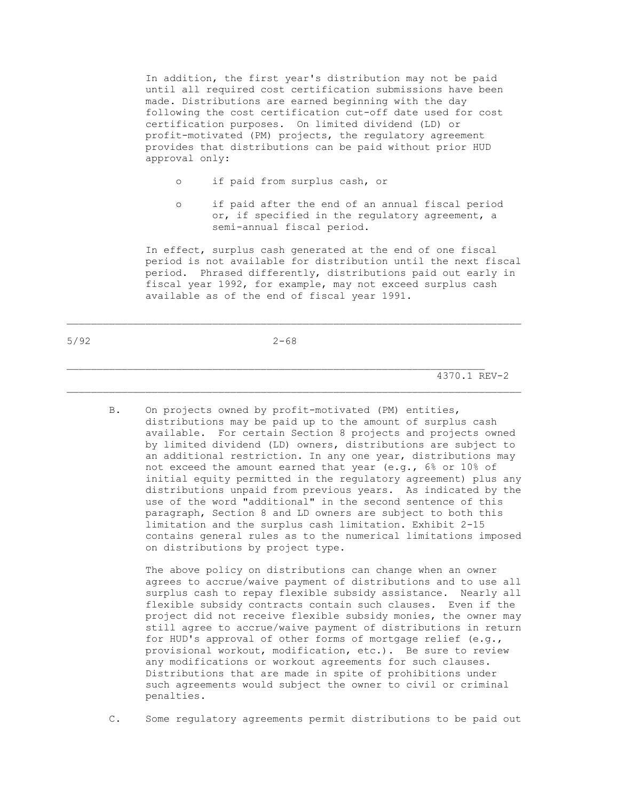In addition, the first year's distribution may not be paid until all required cost certification submissions have been made. Distributions are earned beginning with the day following the cost certification cut-off date used for cost certification purposes. On limited dividend (LD) or profit-motivated (PM) projects, the regulatory agreement provides that distributions can be paid without prior HUD approval only:

- o if paid from surplus cash, or
- o if paid after the end of an annual fiscal period or, if specified in the regulatory agreement, a semi-annual fiscal period.

 In effect, surplus cash generated at the end of one fiscal period is not available for distribution until the next fiscal period. Phrased differently, distributions paid out early in fiscal year 1992, for example, may not exceed surplus cash available as of the end of fiscal year 1991.

\_\_\_\_\_\_\_\_\_\_\_\_\_\_\_\_\_\_\_\_\_\_\_\_\_\_\_\_\_\_\_\_\_\_\_\_\_\_\_\_\_\_\_\_\_\_\_\_\_\_\_\_\_\_\_\_\_\_\_\_\_\_\_\_\_\_\_\_\_\_\_\_\_\_\_

4370.1 REV-2

 B. On projects owned by profit-motivated (PM) entities, distributions may be paid up to the amount of surplus cash available. For certain Section 8 projects and projects owned by limited dividend (LD) owners, distributions are subject to an additional restriction. In any one year, distributions may not exceed the amount earned that year (e.g., 6% or 10% of initial equity permitted in the regulatory agreement) plus any distributions unpaid from previous years. As indicated by the use of the word "additional" in the second sentence of this paragraph, Section 8 and LD owners are subject to both this limitation and the surplus cash limitation. Exhibit 2-15 contains general rules as to the numerical limitations imposed on distributions by project type.

 The above policy on distributions can change when an owner agrees to accrue/waive payment of distributions and to use all surplus cash to repay flexible subsidy assistance. Nearly all flexible subsidy contracts contain such clauses. Even if the project did not receive flexible subsidy monies, the owner may still agree to accrue/waive payment of distributions in return for HUD's approval of other forms of mortgage relief (e.g., provisional workout, modification, etc.). Be sure to review any modifications or workout agreements for such clauses. Distributions that are made in spite of prohibitions under such agreements would subject the owner to civil or criminal penalties.

C. Some regulatory agreements permit distributions to be paid out

5/92 2-68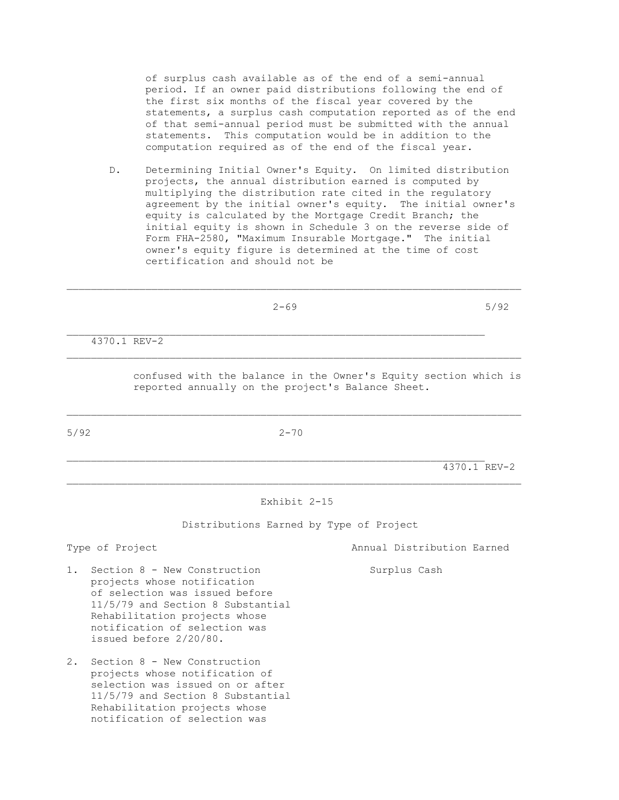of surplus cash available as of the end of a semi-annual period. If an owner paid distributions following the end of the first six months of the fiscal year covered by the statements, a surplus cash computation reported as of the end of that semi-annual period must be submitted with the annual statements. This computation would be in addition to the computation required as of the end of the fiscal year.

 D. Determining Initial Owner's Equity. On limited distribution projects, the annual distribution earned is computed by multiplying the distribution rate cited in the regulatory agreement by the initial owner's equity. The initial owner's equity is calculated by the Mortgage Credit Branch; the initial equity is shown in Schedule 3 on the reverse side of Form FHA-2580, "Maximum Insurable Mortgage." The initial owner's equity figure is determined at the time of cost certification and should not be

| 5/92<br>$2 - 69$<br>___ |
|-------------------------|
|-------------------------|

\_\_\_\_\_\_\_\_\_\_\_\_\_\_\_\_\_\_\_\_\_\_\_\_\_\_\_\_\_\_\_\_\_\_\_\_\_\_\_\_\_\_\_\_\_\_\_\_\_\_\_\_\_\_\_\_\_\_\_\_\_\_\_\_\_\_\_\_\_\_\_\_\_\_\_

4370.1 REV-2

 confused with the balance in the Owner's Equity section which is reported annually on the project's Balance Sheet.

5/92 2-70

 $\mathcal{L}_\text{max}$ 

4370.1 REV-2

Exhibit 2-15

\_\_\_\_\_\_\_\_\_\_\_\_\_\_\_\_\_\_\_\_\_\_\_\_\_\_\_\_\_\_\_\_\_\_\_\_\_\_\_\_\_\_\_\_\_\_\_\_\_\_\_\_\_\_\_\_\_\_\_\_\_\_\_\_\_\_\_\_\_\_\_\_\_\_\_

Distributions Earned by Type of Project

Type of Project Annual Distribution Earned

- 1. Section 8 New Construction Surplus Cash projects whose notification of selection was issued before 11/5/79 and Section 8 Substantial Rehabilitation projects whose notification of selection was issued before 2/20/80.
- 2. Section 8 New Construction projects whose notification of selection was issued on or after 11/5/79 and Section 8 Substantial Rehabilitation projects whose notification of selection was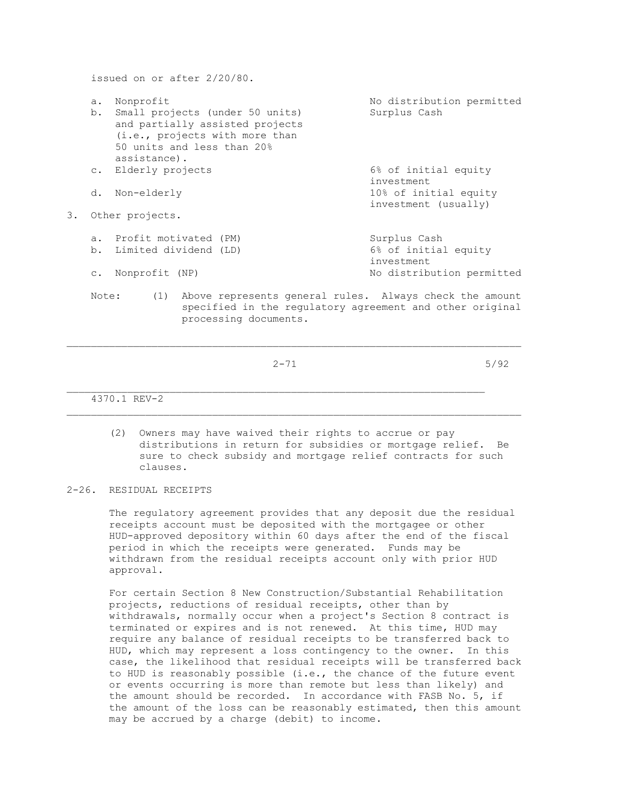issued on or after 2/20/80. a. Nonprofit and the No distribution permitted b. Small projects (under 50 units) Surplus Cash and partially assisted projects (i.e., projects with more than 50 units and less than 20% assistance). c. Elderly projects 6% of initial equity investment d. Non-elderly 10% of initial equity investment (usually) 3. Other projects. a. Profit motivated (PM) <br>b. Limited dividend (LD) 6% of initial equity b. Limited dividend (LD) investment c. Nonprofit (NP) and the Modistribution permitted Note: (1) Above represents general rules. Always check the amount specified in the regulatory agreement and other original

 $2-71$  5/92

\_\_\_\_\_\_\_\_\_\_\_\_\_\_\_\_\_\_\_\_\_\_\_\_\_\_\_\_\_\_\_\_\_\_\_\_\_\_\_\_\_\_\_\_\_\_\_\_\_\_\_\_\_\_\_\_\_\_\_\_\_\_\_\_\_\_\_\_\_

processing documents.

4370.1 REV-2

 (2) Owners may have waived their rights to accrue or pay distributions in return for subsidies or mortgage relief. Be sure to check subsidy and mortgage relief contracts for such clauses.

 $\mathcal{L}_\text{max}$ 

2-26. RESIDUAL RECEIPTS

 The regulatory agreement provides that any deposit due the residual receipts account must be deposited with the mortgagee or other HUD-approved depository within 60 days after the end of the fiscal period in which the receipts were generated. Funds may be withdrawn from the residual receipts account only with prior HUD approval.

 For certain Section 8 New Construction/Substantial Rehabilitation projects, reductions of residual receipts, other than by withdrawals, normally occur when a project's Section 8 contract is terminated or expires and is not renewed. At this time, HUD may require any balance of residual receipts to be transferred back to HUD, which may represent a loss contingency to the owner. In this case, the likelihood that residual receipts will be transferred back to HUD is reasonably possible (i.e., the chance of the future event or events occurring is more than remote but less than likely) and the amount should be recorded. In accordance with FASB No. 5, if the amount of the loss can be reasonably estimated, then this amount may be accrued by a charge (debit) to income.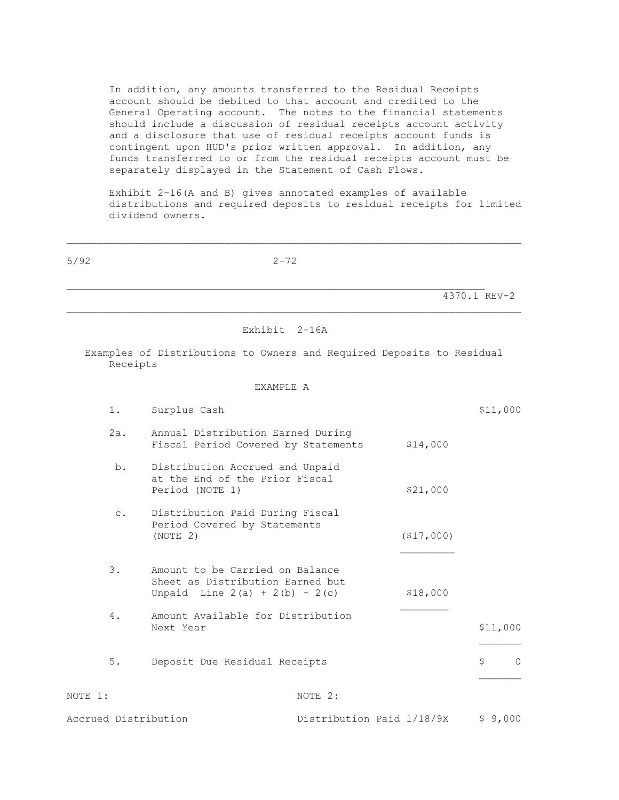In addition, any amounts transferred to the Residual Receipts account should be debited to that account and credited to the General Operating account. The notes to the financial statements should include a discussion of residual receipts account activity and a disclosure that use of residual receipts account funds is contingent upon HUD's prior written approval. In addition, any funds transferred to or from the residual receipts account must be separately displayed in the Statement of Cash Flows.

 Exhibit 2-16(A and B) gives annotated examples of available distributions and required deposits to residual receipts for limited dividend owners.

| 5/92                 | $2 - 72$                                                                                                |                           |             |                |
|----------------------|---------------------------------------------------------------------------------------------------------|---------------------------|-------------|----------------|
|                      |                                                                                                         |                           |             | 4370.1 REV-2   |
|                      | Exhibit 2-16A                                                                                           |                           |             |                |
| Receipts             | Examples of Distributions to Owners and Required Deposits to Residual                                   |                           |             |                |
|                      | EXAMPLE A                                                                                               |                           |             |                |
| 1.                   | Surplus Cash                                                                                            |                           |             | \$11,000       |
| 2a.                  | Annual Distribution Earned During<br>Fiscal Period Covered by Statements                                |                           | \$14,000    |                |
| b.                   | Distribution Accrued and Unpaid<br>at the End of the Prior Fiscal<br>Period (NOTE 1)                    |                           | \$21,000    |                |
| $\circ$ .            | Distribution Paid During Fiscal<br>Period Covered by Statements<br>(NOTE 2)                             |                           | ( \$17,000) |                |
| 3.                   | Amount to be Carried on Balance<br>Sheet as Distribution Earned but<br>Unpaid Line $2(a) + 2(b) - 2(c)$ |                           | \$18,000    |                |
| 4.                   | Amount Available for Distribution<br>Next Year                                                          |                           |             | \$11,000       |
| $5.$                 | Deposit Due Residual Receipts                                                                           |                           |             | \$<br>$\Omega$ |
| NOTE 1:              |                                                                                                         | NOTE 2:                   |             |                |
| Accrued Distribution |                                                                                                         | Distribution Paid 1/18/9X |             | \$9,000        |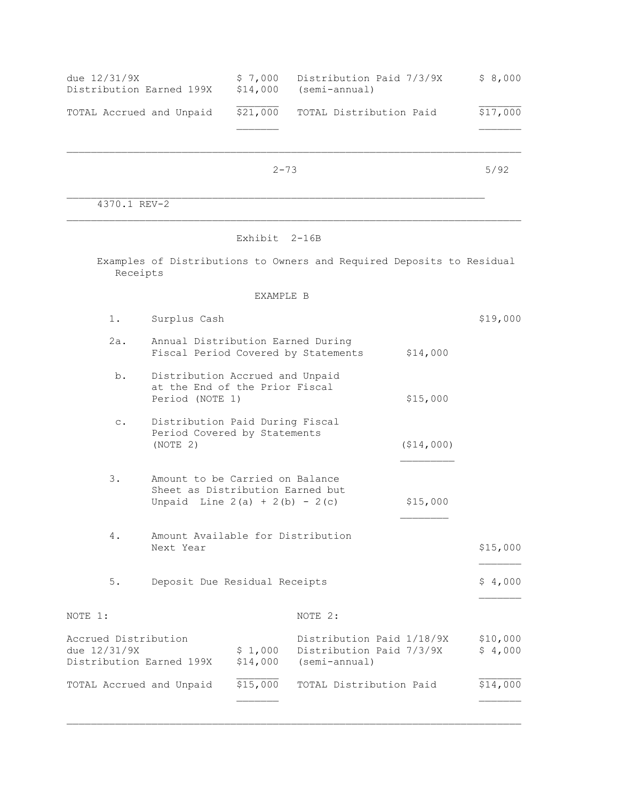| due 12/31/9X<br>Distribution Earned 199X | \$7.000<br>\$14,000 | Distribution Paid 7/3/9X<br>(semi-annual) | \$8,000  |
|------------------------------------------|---------------------|-------------------------------------------|----------|
| TOTAL Accrued and Unpaid                 | \$21,000            | TOTAL Distribution Paid                   | \$17,000 |
|                                          |                     |                                           |          |

2-73 5/92

 $\mathcal{L}_\text{max}$ 

4370.1 REV-2

## Exhibit 2-16B

 Examples of Distributions to Owners and Required Deposits to Residual Receipts

# EXAMPLE B

| 1.                                                               | Surplus Cash                                                                         |                                                                                                                     |                                                                        |           | \$19,000            |
|------------------------------------------------------------------|--------------------------------------------------------------------------------------|---------------------------------------------------------------------------------------------------------------------|------------------------------------------------------------------------|-----------|---------------------|
| 2a.                                                              | Annual Distribution Earned During                                                    |                                                                                                                     | Fiscal Period Covered by Statements                                    | \$14,000  |                     |
| b.                                                               | Distribution Accrued and Unpaid<br>at the End of the Prior Fiscal<br>Period (NOTE 1) |                                                                                                                     |                                                                        | \$15,000  |                     |
| $\mathsf{C}$ .                                                   | Distribution Paid During Fiscal<br>Period Covered by Statements<br>(NOTE 2)          |                                                                                                                     |                                                                        | (514,000) |                     |
| 3.                                                               |                                                                                      | Amount to be Carried on Balance<br>Sheet as Distribution Earned but<br>\$15,000<br>Unpaid Line $2(a) + 2(b) - 2(c)$ |                                                                        |           |                     |
| 4.                                                               | Amount Available for Distribution<br>Next Year                                       |                                                                                                                     |                                                                        |           | \$15,000            |
| $5.$                                                             | Deposit Due Residual Receipts                                                        |                                                                                                                     |                                                                        |           | \$4,000             |
| NOTE 1:                                                          |                                                                                      |                                                                                                                     | NOTE 2:                                                                |           |                     |
| Accrued Distribution<br>due 12/31/9X<br>Distribution Earned 199X |                                                                                      | \$1,000<br>\$14,000                                                                                                 | Distribution Paid 1/18/9X<br>Distribution Paid 7/3/9X<br>(semi-annual) |           | \$10,000<br>\$4,000 |
|                                                                  | TOTAL Accrued and Unpaid                                                             | \$15,000                                                                                                            | TOTAL Distribution Paid                                                |           | \$14,000            |
|                                                                  |                                                                                      |                                                                                                                     |                                                                        |           |                     |

\_\_\_\_\_\_\_\_\_\_\_\_\_\_\_\_\_\_\_\_\_\_\_\_\_\_\_\_\_\_\_\_\_\_\_\_\_\_\_\_\_\_\_\_\_\_\_\_\_\_\_\_\_\_\_\_\_\_\_\_\_\_\_\_\_\_\_\_\_\_\_\_\_\_\_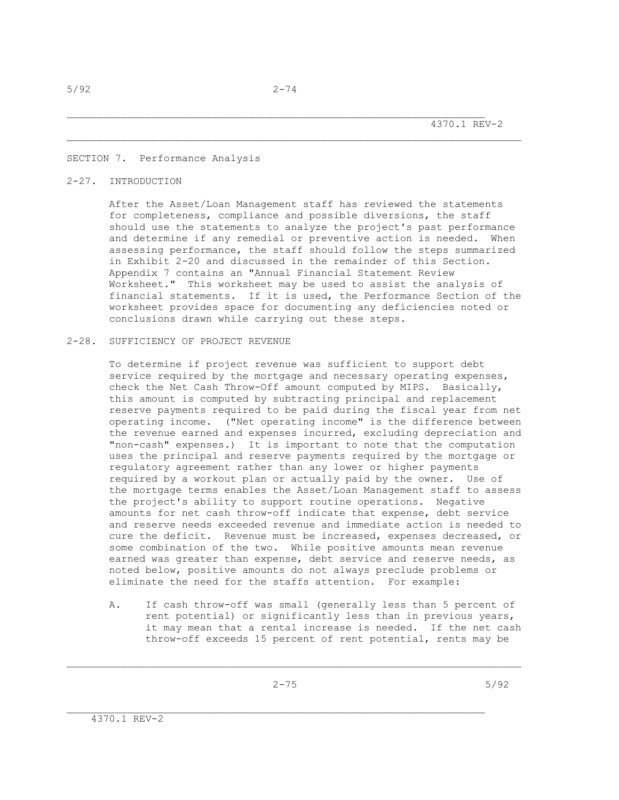### SECTION 7. Performance Analysis

### 2-27. INTRODUCTION

 After the Asset/Loan Management staff has reviewed the statements for completeness, compliance and possible diversions, the staff should use the statements to analyze the project's past performance and determine if any remedial or preventive action is needed. When assessing performance, the staff should follow the steps summarized in Exhibit 2-20 and discussed in the remainder of this Section. Appendix 7 contains an "Annual Financial Statement Review Worksheet." This worksheet may be used to assist the analysis of financial statements. If it is used, the Performance Section of the worksheet provides space for documenting any deficiencies noted or conclusions drawn while carrying out these steps.

### 2-28. SUFFICIENCY OF PROJECT REVENUE

 To determine if project revenue was sufficient to support debt service required by the mortgage and necessary operating expenses, check the Net Cash Throw-Off amount computed by MIPS. Basically, this amount is computed by subtracting principal and replacement reserve payments required to be paid during the fiscal year from net operating income. ("Net operating income" is the difference between the revenue earned and expenses incurred, excluding depreciation and "non-cash" expenses.) It is important to note that the computation uses the principal and reserve payments required by the mortgage or regulatory agreement rather than any lower or higher payments required by a workout plan or actually paid by the owner. Use of the mortgage terms enables the Asset/Loan Management staff to assess the project's ability to support routine operations. Negative amounts for net cash throw-off indicate that expense, debt service and reserve needs exceeded revenue and immediate action is needed to cure the deficit. Revenue must be increased, expenses decreased, or some combination of the two. While positive amounts mean revenue earned was greater than expense, debt service and reserve needs, as noted below, positive amounts do not always preclude problems or eliminate the need for the staffs attention. For example:

 A. If cash throw-off was small (generally less than 5 percent of rent potential) or significantly less than in previous years, it may mean that a rental increase is needed. If the net cash throw-off exceeds 15 percent of rent potential, rents may be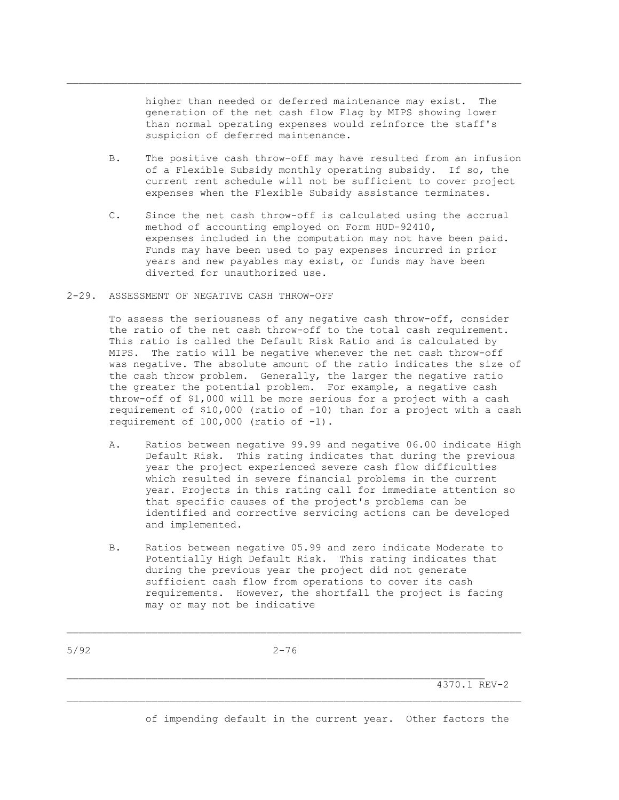higher than needed or deferred maintenance may exist. The generation of the net cash flow Flag by MIPS showing lower than normal operating expenses would reinforce the staff's suspicion of deferred maintenance.

 $\mathcal{L}_\text{max}$ 

- B. The positive cash throw-off may have resulted from an infusion of a Flexible Subsidy monthly operating subsidy. If so, the current rent schedule will not be sufficient to cover project expenses when the Flexible Subsidy assistance terminates.
- C. Since the net cash throw-off is calculated using the accrual method of accounting employed on Form HUD-92410, expenses included in the computation may not have been paid. Funds may have been used to pay expenses incurred in prior years and new payables may exist, or funds may have been diverted for unauthorized use.
- 2-29. ASSESSMENT OF NEGATIVE CASH THROW-OFF

 To assess the seriousness of any negative cash throw-off, consider the ratio of the net cash throw-off to the total cash requirement. This ratio is called the Default Risk Ratio and is calculated by MIPS. The ratio will be negative whenever the net cash throw-off was negative. The absolute amount of the ratio indicates the size of the cash throw problem. Generally, the larger the negative ratio the greater the potential problem. For example, a negative cash throw-off of \$1,000 will be more serious for a project with a cash requirement of \$10,000 (ratio of -10) than for a project with a cash requirement of  $100,000$  (ratio of  $-1$ ).

- A. Ratios between negative 99.99 and negative 06.00 indicate High Default Risk. This rating indicates that during the previous year the project experienced severe cash flow difficulties which resulted in severe financial problems in the current year. Projects in this rating call for immediate attention so that specific causes of the project's problems can be identified and corrective servicing actions can be developed and implemented.
- B. Ratios between negative 05.99 and zero indicate Moderate to Potentially High Default Risk. This rating indicates that during the previous year the project did not generate sufficient cash flow from operations to cover its cash requirements. However, the shortfall the project is facing may or may not be indicative

 $\mathcal{L}_\text{max}$ 

4370.1 REV-2

of impending default in the current year. Other factors the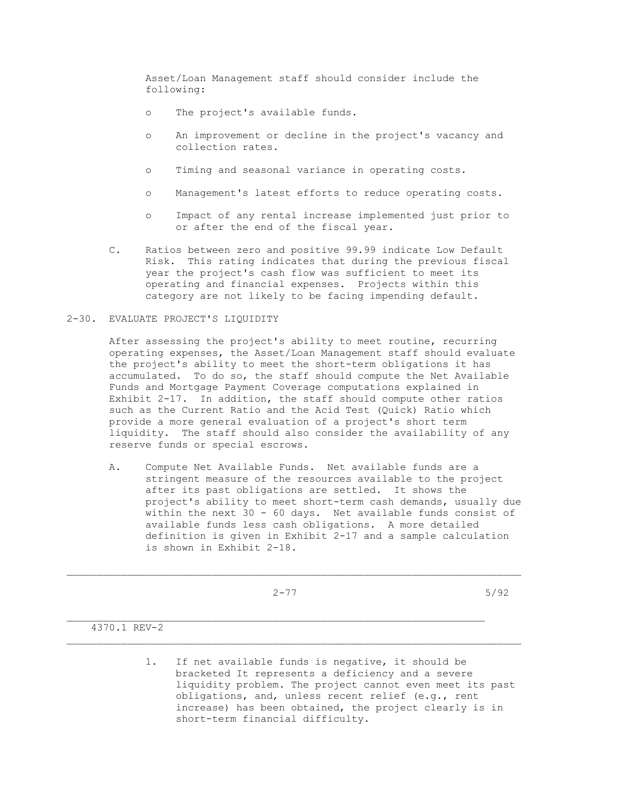Asset/Loan Management staff should consider include the following:

- o The project's available funds.
- o An improvement or decline in the project's vacancy and collection rates.
- o Timing and seasonal variance in operating costs.
- o Management's latest efforts to reduce operating costs.
- o Impact of any rental increase implemented just prior to or after the end of the fiscal year.
- C. Ratios between zero and positive 99.99 indicate Low Default Risk. This rating indicates that during the previous fiscal year the project's cash flow was sufficient to meet its operating and financial expenses. Projects within this category are not likely to be facing impending default.

### 2-30. EVALUATE PROJECT'S LIQUIDITY

 After assessing the project's ability to meet routine, recurring operating expenses, the Asset/Loan Management staff should evaluate the project's ability to meet the short-term obligations it has accumulated. To do so, the staff should compute the Net Available Funds and Mortgage Payment Coverage computations explained in Exhibit 2-17. In addition, the staff should compute other ratios such as the Current Ratio and the Acid Test (Quick) Ratio which provide a more general evaluation of a project's short term liquidity. The staff should also consider the availability of any reserve funds or special escrows.

 A. Compute Net Available Funds. Net available funds are a stringent measure of the resources available to the project after its past obligations are settled. It shows the project's ability to meet short-term cash demands, usually due within the next 30 - 60 days. Net available funds consist of available funds less cash obligations. A more detailed definition is given in Exhibit 2-17 and a sample calculation is shown in Exhibit 2-18.

 $\mathcal{L}_\text{max}$ 

 $\mathcal{L}_\text{max}$ 

2-77 5/92

4370.1 REV-2

 1. If net available funds is negative, it should be bracketed It represents a deficiency and a severe liquidity problem. The project cannot even meet its past obligations, and, unless recent relief (e.g., rent increase) has been obtained, the project clearly is in short-term financial difficulty.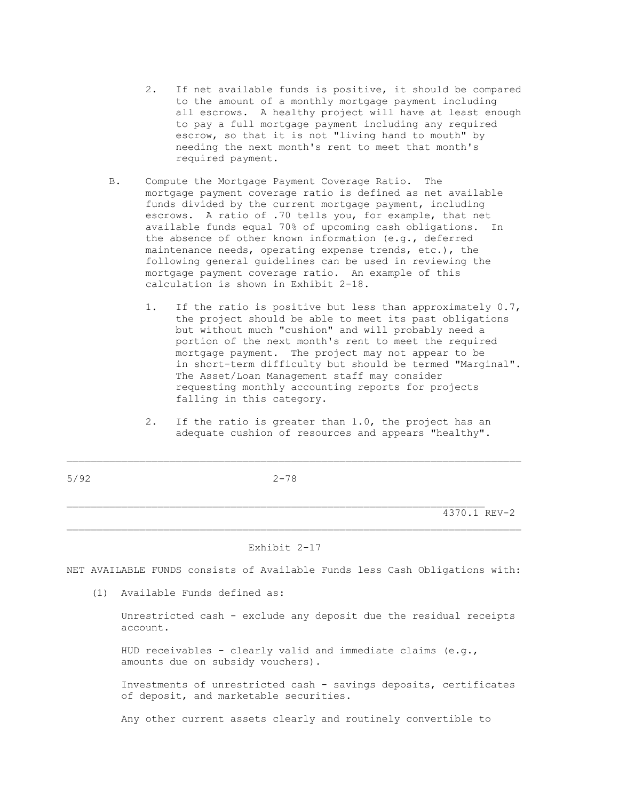- 2. If net available funds is positive, it should be compared to the amount of a monthly mortgage payment including all escrows. A healthy project will have at least enough to pay a full mortgage payment including any required escrow, so that it is not "living hand to mouth" by needing the next month's rent to meet that month's required payment.
- B. Compute the Mortgage Payment Coverage Ratio. The mortgage payment coverage ratio is defined as net available funds divided by the current mortgage payment, including escrows. A ratio of .70 tells you, for example, that net available funds equal 70% of upcoming cash obligations. In the absence of other known information (e.g., deferred maintenance needs, operating expense trends, etc.), the following general guidelines can be used in reviewing the mortgage payment coverage ratio. An example of this calculation is shown in Exhibit 2-18.
	- 1. If the ratio is positive but less than approximately 0.7, the project should be able to meet its past obligations but without much "cushion" and will probably need a portion of the next month's rent to meet the required mortgage payment. The project may not appear to be in short-term difficulty but should be termed "Marginal". The Asset/Loan Management staff may consider requesting monthly accounting reports for projects falling in this category.
	- 2. If the ratio is greater than 1.0, the project has an adequate cushion of resources and appears "healthy".

4370.1 REV-2

### Exhibit 2-17

NET AVAILABLE FUNDS consists of Available Funds less Cash Obligations with:

 $\mathcal{L}_\text{max}$ 

(1) Available Funds defined as:

 Unrestricted cash - exclude any deposit due the residual receipts account.

 HUD receivables - clearly valid and immediate claims (e.g., amounts due on subsidy vouchers).

 Investments of unrestricted cash - savings deposits, certificates of deposit, and marketable securities.

Any other current assets clearly and routinely convertible to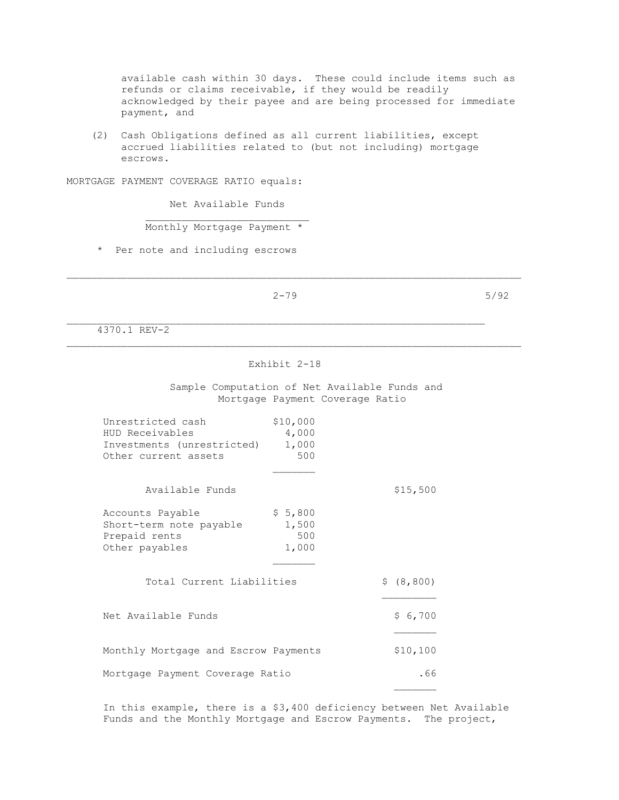available cash within 30 days. These could include items such as refunds or claims receivable, if they would be readily acknowledged by their payee and are being processed for immediate payment, and

 (2) Cash Obligations defined as all current liabilities, except accrued liabilities related to (but not including) mortgage escrows.

MORTGAGE PAYMENT COVERAGE RATIO equals:

Net Available Funds

Monthly Mortgage Payment \*

\* Per note and including escrows

 $2-79$  5/92

\_\_\_\_\_\_\_\_\_\_\_\_\_\_\_\_\_\_\_\_\_\_\_\_\_\_\_\_\_\_\_\_\_\_\_\_\_\_\_\_\_\_\_\_\_\_\_\_\_\_\_\_\_\_\_\_\_\_\_\_\_\_\_\_\_\_\_\_\_\_\_\_\_\_\_

4370.1 REV-2

### Exhibit 2-18

 Sample Computation of Net Available Funds and Mortgage Payment Coverage Ratio

| Unrestricted cash<br>HUD Receivables<br>Investments (unrestricted)<br>Other current assets | \$10,000<br>4,000<br>1,000<br>500 |             |
|--------------------------------------------------------------------------------------------|-----------------------------------|-------------|
| Available Funds                                                                            |                                   | \$15,500    |
| Accounts Payable<br>Short-term note payable<br>Prepaid rents<br>Other payables             | \$5,800<br>1,500<br>500<br>1,000  |             |
| Total Current Liabilities                                                                  |                                   | \$ (8, 800) |
| Net Available Funds                                                                        |                                   | \$6,700     |
| Monthly Mortgage and Escrow Payments                                                       |                                   | \$10,100    |
| Mortgage Payment Coverage Ratio                                                            |                                   | . 66        |
|                                                                                            |                                   |             |

 In this example, there is a \$3,400 deficiency between Net Available Funds and the Monthly Mortgage and Escrow Payments. The project,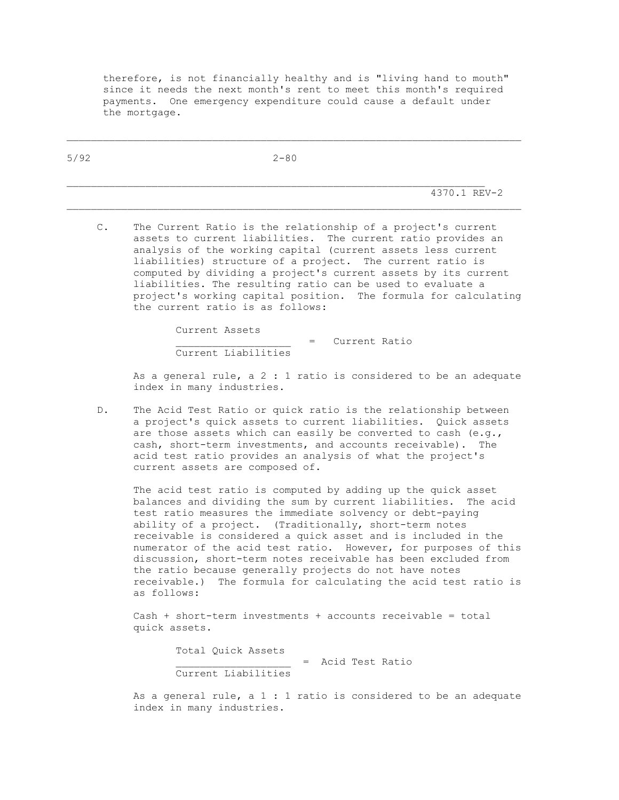therefore, is not financially healthy and is "living hand to mouth" since it needs the next month's rent to meet this month's required payments. One emergency expenditure could cause a default under the mortgage.

| 5/92 | $2 - 80$ |              |
|------|----------|--------------|
|      |          |              |
|      |          | 4370.1 REV-2 |

 C. The Current Ratio is the relationship of a project's current assets to current liabilities. The current ratio provides an analysis of the working capital (current assets less current liabilities) structure of a project. The current ratio is computed by dividing a project's current assets by its current liabilities. The resulting ratio can be used to evaluate a project's working capital position. The formula for calculating the current ratio is as follows:

Current Assets

 \_\_\_\_\_\_\_\_\_\_\_\_\_\_\_\_\_\_\_ = Current Ratio Current Liabilities

As a general rule, a  $2:1$  ratio is considered to be an adequate index in many industries.

 D. The Acid Test Ratio or quick ratio is the relationship between a project's quick assets to current liabilities. Quick assets are those assets which can easily be converted to cash (e.g., cash, short-term investments, and accounts receivable). The acid test ratio provides an analysis of what the project's current assets are composed of.

 The acid test ratio is computed by adding up the quick asset balances and dividing the sum by current liabilities. The acid test ratio measures the immediate solvency or debt-paying ability of a project. (Traditionally, short-term notes receivable is considered a quick asset and is included in the numerator of the acid test ratio. However, for purposes of this discussion, short-term notes receivable has been excluded from the ratio because generally projects do not have notes receivable.) The formula for calculating the acid test ratio is as follows:

 Cash + short-term investments + accounts receivable = total quick assets.

> Total Quick Assets \_\_\_\_\_\_\_\_\_\_\_\_\_\_\_\_\_\_\_ = Acid Test Ratio Current Liabilities

As a general rule, a  $1 : 1$  ratio is considered to be an adequate index in many industries.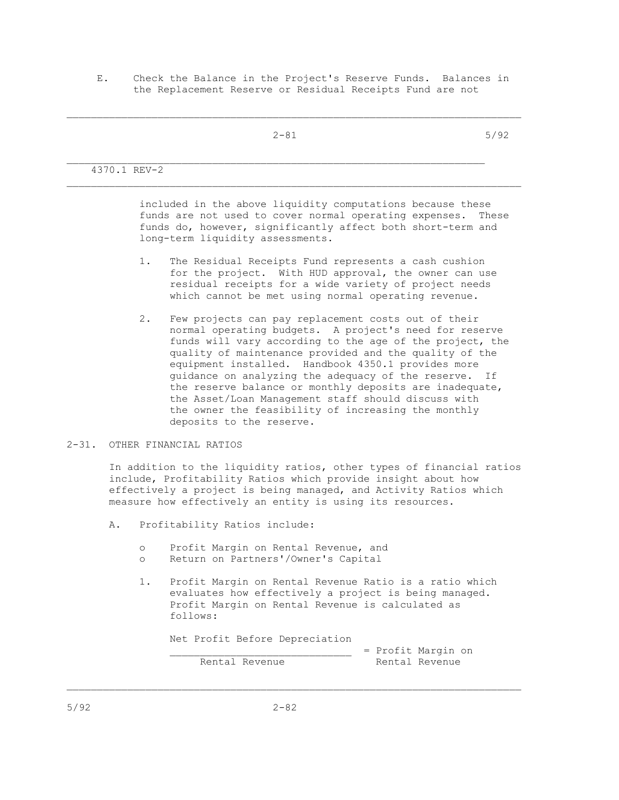E. Check the Balance in the Project's Reserve Funds. Balances in the Replacement Reserve or Residual Receipts Fund are not

 $2-81$  5/92 \_\_\_\_\_\_\_\_\_\_\_\_\_\_\_\_\_\_\_\_\_\_\_\_\_\_\_\_\_\_\_\_\_\_\_\_\_\_\_\_\_\_\_\_\_\_\_\_\_\_\_\_\_\_\_\_\_\_\_\_\_\_\_\_\_\_\_\_\_ 4370.1 REV-2  $\mathcal{L}_\text{max}$ 

> included in the above liquidity computations because these funds are not used to cover normal operating expenses. These funds do, however, significantly affect both short-term and long-term liquidity assessments.

- 1. The Residual Receipts Fund represents a cash cushion for the project. With HUD approval, the owner can use residual receipts for a wide variety of project needs which cannot be met using normal operating revenue.
- 2. Few projects can pay replacement costs out of their normal operating budgets. A project's need for reserve funds will vary according to the age of the project, the quality of maintenance provided and the quality of the equipment installed. Handbook 4350.1 provides more guidance on analyzing the adequacy of the reserve. If the reserve balance or monthly deposits are inadequate, the Asset/Loan Management staff should discuss with the owner the feasibility of increasing the monthly deposits to the reserve.
- 2-31. OTHER FINANCIAL RATIOS

 In addition to the liquidity ratios, other types of financial ratios include, Profitability Ratios which provide insight about how effectively a project is being managed, and Activity Ratios which measure how effectively an entity is using its resources.

- A. Profitability Ratios include:
	- o Profit Margin on Rental Revenue, and
	- o Return on Partners'/Owner's Capital
	- 1. Profit Margin on Rental Revenue Ratio is a ratio which evaluates how effectively a project is being managed. Profit Margin on Rental Revenue is calculated as follows:

Net Profit Before Depreciation

Rental Revenue

\_\_\_\_\_\_\_\_\_\_\_\_\_\_\_\_\_\_\_\_\_\_\_\_\_\_\_\_\_\_ = Profit Margin on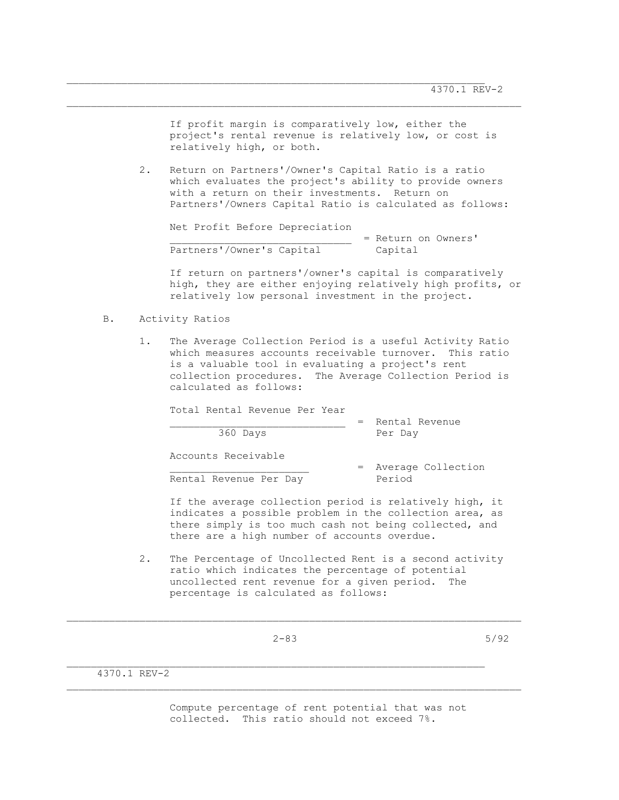If profit margin is comparatively low, either the project's rental revenue is relatively low, or cost is relatively high, or both.

 2. Return on Partners'/Owner's Capital Ratio is a ratio which evaluates the project's ability to provide owners with a return on their investments. Return on Partners'/Owners Capital Ratio is calculated as follows:

 $\mathcal{L}_\text{max}$ 

 Net Profit Before Depreciation \_\_\_\_\_\_\_\_\_\_\_\_\_\_\_\_\_\_\_\_\_\_\_\_\_\_\_\_\_\_ = Return on Owners' Partners'/Owner's Capital Capital

 If return on partners'/owner's capital is comparatively high, they are either enjoying relatively high profits, or relatively low personal investment in the project.

- B. Activity Ratios
	- 1. The Average Collection Period is a useful Activity Ratio which measures accounts receivable turnover. This ratio is a valuable tool in evaluating a project's rent collection procedures. The Average Collection Period is calculated as follows:

| Total Rental Revenue Per Year | $=$ Rental Revenue             |
|-------------------------------|--------------------------------|
| 360 Days                      | Per Day                        |
| Accounts Receivable           |                                |
| Rental Revenue Per Day        | = Average Collection<br>Period |

 If the average collection period is relatively high, it indicates a possible problem in the collection area, as there simply is too much cash not being collected, and there are a high number of accounts overdue.

 2. The Percentage of Uncollected Rent is a second activity ratio which indicates the percentage of potential uncollected rent revenue for a given period. The percentage is calculated as follows:

 $\mathcal{L}_\text{max}$ 

 $2-83$  5/92

4370.1 REV-2

 Compute percentage of rent potential that was not collected. This ratio should not exceed 7%.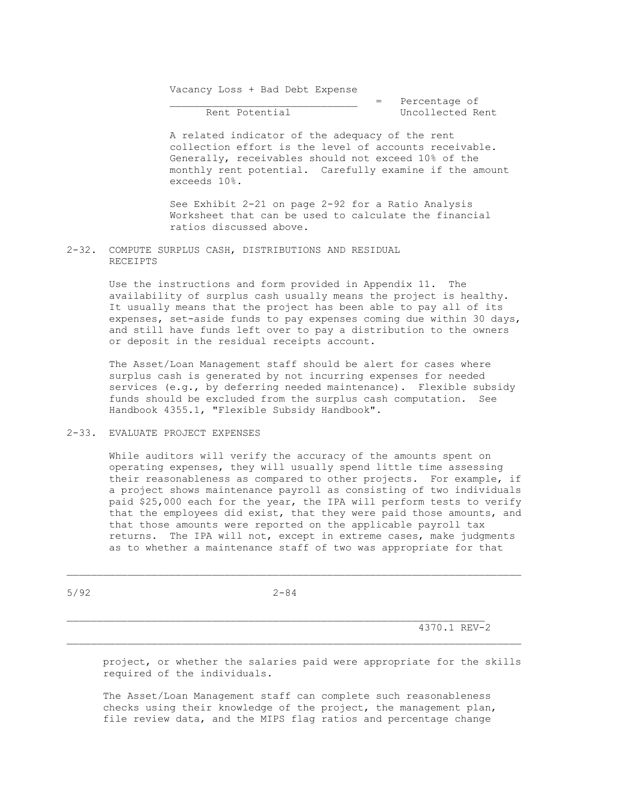Vacancy Loss + Bad Debt Expense

 $\overline{\phantom{a}}$  = Percentage of Rent Potential **Example 2018** Uncollected Rent

> A related indicator of the adequacy of the rent collection effort is the level of accounts receivable. Generally, receivables should not exceed 10% of the monthly rent potential. Carefully examine if the amount exceeds 10%.

 See Exhibit 2-21 on page 2-92 for a Ratio Analysis Worksheet that can be used to calculate the financial ratios discussed above.

2-32. COMPUTE SURPLUS CASH, DISTRIBUTIONS AND RESIDUAL RECEIPTS

> Use the instructions and form provided in Appendix 11. The availability of surplus cash usually means the project is healthy. It usually means that the project has been able to pay all of its expenses, set-aside funds to pay expenses coming due within 30 days, and still have funds left over to pay a distribution to the owners or deposit in the residual receipts account.

 The Asset/Loan Management staff should be alert for cases where surplus cash is generated by not incurring expenses for needed services (e.g., by deferring needed maintenance). Flexible subsidy funds should be excluded from the surplus cash computation. See Handbook 4355.1, "Flexible Subsidy Handbook".

## 2-33. EVALUATE PROJECT EXPENSES

 While auditors will verify the accuracy of the amounts spent on operating expenses, they will usually spend little time assessing their reasonableness as compared to other projects. For example, if a project shows maintenance payroll as consisting of two individuals paid \$25,000 each for the year, the IPA will perform tests to verify that the employees did exist, that they were paid those amounts, and that those amounts were reported on the applicable payroll tax returns. The IPA will not, except in extreme cases, make judgments as to whether a maintenance staff of two was appropriate for that

5/92 2-84

 $\mathcal{L}_\text{max}$ 

 $4370.1$  REV-2

 project, or whether the salaries paid were appropriate for the skills required of the individuals.

 The Asset/Loan Management staff can complete such reasonableness checks using their knowledge of the project, the management plan, file review data, and the MIPS flag ratios and percentage change

 $\mathcal{L}_\text{max}$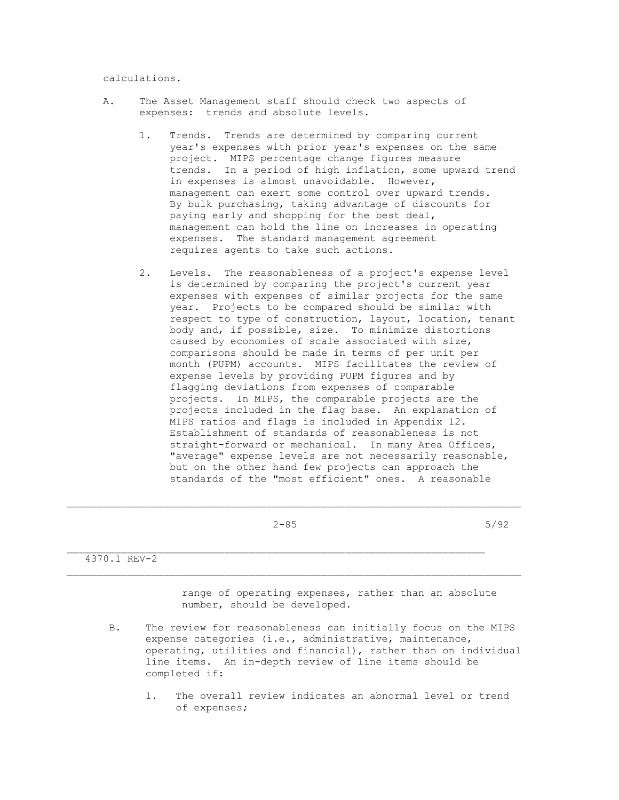calculations.

- A. The Asset Management staff should check two aspects of expenses: trends and absolute levels.
	- 1. Trends. Trends are determined by comparing current year's expenses with prior year's expenses on the same project. MIPS percentage change figures measure trends. In a period of high inflation, some upward trend in expenses is almost unavoidable. However, management can exert some control over upward trends. By bulk purchasing, taking advantage of discounts for paying early and shopping for the best deal, management can hold the line on increases in operating expenses. The standard management agreement requires agents to take such actions.
	- 2. Levels. The reasonableness of a project's expense level is determined by comparing the project's current year expenses with expenses of similar projects for the same year. Projects to be compared should be similar with respect to type of construction, layout, location, tenant body and, if possible, size. To minimize distortions caused by economies of scale associated with size, comparisons should be made in terms of per unit per month (PUPM) accounts. MIPS facilitates the review of expense levels by providing PUPM figures and by flagging deviations from expenses of comparable projects. In MIPS, the comparable projects are the projects included in the flag base. An explanation of MIPS ratios and flags is included in Appendix 12. Establishment of standards of reasonableness is not straight-forward or mechanical. In many Area Offices, "average" expense levels are not necessarily reasonable, but on the other hand few projects can approach the standards of the "most efficient" ones. A reasonable

\_\_\_\_\_\_\_\_\_\_\_\_\_\_\_\_\_\_\_\_\_\_\_\_\_\_\_\_\_\_\_\_\_\_\_\_\_\_\_\_\_\_\_\_\_\_\_\_\_\_\_\_\_\_\_\_\_\_\_\_\_\_\_\_\_\_\_\_\_\_\_\_\_\_\_

 $2-85$  5/92

4370.1 REV-2

 range of operating expenses, rather than an absolute number, should be developed.

- B. The review for reasonableness can initially focus on the MIPS expense categories (i.e., administrative, maintenance, operating, utilities and financial), rather than on individual line items. An in-depth review of line items should be completed if:
	- 1. The overall review indicates an abnormal level or trend of expenses;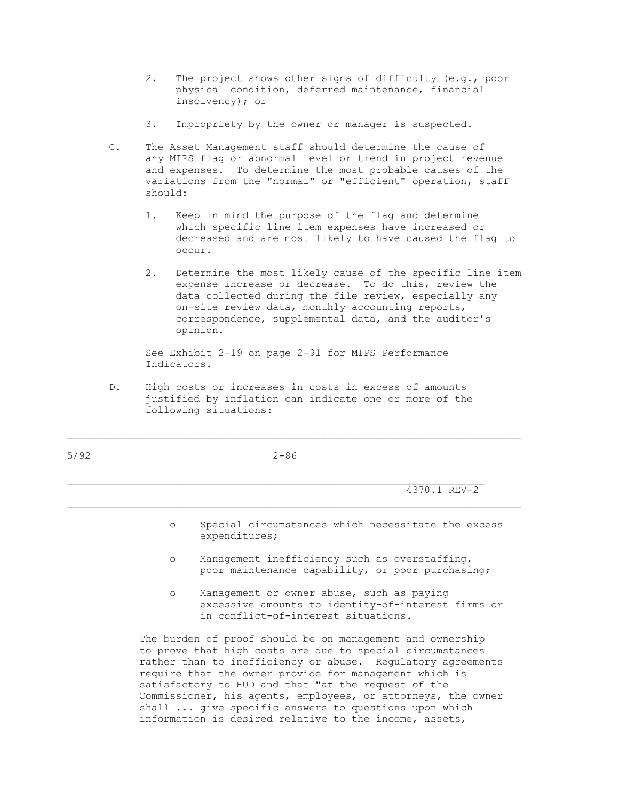- 2. The project shows other signs of difficulty (e.g., poor physical condition, deferred maintenance, financial insolvency); or
- 3. Impropriety by the owner or manager is suspected.
- C. The Asset Management staff should determine the cause of any MIPS flag or abnormal level or trend in project revenue and expenses. To determine the most probable causes of the variations from the "normal" or "efficient" operation, staff should:
	- 1. Keep in mind the purpose of the flag and determine which specific line item expenses have increased or decreased and are most likely to have caused the flag to occur.
	- 2. Determine the most likely cause of the specific line item expense increase or decrease. To do this, review the data collected during the file review, especially any on-site review data, monthly accounting reports, correspondence, supplemental data, and the auditor's opinion.

 See Exhibit 2-19 on page 2-91 for MIPS Performance Indicators.

 D. High costs or increases in costs in excess of amounts justified by inflation can indicate one or more of the following situations:

5/92 2-86

\_\_\_\_\_\_\_\_\_\_\_\_\_\_\_\_\_\_\_\_\_\_\_\_\_\_\_\_\_\_\_\_\_\_\_\_\_\_\_\_\_\_\_\_\_\_\_\_\_\_\_\_\_\_\_\_\_\_\_\_\_\_\_\_\_\_\_\_\_\_\_\_\_\_\_

\_\_\_\_\_\_\_\_\_\_\_\_\_\_\_\_\_\_\_\_\_\_\_\_\_\_\_\_\_\_\_\_\_\_\_\_\_\_\_\_\_\_\_\_\_\_\_\_\_\_\_\_\_\_\_\_\_\_\_\_\_\_\_\_\_\_\_\_\_ 4370.1 REV-2

- o Special circumstances which necessitate the excess expenditures;
- o Management inefficiency such as overstaffing, poor maintenance capability, or poor purchasing;
- o Management or owner abuse, such as paying excessive amounts to identity-of-interest firms or in conflict-of-interest situations.

 The burden of proof should be on management and ownership to prove that high costs are due to special circumstances rather than to inefficiency or abuse. Regulatory agreements require that the owner provide for management which is satisfactory to HUD and that "at the request of the Commissioner, his agents, employees, or attorneys, the owner shall ... give specific answers to questions upon which information is desired relative to the income, assets,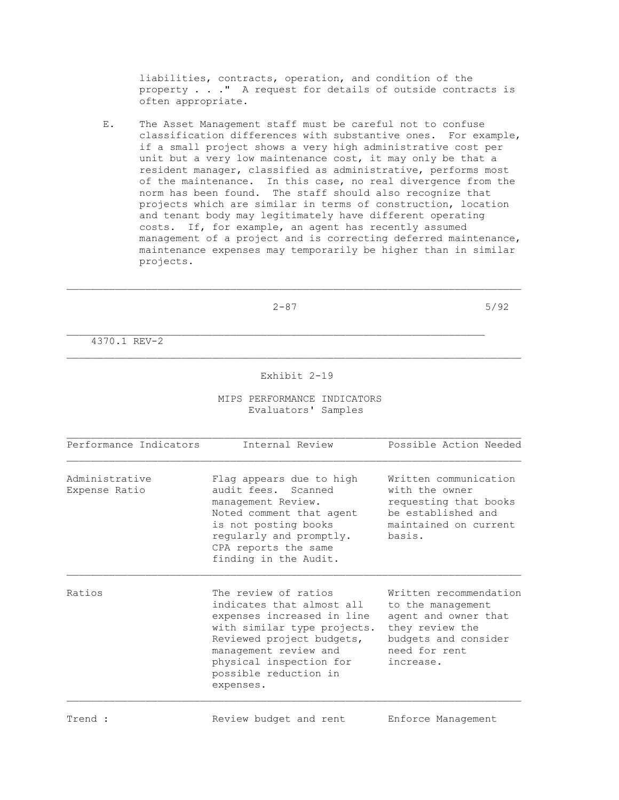liabilities, contracts, operation, and condition of the property . . ." A request for details of outside contracts is often appropriate.

 E. The Asset Management staff must be careful not to confuse classification differences with substantive ones. For example, if a small project shows a very high administrative cost per unit but a very low maintenance cost, it may only be that a resident manager, classified as administrative, performs most of the maintenance. In this case, no real divergence from the norm has been found. The staff should also recognize that projects which are similar in terms of construction, location and tenant body may legitimately have different operating costs. If, for example, an agent has recently assumed management of a project and is correcting deferred maintenance, maintenance expenses may temporarily be higher than in similar projects.

\_\_\_\_\_\_\_\_\_\_\_\_\_\_\_\_\_\_\_\_\_\_\_\_\_\_\_\_\_\_\_\_\_\_\_\_\_\_\_\_\_\_\_\_\_\_\_\_\_\_\_\_\_\_\_\_\_\_\_\_\_\_\_\_\_\_\_\_\_\_\_\_\_\_\_

 $2-87$  5/92

4370.1 REV-2

#### Exhibit 2-19

### MIPS PERFORMANCE INDICATORS Evaluators' Samples

| Performance Indicators          | Internal Review                                                                                                                                                                                                                       | Possible Action Needed                                                                                                                       |
|---------------------------------|---------------------------------------------------------------------------------------------------------------------------------------------------------------------------------------------------------------------------------------|----------------------------------------------------------------------------------------------------------------------------------------------|
| Administrative<br>Expense Ratio | Flag appears due to high<br>audit fees. Scanned<br>management Review.<br>Noted comment that agent<br>is not posting books<br>reqularly and promptly.<br>CPA reports the same<br>finding in the Audit.                                 | Written communication<br>with the owner<br>requesting that books<br>be established and<br>maintained on current<br>basis.                    |
| Ratios                          | The review of ratios<br>indicates that almost all<br>expenses increased in line<br>with similar type projects.<br>Reviewed project budgets,<br>management review and<br>physical inspection for<br>possible reduction in<br>expenses. | Written recommendation<br>to the management<br>agent and owner that<br>they review the<br>budgets and consider<br>need for rent<br>increase. |

Trend : Trend : Review budget and rent Enforce Management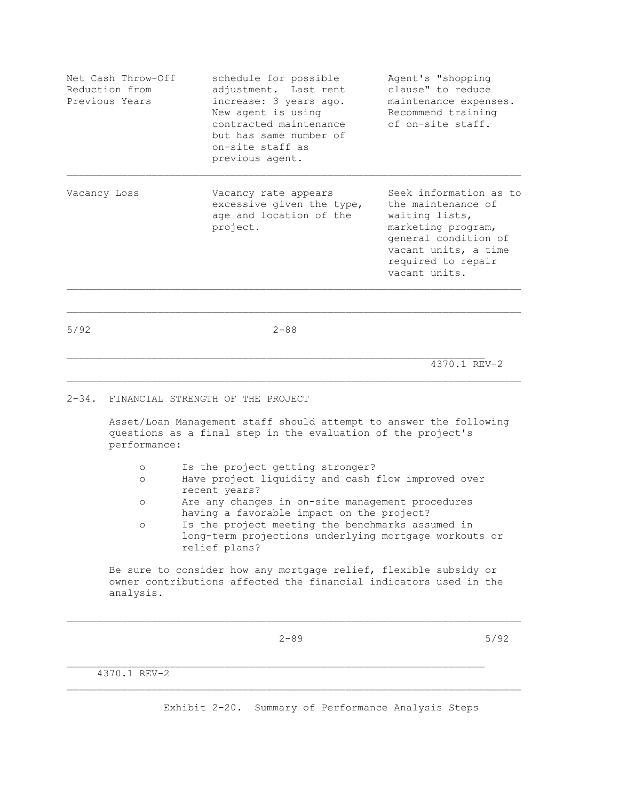| Net Cash Throw-Off<br>Reduction from<br>Previous Years | schedule for possible<br>adjustment. Last rent<br>increase: 3 years ago.<br>New agent is using<br>contracted maintenance<br>but has same number of<br>on-site staff as<br>previous agent. | Agent's "shopping<br>clause" to reduce<br>maintenance expenses.<br>Recommend training<br>of on-site staff.                                                                  |
|--------------------------------------------------------|-------------------------------------------------------------------------------------------------------------------------------------------------------------------------------------------|-----------------------------------------------------------------------------------------------------------------------------------------------------------------------------|
| Vacancy Loss                                           | Vacancy rate appears<br>excessive given the type,<br>age and location of the<br>project.                                                                                                  | Seek information as to<br>the maintenance of<br>waiting lists,<br>marketing program,<br>general condition of<br>vacant units, a time<br>required to repair<br>vacant units. |

5/92 2-88

\_\_\_\_\_\_\_\_\_\_\_\_\_\_\_\_\_\_\_\_\_\_\_\_\_\_\_\_\_\_\_\_\_\_\_\_\_\_\_\_\_\_\_\_\_\_\_\_\_\_\_\_\_\_\_\_\_\_\_\_\_\_\_\_\_\_\_\_\_\_\_\_\_\_\_

4370.1 REV-2

## 2-34. FINANCIAL STRENGTH OF THE PROJECT

 Asset/Loan Management staff should attempt to answer the following questions as a final step in the evaluation of the project's performance:

- o Is the project getting stronger?
- o Have project liquidity and cash flow improved over recent years?
- o Are any changes in on-site management procedures having a favorable impact on the project?
- o Is the project meeting the benchmarks assumed in long-term projections underlying mortgage workouts or relief plans?

 Be sure to consider how any mortgage relief, flexible subsidy or owner contributions affected the financial indicators used in the analysis.

 $\mathcal{L}_\text{max}$ 

 $2-89$  5/92

4370.1 REV-2

Exhibit 2-20. Summary of Performance Analysis Steps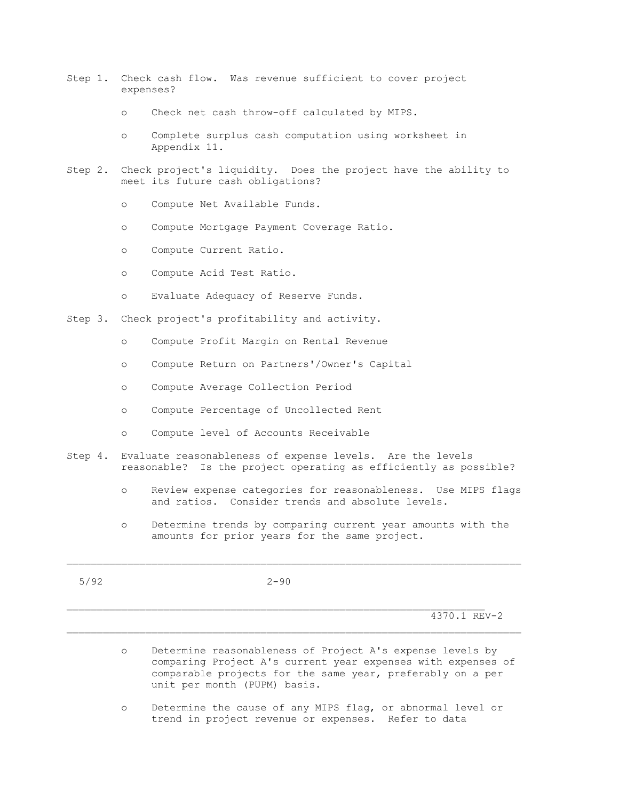- Step 1. Check cash flow. Was revenue sufficient to cover project expenses?
	- o Check net cash throw-off calculated by MIPS.
	- o Complete surplus cash computation using worksheet in Appendix 11.
- Step 2. Check project's liquidity. Does the project have the ability to meet its future cash obligations?
	- o Compute Net Available Funds.
	- o Compute Mortgage Payment Coverage Ratio.
	- o Compute Current Ratio.
	- o Compute Acid Test Ratio.
	- o Evaluate Adequacy of Reserve Funds.
- Step 3. Check project's profitability and activity.
	- o Compute Profit Margin on Rental Revenue
	- o Compute Return on Partners'/Owner's Capital
	- o Compute Average Collection Period
	- o Compute Percentage of Uncollected Rent
	- o Compute level of Accounts Receivable
- Step 4. Evaluate reasonableness of expense levels. Are the levels reasonable? Is the project operating as efficiently as possible?
	- o Review expense categories for reasonableness. Use MIPS flags and ratios. Consider trends and absolute levels.
	- o Determine trends by comparing current year amounts with the amounts for prior years for the same project.

5/92 2-90

\_\_\_\_\_\_\_\_\_\_\_\_\_\_\_\_\_\_\_\_\_\_\_\_\_\_\_\_\_\_\_\_\_\_\_\_\_\_\_\_\_\_\_\_\_\_\_\_\_\_\_\_\_\_\_\_\_\_\_\_\_\_\_\_\_\_\_\_\_

 $\mathcal{L}_\text{max}$ 

4370.1 REV-2

- o Determine reasonableness of Project A's expense levels by comparing Project A's current year expenses with expenses of comparable projects for the same year, preferably on a per unit per month (PUPM) basis.
- o Determine the cause of any MIPS flag, or abnormal level or trend in project revenue or expenses. Refer to data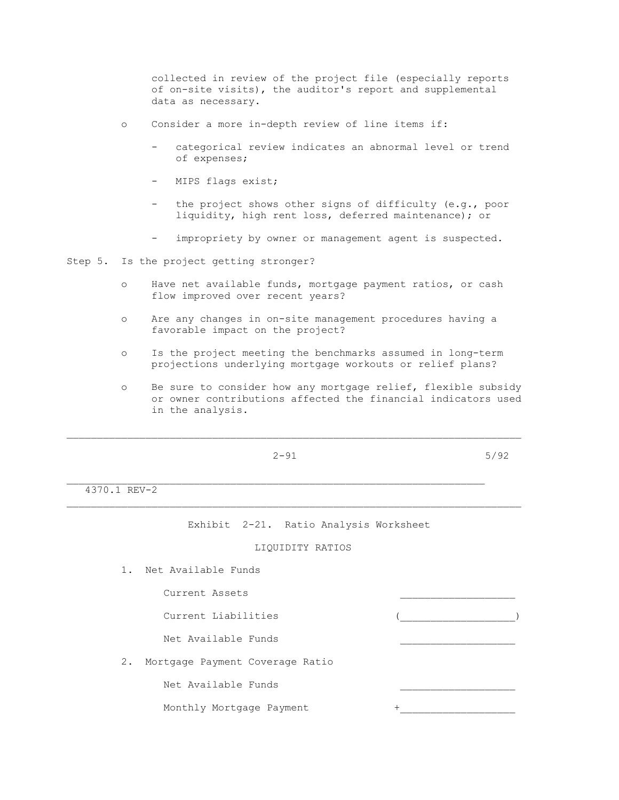collected in review of the project file (especially reports of on-site visits), the auditor's report and supplemental data as necessary.

- o Consider a more in-depth review of line items if:
	- categorical review indicates an abnormal level or trend of expenses;
	- MIPS flags exist;
	- the project shows other signs of difficulty (e.g., poor liquidity, high rent loss, deferred maintenance); or
	- impropriety by owner or management agent is suspected.

Step 5. Is the project getting stronger?

- o Have net available funds, mortgage payment ratios, or cash flow improved over recent years?
- o Are any changes in on-site management procedures having a favorable impact on the project?
- o Is the project meeting the benchmarks assumed in long-term projections underlying mortgage workouts or relief plans?
- o Be sure to consider how any mortgage relief, flexible subsidy or owner contributions affected the financial indicators used in the analysis.

 $2-91$  5/92

\_\_\_\_\_\_\_\_\_\_\_\_\_\_\_\_\_\_\_\_\_\_\_\_\_\_\_\_\_\_\_\_\_\_\_\_\_\_\_\_\_\_\_\_\_\_\_\_\_\_\_\_\_\_\_\_\_\_\_\_\_\_\_\_\_\_\_\_\_

4370.1 REV-2

Exhibit 2-21. Ratio Analysis Worksheet

# LIQUIDITY RATIOS

\_\_\_\_\_\_\_\_\_\_\_\_\_\_\_\_\_\_\_\_\_\_\_\_\_\_\_\_\_\_\_\_\_\_\_\_\_\_\_\_\_\_\_\_\_\_\_\_\_\_\_\_\_\_\_\_\_\_\_\_\_\_\_\_\_\_\_\_\_\_\_\_\_\_\_

1. Net Available Funds

Current Assets

Current Liabilities

Net Available Funds

2. Mortgage Payment Coverage Ratio

Net Available Funds

Monthly Mortgage Payment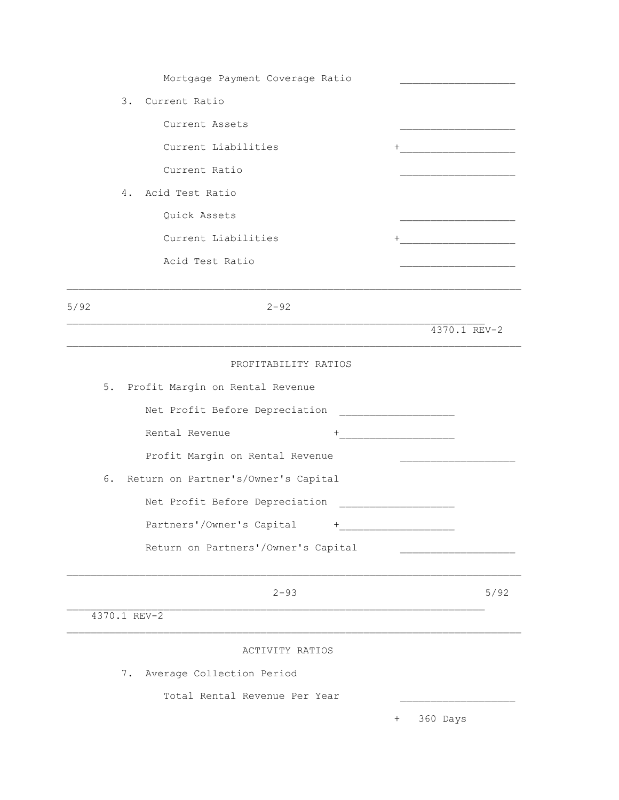| Mortgage Payment Coverage Ratio        |                                   |
|----------------------------------------|-----------------------------------|
| 3. Current Ratio                       |                                   |
| Current Assets                         |                                   |
| Current Liabilities                    |                                   |
| Current Ratio                          |                                   |
| Acid Test Ratio<br>4.                  |                                   |
| Quick Assets                           |                                   |
| Current Liabilities                    | +________________________________ |
| Acid Test Ratio                        |                                   |
|                                        |                                   |
| 5/92<br>$2 - 92$                       |                                   |
|                                        | 4370.1 REV-2                      |
| PROFITABILITY RATIOS                   |                                   |
| 5. Profit Margin on Rental Revenue     |                                   |
| Net Profit Before Depreciation         |                                   |
| Rental Revenue<br>$^{+}$               |                                   |
| Profit Margin on Rental Revenue        |                                   |
| 6. Return on Partner's/Owner's Capital |                                   |
| Net Profit Before Depreciation         |                                   |
| Partners'/Owner's Capital +            |                                   |
| Return on Partners'/Owner's Capital    |                                   |
|                                        |                                   |
| $2 - 93$                               | 5/92                              |
| 4370.1 REV-2                           |                                   |
| ACTIVITY RATIOS                        |                                   |
| 7.<br>Average Collection Period        |                                   |
| Total Rental Revenue Per Year          |                                   |
|                                        | 360 Days<br>$^{+}$                |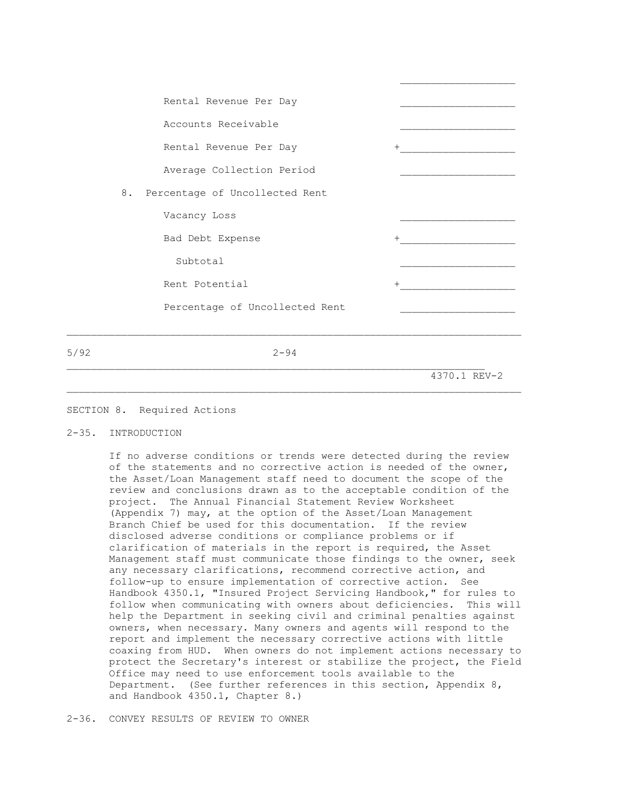| Rental Revenue Per Day            |        |
|-----------------------------------|--------|
| Accounts Receivable               |        |
| Rental Revenue Per Day            | $+$    |
| Average Collection Period         |        |
| 8. Percentage of Uncollected Rent |        |
| Vacancy Loss                      |        |
| Bad Debt Expense                  | $^{+}$ |
| Subtotal                          |        |
| Rent Potential                    | $^{+}$ |
| Percentage of Uncollected Rent    |        |
|                                   |        |

 $\mathcal{L}_\text{max}$ 

5/92 2-94

\_\_\_\_\_\_\_\_\_\_\_\_\_\_\_\_\_\_\_\_\_\_\_\_\_\_\_\_\_\_\_\_\_\_\_\_\_\_\_\_\_\_\_\_\_\_\_\_\_\_\_\_\_\_\_\_\_\_\_\_\_\_\_\_\_\_\_\_\_\_\_\_\_\_\_

4370.1 REV-2

## SECTION 8. Required Actions

# 2-35. INTRODUCTION

 If no adverse conditions or trends were detected during the review of the statements and no corrective action is needed of the owner, the Asset/Loan Management staff need to document the scope of the review and conclusions drawn as to the acceptable condition of the project. The Annual Financial Statement Review Worksheet (Appendix 7) may, at the option of the Asset/Loan Management Branch Chief be used for this documentation. If the review disclosed adverse conditions or compliance problems or if clarification of materials in the report is required, the Asset Management staff must communicate those findings to the owner, seek any necessary clarifications, recommend corrective action, and follow-up to ensure implementation of corrective action. See Handbook 4350.1, "Insured Project Servicing Handbook," for rules to follow when communicating with owners about deficiencies. This will help the Department in seeking civil and criminal penalties against owners, when necessary. Many owners and agents will respond to the report and implement the necessary corrective actions with little coaxing from HUD. When owners do not implement actions necessary to protect the Secretary's interest or stabilize the project, the Field Office may need to use enforcement tools available to the Department. (See further references in this section, Appendix 8, and Handbook 4350.1, Chapter 8.)

2-36. CONVEY RESULTS OF REVIEW TO OWNER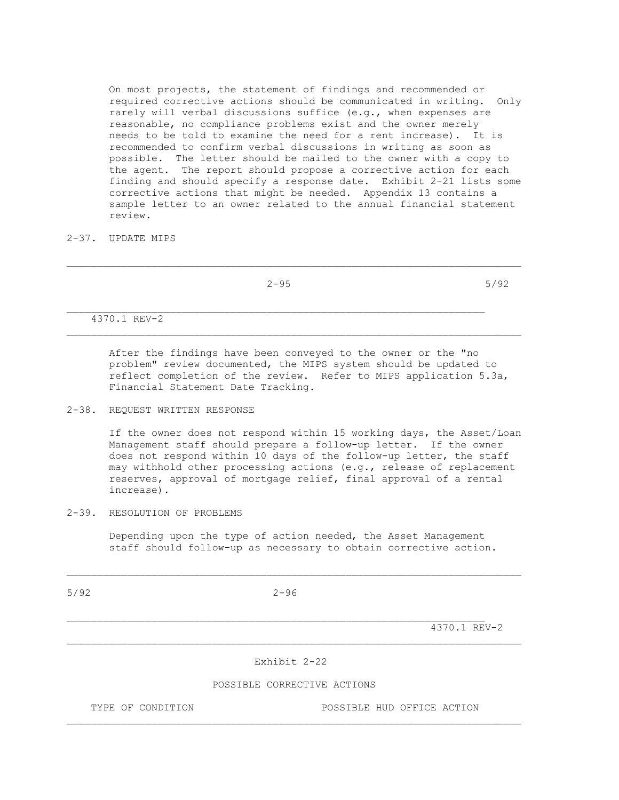On most projects, the statement of findings and recommended or required corrective actions should be communicated in writing. Only rarely will verbal discussions suffice (e.g., when expenses are reasonable, no compliance problems exist and the owner merely needs to be told to examine the need for a rent increase). It is recommended to confirm verbal discussions in writing as soon as possible. The letter should be mailed to the owner with a copy to the agent. The report should propose a corrective action for each finding and should specify a response date. Exhibit 2-21 lists some corrective actions that might be needed. Appendix 13 contains a sample letter to an owner related to the annual financial statement review.

2-37. UPDATE MIPS

|              | $2 - 95$ | 5/92 |
|--------------|----------|------|
|              |          |      |
| 4370.1 REV-2 |          |      |

\_\_\_\_\_\_\_\_\_\_\_\_\_\_\_\_\_\_\_\_\_\_\_\_\_\_\_\_\_\_\_\_\_\_\_\_\_\_\_\_\_\_\_\_\_\_\_\_\_\_\_\_\_\_\_\_\_\_\_\_\_\_\_\_\_\_\_\_\_\_\_\_\_\_\_

 After the findings have been conveyed to the owner or the "no problem" review documented, the MIPS system should be updated to reflect completion of the review. Refer to MIPS application 5.3a, Financial Statement Date Tracking.

## 2-38. REQUEST WRITTEN RESPONSE

 If the owner does not respond within 15 working days, the Asset/Loan Management staff should prepare a follow-up letter. If the owner does not respond within 10 days of the follow-up letter, the staff may withhold other processing actions (e.g., release of replacement reserves, approval of mortgage relief, final approval of a rental increase).

## 2-39. RESOLUTION OF PROBLEMS

 Depending upon the type of action needed, the Asset Management staff should follow-up as necessary to obtain corrective action.

5/92 2-96

 $\mathcal{L}_\text{max}$ 

 $4370.1$  REV-2

## Exhibit 2-22

#### POSSIBLE CORRECTIVE ACTIONS

\_\_\_\_\_\_\_\_\_\_\_\_\_\_\_\_\_\_\_\_\_\_\_\_\_\_\_\_\_\_\_\_\_\_\_\_\_\_\_\_\_\_\_\_\_\_\_\_\_\_\_\_\_\_\_\_\_\_\_\_\_\_\_\_\_\_\_\_\_\_\_\_\_\_\_

 $\mathcal{L}_\text{max}$ 

TYPE OF CONDITION POSSIBLE HUD OFFICE ACTION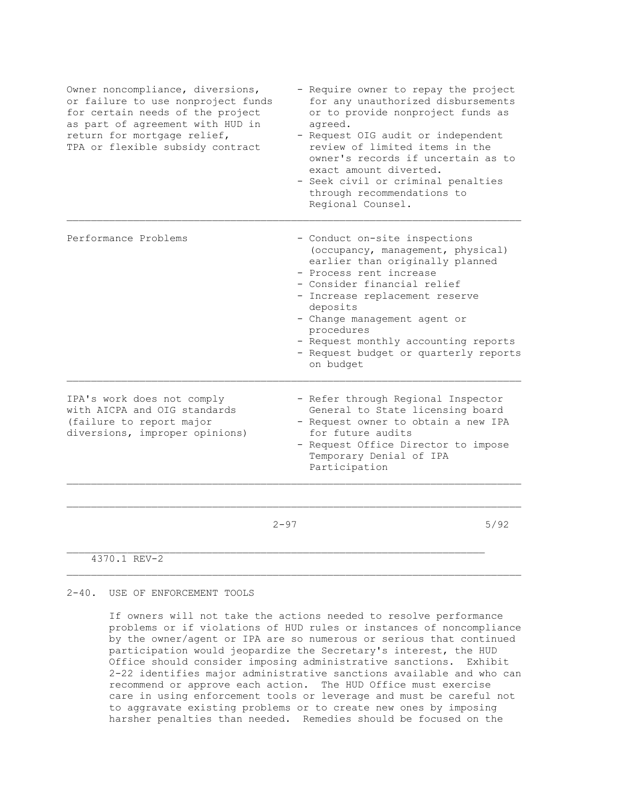| Owner noncompliance, diversions,<br>or failure to use nonproject funds<br>for certain needs of the project<br>as part of agreement with HUD in<br>return for mortgage relief,<br>TPA or flexible subsidy contract | - Require owner to repay the project<br>for any unauthorized disbursements<br>or to provide nonproject funds as<br>agreed.<br>- Request OIG audit or independent<br>review of limited items in the<br>owner's records if uncertain as to<br>exact amount diverted.<br>- Seek civil or criminal penalties<br>through recommendations to<br>Regional Counsel. |      |
|-------------------------------------------------------------------------------------------------------------------------------------------------------------------------------------------------------------------|-------------------------------------------------------------------------------------------------------------------------------------------------------------------------------------------------------------------------------------------------------------------------------------------------------------------------------------------------------------|------|
| Performance Problems                                                                                                                                                                                              | - Conduct on-site inspections<br>(occupancy, management, physical)<br>earlier than originally planned<br>- Process rent increase<br>- Consider financial relief<br>- Increase replacement reserve<br>deposits<br>- Change management agent or<br>procedures<br>- Request monthly accounting reports<br>- Request budget or quarterly reports<br>on budget   |      |
| IPA's work does not comply<br>with AICPA and OIG standards<br>(failure to report major<br>diversions, improper opinions)                                                                                          | - Refer through Regional Inspector<br>General to State licensing board<br>- Request owner to obtain a new IPA<br>for future audits<br>- Request Office Director to impose<br>Temporary Denial of IPA<br>Participation                                                                                                                                       |      |
|                                                                                                                                                                                                                   | $2 - 97$                                                                                                                                                                                                                                                                                                                                                    | 5/92 |

4370.1 REV-2

#### 2-40. USE OF ENFORCEMENT TOOLS

 If owners will not take the actions needed to resolve performance problems or if violations of HUD rules or instances of noncompliance by the owner/agent or IPA are so numerous or serious that continued participation would jeopardize the Secretary's interest, the HUD Office should consider imposing administrative sanctions. Exhibit 2-22 identifies major administrative sanctions available and who can recommend or approve each action. The HUD Office must exercise care in using enforcement tools or leverage and must be careful not to aggravate existing problems or to create new ones by imposing harsher penalties than needed. Remedies should be focused on the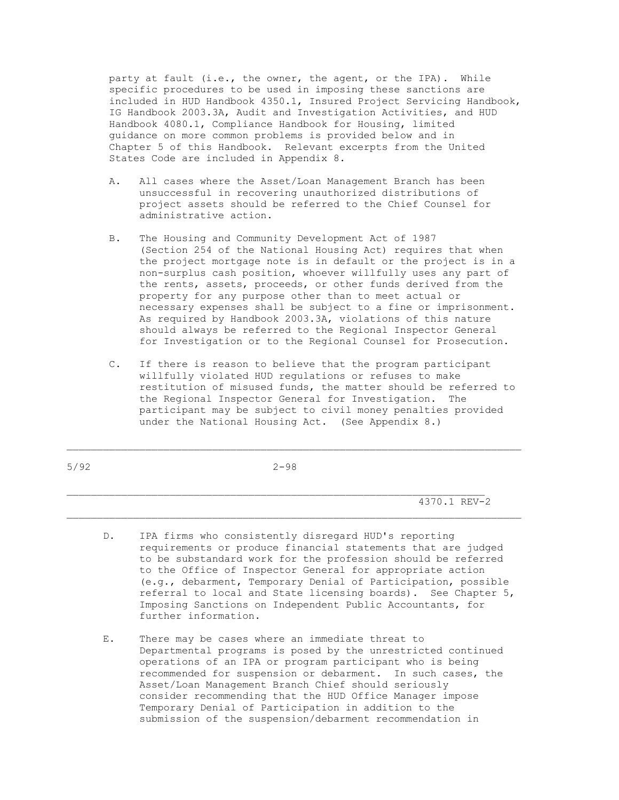party at fault (i.e., the owner, the agent, or the IPA). While specific procedures to be used in imposing these sanctions are included in HUD Handbook 4350.1, Insured Project Servicing Handbook, IG Handbook 2003.3A, Audit and Investigation Activities, and HUD Handbook 4080.1, Compliance Handbook for Housing, limited guidance on more common problems is provided below and in Chapter 5 of this Handbook. Relevant excerpts from the United States Code are included in Appendix 8.

- A. All cases where the Asset/Loan Management Branch has been unsuccessful in recovering unauthorized distributions of project assets should be referred to the Chief Counsel for administrative action.
- B. The Housing and Community Development Act of 1987 (Section 254 of the National Housing Act) requires that when the project mortgage note is in default or the project is in a non-surplus cash position, whoever willfully uses any part of the rents, assets, proceeds, or other funds derived from the property for any purpose other than to meet actual or necessary expenses shall be subject to a fine or imprisonment. As required by Handbook 2003.3A, violations of this nature should always be referred to the Regional Inspector General for Investigation or to the Regional Counsel for Prosecution.
- C. If there is reason to believe that the program participant willfully violated HUD regulations or refuses to make restitution of misused funds, the matter should be referred to the Regional Inspector General for Investigation. The participant may be subject to civil money penalties provided under the National Housing Act. (See Appendix 8.)

5/92 2-98

 $\mathcal{L}_\text{max}$ 

\_\_\_\_\_\_\_\_\_\_\_\_\_\_\_\_\_\_\_\_\_\_\_\_\_\_\_\_\_\_\_\_\_\_\_\_\_\_\_\_\_\_\_\_\_\_\_\_\_\_\_\_\_\_\_\_\_\_\_\_\_\_\_\_\_\_\_\_\_

4370.1 REV-2

- D. IPA firms who consistently disregard HUD's reporting requirements or produce financial statements that are judged to be substandard work for the profession should be referred to the Office of Inspector General for appropriate action (e.g., debarment, Temporary Denial of Participation, possible referral to local and State licensing boards). See Chapter 5, Imposing Sanctions on Independent Public Accountants, for further information.
- E. There may be cases where an immediate threat to Departmental programs is posed by the unrestricted continued operations of an IPA or program participant who is being recommended for suspension or debarment. In such cases, the Asset/Loan Management Branch Chief should seriously consider recommending that the HUD Office Manager impose Temporary Denial of Participation in addition to the submission of the suspension/debarment recommendation in